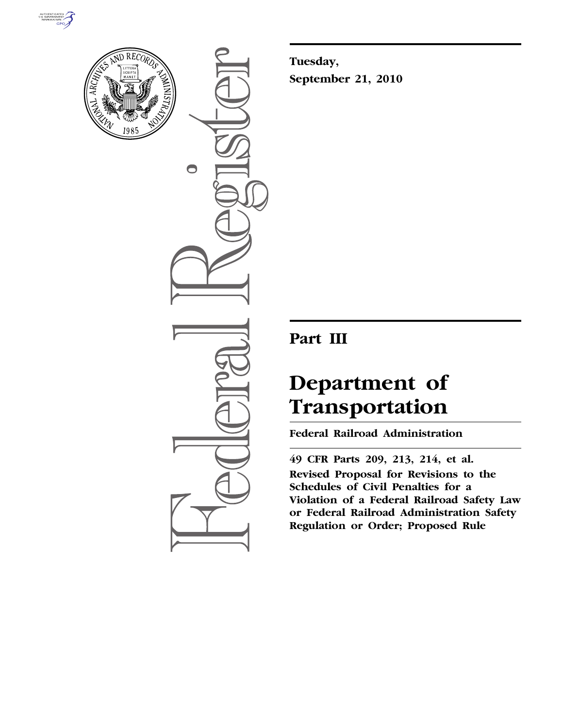



 $\bigcirc$ 

**Tuesday, September 21, 2010** 

# **Part III**

# **Department of Transportation**

**Federal Railroad Administration** 

**49 CFR Parts 209, 213, 214, et al. Revised Proposal for Revisions to the Schedules of Civil Penalties for a Violation of a Federal Railroad Safety Law or Federal Railroad Administration Safety Regulation or Order; Proposed Rule**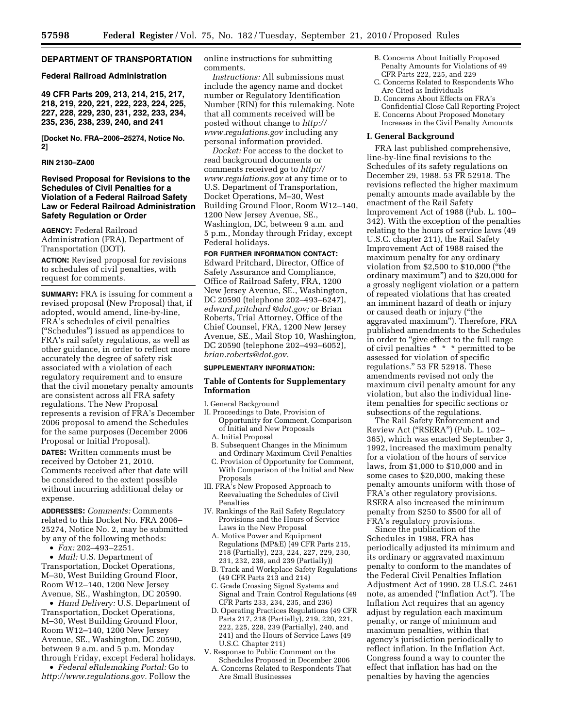## **DEPARTMENT OF TRANSPORTATION**

#### **Federal Railroad Administration**

**49 CFR Parts 209, 213, 214, 215, 217, 218, 219, 220, 221, 222, 223, 224, 225, 227, 228, 229, 230, 231, 232, 233, 234, 235, 236, 238, 239, 240, and 241** 

**[Docket No. FRA–2006–25274, Notice No. 2]** 

#### **RIN 2130–ZA00**

## **Revised Proposal for Revisions to the Schedules of Civil Penalties for a Violation of a Federal Railroad Safety Law or Federal Railroad Administration Safety Regulation or Order**

**AGENCY:** Federal Railroad Administration (FRA), Department of Transportation (DOT).

**ACTION:** Revised proposal for revisions to schedules of civil penalties, with request for comments.

**SUMMARY:** FRA is issuing for comment a revised proposal (New Proposal) that, if adopted, would amend, line-by-line, FRA's schedules of civil penalties (''Schedules'') issued as appendices to FRA's rail safety regulations, as well as other guidance, in order to reflect more accurately the degree of safety risk associated with a violation of each regulatory requirement and to ensure that the civil monetary penalty amounts are consistent across all FRA safety regulations. The New Proposal represents a revision of FRA's December 2006 proposal to amend the Schedules for the same purposes (December 2006 Proposal or Initial Proposal).

**DATES:** Written comments must be received by October 21, 2010. Comments received after that date will be considered to the extent possible without incurring additional delay or expense.

**ADDRESSES:** *Comments:* Comments related to this Docket No. FRA 2006– 25274, Notice No. 2, may be submitted by any of the following methods:

• *Fax:* 202–493–2251.

• *Mail:* U.S. Department of Transportation, Docket Operations, M–30, West Building Ground Floor, Room W12–140, 1200 New Jersey Avenue, SE., Washington, DC 20590.

• *Hand Delivery:* U.S. Department of Transportation, Docket Operations, M–30, West Building Ground Floor, Room W12–140, 1200 New Jersey Avenue, SE., Washington, DC 20590, between 9 a.m. and 5 p.m. Monday through Friday, except Federal holidays.

• *Federal eRulemaking Portal:* Go to *[http://www.regulations.gov.](http://www.regulations.gov)* Follow the online instructions for submitting comments.

*Instructions:* All submissions must include the agency name and docket number or Regulatory Identification Number (RIN) for this rulemaking. Note that all comments received will be posted without change to *[http://](http://www.regulations.gov) [www.regulations.gov](http://www.regulations.gov)* including any personal information provided.

*Docket:* For access to the docket to read background documents or comments received go to *[http://](http://www.regulations.gov) [www.regulations.gov](http://www.regulations.gov)* at any time or to U.S. Department of Transportation, Docket Operations, M–30, West Building Ground Floor, Room W12–140, 1200 New Jersey Avenue, SE., Washington, DC, between 9 a.m. and 5 p.m., Monday through Friday, except Federal holidays.

**FOR FURTHER INFORMATION CONTACT:**  Edward Pritchard, Director, Office of Safety Assurance and Compliance, Office of Railroad Safety, FRA, 1200 New Jersey Avenue, SE., Washington, DC 20590 (telephone 202–493–6247), *[edward.pritchard @dot.gov;](mailto:edward.pritchard@dot.gov)* or Brian Roberts, Trial Attorney, Office of the Chief Counsel, FRA, 1200 New Jersey Avenue, SE., Mail Stop 10, Washington, DC 20590 (telephone 202–493–6052), *[brian.roberts@dot.gov.](mailto:brian.roberts@dot.gov)* 

#### **SUPPLEMENTARY INFORMATION:**

#### **Table of Contents for Supplementary Information**

I. General Background

- II. Proceedings to Date, Provision of Opportunity for Comment, Comparison of Initial and New Proposals
	- A. Initial Proposal
	- B. Subsequent Changes in the Minimum and Ordinary Maximum Civil Penalties
	- C. Provision of Opportunity for Comment, With Comparison of the Initial and New Proposals
- III. FRA's New Proposed Approach to Reevaluating the Schedules of Civil Penalties
- IV. Rankings of the Rail Safety Regulatory Provisions and the Hours of Service Laws in the New Proposal
	- A. Motive Power and Equipment Regulations (MP&E) (49 CFR Parts 215, 218 (Partially), 223, 224, 227, 229, 230, 231, 232, 238, and 239 (Partially))
	- B. Track and Workplace Safety Regulations (49 CFR Parts 213 and 214)
	- C. Grade Crossing Signal Systems and Signal and Train Control Regulations (49 CFR Parts 233, 234, 235, and 236)
	- D. Operating Practices Regulations (49 CFR Parts 217, 218 (Partially), 219, 220, 221, 222, 225, 228, 239 (Partially), 240, and 241) and the Hours of Service Laws (49 U.S.C. Chapter 211)
- V. Response to Public Comment on the Schedules Proposed in December 2006 A. Concerns Related to Respondents That Are Small Businesses
- B. Concerns About Initially Proposed Penalty Amounts for Violations of 49 CFR Parts 222, 225, and 229
- C. Concerns Related to Respondents Who Are Cited as Individuals
- D. Concerns About Effects on FRA's Confidential Close Call Reporting Project
- E. Concerns About Proposed Monetary Increases in the Civil Penalty Amounts
- 

#### **I. General Background**

FRA last published comprehensive, line-by-line final revisions to the Schedules of its safety regulations on December 29, 1988. 53 FR 52918. The revisions reflected the higher maximum penalty amounts made available by the enactment of the Rail Safety Improvement Act of 1988 (Pub. L. 100– 342). With the exception of the penalties relating to the hours of service laws (49 U.S.C. chapter 211), the Rail Safety Improvement Act of 1988 raised the maximum penalty for any ordinary violation from \$2,500 to \$10,000 (''the ordinary maximum'') and to \$20,000 for a grossly negligent violation or a pattern of repeated violations that has created an imminent hazard of death or injury or caused death or injury (''the aggravated maximum''). Therefore, FRA published amendments to the Schedules in order to "give effect to the full range of civil penalties \* \* \* permitted to be assessed for violation of specific regulations.'' 53 FR 52918. These amendments revised not only the maximum civil penalty amount for any violation, but also the individual lineitem penalties for specific sections or subsections of the regulations.

The Rail Safety Enforcement and Review Act (''RSERA'') (Pub. L. 102– 365), which was enacted September 3, 1992, increased the maximum penalty for a violation of the hours of service laws, from \$1,000 to \$10,000 and in some cases to \$20,000, making these penalty amounts uniform with those of FRA's other regulatory provisions. RSERA also increased the minimum penalty from \$250 to \$500 for all of FRA's regulatory provisions.

Since the publication of the Schedules in 1988, FRA has periodically adjusted its minimum and its ordinary or aggravated maximum penalty to conform to the mandates of the Federal Civil Penalties Inflation Adjustment Act of 1990. 28 U.S.C. 2461 note, as amended (''Inflation Act''). The Inflation Act requires that an agency adjust by regulation each maximum penalty, or range of minimum and maximum penalties, within that agency's jurisdiction periodically to reflect inflation. In the Inflation Act, Congress found a way to counter the effect that inflation has had on the penalties by having the agencies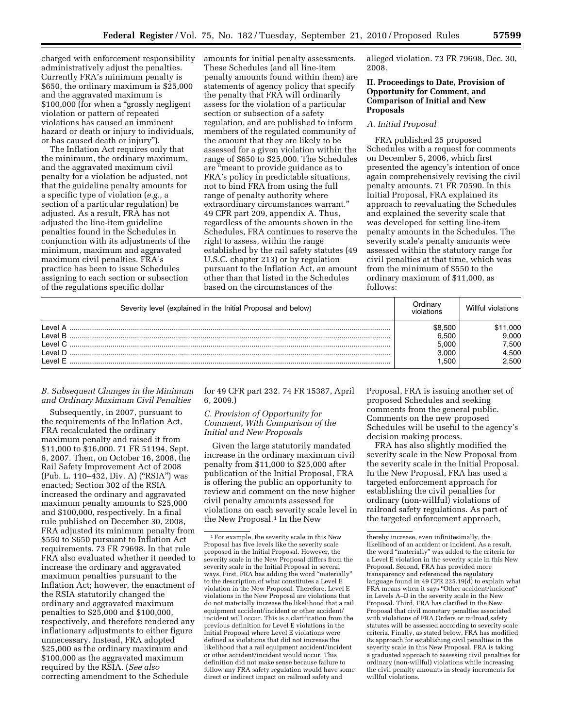charged with enforcement responsibility administratively adjust the penalties. Currently FRA's minimum penalty is \$650, the ordinary maximum is \$25,000 and the aggravated maximum is \$100,000 (for when a "grossly negligent" violation or pattern of repeated violations has caused an imminent hazard or death or injury to individuals, or has caused death or injury'').

The Inflation Act requires only that the minimum, the ordinary maximum, and the aggravated maximum civil penalty for a violation be adjusted, not that the guideline penalty amounts for a specific type of violation (*e.g.,* a section of a particular regulation) be adjusted. As a result, FRA has not adjusted the line-item guideline penalties found in the Schedules in conjunction with its adjustments of the minimum, maximum and aggravated maximum civil penalties. FRA's practice has been to issue Schedules assigning to each section or subsection of the regulations specific dollar

amounts for initial penalty assessments. These Schedules (and all line-item penalty amounts found within them) are statements of agency policy that specify the penalty that FRA will ordinarily assess for the violation of a particular section or subsection of a safety regulation, and are published to inform members of the regulated community of the amount that they are likely to be assessed for a given violation within the range of \$650 to \$25,000. The Schedules are "meant to provide guidance as to FRA's policy in predictable situations, not to bind FRA from using the full range of penalty authority where extraordinary circumstances warrant.'' 49 CFR part 209, appendix A. Thus, regardless of the amounts shown in the Schedules, FRA continues to reserve the right to assess, within the range established by the rail safety statutes (49 U.S.C. chapter 213) or by regulation pursuant to the Inflation Act, an amount other than that listed in the Schedules based on the circumstances of the

alleged violation. 73 FR 79698, Dec. 30, 2008.

#### **II. Proceedings to Date, Provision of Opportunity for Comment, and Comparison of Initial and New Proposals**

#### *A. Initial Proposal*

FRA published 25 proposed Schedules with a request for comments on December 5, 2006, which first presented the agency's intention of once again comprehensively revising the civil penalty amounts. 71 FR 70590. In this Initial Proposal, FRA explained its approach to reevaluating the Schedules and explained the severity scale that was developed for setting line-item penalty amounts in the Schedules. The severity scale's penalty amounts were assessed within the statutory range for civil penalties at that time, which was from the minimum of \$550 to the ordinary maximum of \$11,000, as follows:

| Severity level (explained in the Initial Proposal and below) |        | Willful violations |
|--------------------------------------------------------------|--------|--------------------|
| <b>Level</b>                                                 | \$8.50 | .000               |
| Level B                                                      | 6.500  | 9.000              |
| l evel C                                                     | 5.000  | 7.500              |
| l evel D                                                     | 3.000  | 4.500              |
| I evel F                                                     | 1.500  | 2.500              |
|                                                              |        |                    |

#### *B. Subsequent Changes in the Minimum and Ordinary Maximum Civil Penalties*

Subsequently, in 2007, pursuant to the requirements of the Inflation Act, FRA recalculated the ordinary maximum penalty and raised it from \$11,000 to \$16,000. 71 FR 51194, Sept. 6, 2007. Then, on October 16, 2008, the Rail Safety Improvement Act of 2008 (Pub. L. 110–432, Div. A) (''RSIA'') was enacted; Section 302 of the RSIA increased the ordinary and aggravated maximum penalty amounts to \$25,000 and \$100,000, respectively. In a final rule published on December 30, 2008, FRA adjusted its minimum penalty from \$550 to \$650 pursuant to Inflation Act requirements. 73 FR 79698. In that rule FRA also evaluated whether it needed to increase the ordinary and aggravated maximum penalties pursuant to the Inflation Act; however, the enactment of the RSIA statutorily changed the ordinary and aggravated maximum penalties to \$25,000 and \$100,000, respectively, and therefore rendered any inflationary adjustments to either figure unnecessary. Instead, FRA adopted \$25,000 as the ordinary maximum and \$100,000 as the aggravated maximum required by the RSIA. (*See also*  correcting amendment to the Schedule

for 49 CFR part 232. 74 FR 15387, April 6, 2009.)

## *C. Provision of Opportunity for Comment, With Comparison of the Initial and New Proposals*

Given the large statutorily mandated increase in the ordinary maximum civil penalty from \$11,000 to \$25,000 after publication of the Initial Proposal, FRA is offering the public an opportunity to review and comment on the new higher civil penalty amounts assessed for violations on each severity scale level in the New Proposal.<sup>1</sup> In the New

Proposal, FRA is issuing another set of proposed Schedules and seeking comments from the general public. Comments on the new proposed Schedules will be useful to the agency's decision making process.

FRA has also slightly modified the severity scale in the New Proposal from the severity scale in the Initial Proposal. In the New Proposal, FRA has used a targeted enforcement approach for establishing the civil penalties for ordinary (non-willful) violations of railroad safety regulations. As part of the targeted enforcement approach,

<sup>1</sup>For example, the severity scale in this New Proposal has five levels like the severity scale proposed in the Initial Proposal. However, the severity scale in the New Proposal differs from the severity scale in the Initial Proposal in several ways. First, FRA has adding the word ''materially'' to the description of what constitutes a Level E violation in the New Proposal. Therefore, Level E violations in the New Proposal are violations that do not materially increase the likelihood that a rail equipment accident/incident or other accident/ incident will occur. This is a clarification from the previous definition for Level E violations in the Initial Proposal where Level E violations were defined as violations that did not increase the likelihood that a rail equipment accident/incident or other accident/incident would occur. This definition did not make sense because failure to follow any FRA safety regulation would have some direct or indirect impact on railroad safety and

thereby increase, even infinitesimally, the likelihood of an accident or incident. As a result, the word "materially" was added to the criteria for a Level E violation in the severity scale in this New Proposal. Second, FRA has provided more transparency and referenced the regulatory language found in 49 CFR 225.19(d) to explain what FRA means when it says "Other accident/incident" in Levels A–D in the severity scale in the New Proposal. Third, FRA has clarified in the New Proposal that civil monetary penalties associated with violations of FRA Orders or railroad safety statutes will be assessed according to severity scale criteria. Finally, as stated below, FRA has modified its approach for establishing civil penalties in the severity scale in this New Proposal. FRA is taking a graduated approach to assessing civil penalties for ordinary (non-willful) violations while increasing the civil penalty amounts in steady increments for willful violations.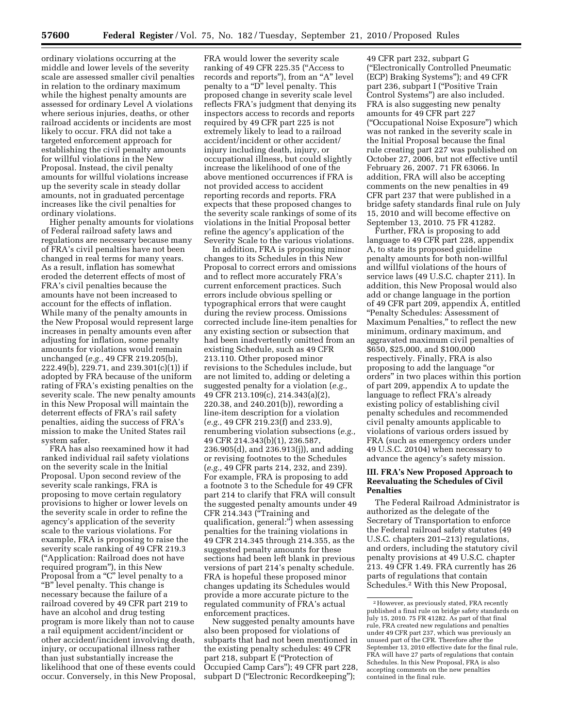ordinary violations occurring at the middle and lower levels of the severity scale are assessed smaller civil penalties in relation to the ordinary maximum while the highest penalty amounts are assessed for ordinary Level A violations where serious injuries, deaths, or other railroad accidents or incidents are most likely to occur. FRA did not take a targeted enforcement approach for establishing the civil penalty amounts for willful violations in the New Proposal. Instead, the civil penalty amounts for willful violations increase up the severity scale in steady dollar amounts, not in graduated percentage increases like the civil penalties for ordinary violations.

Higher penalty amounts for violations of Federal railroad safety laws and regulations are necessary because many of FRA's civil penalties have not been changed in real terms for many years. As a result, inflation has somewhat eroded the deterrent effects of most of FRA's civil penalties because the amounts have not been increased to account for the effects of inflation. While many of the penalty amounts in the New Proposal would represent large increases in penalty amounts even after adjusting for inflation, some penalty amounts for violations would remain unchanged (*e.g.,* 49 CFR 219.205(b), 222.49(b), 229.71, and 239.301(c)(1)) if adopted by FRA because of the uniform rating of FRA's existing penalties on the severity scale. The new penalty amounts in this New Proposal will maintain the deterrent effects of FRA's rail safety penalties, aiding the success of FRA's mission to make the United States rail system safer.

FRA has also reexamined how it had ranked individual rail safety violations on the severity scale in the Initial Proposal. Upon second review of the severity scale rankings, FRA is proposing to move certain regulatory provisions to higher or lower levels on the severity scale in order to refine the agency's application of the severity scale to the various violations. For example, FRA is proposing to raise the severity scale ranking of 49 CFR 219.3 (''Application: Railroad does not have required program''), in this New Proposal from a ''C'' level penalty to a "B" level penalty. This change is necessary because the failure of a railroad covered by 49 CFR part 219 to have an alcohol and drug testing program is more likely than not to cause a rail equipment accident/incident or other accident/incident involving death, injury, or occupational illness rather than just substantially increase the likelihood that one of these events could occur. Conversely, in this New Proposal,

FRA would lower the severity scale ranking of 49 CFR 225.35 (''Access to records and reports"), from an "A" level penalty to a "D" level penalty. This proposed change in severity scale level reflects FRA's judgment that denying its inspectors access to records and reports required by 49 CFR part 225 is not extremely likely to lead to a railroad accident/incident or other accident/ injury including death, injury, or occupational illness, but could slightly increase the likelihood of one of the above mentioned occurrences if FRA is not provided access to accident reporting records and reports. FRA expects that these proposed changes to the severity scale rankings of some of its violations in the Initial Proposal better refine the agency's application of the Severity Scale to the various violations.

In addition, FRA is proposing minor changes to its Schedules in this New Proposal to correct errors and omissions and to reflect more accurately FRA's current enforcement practices. Such errors include obvious spelling or typographical errors that were caught during the review process. Omissions corrected include line-item penalties for any existing section or subsection that had been inadvertently omitted from an existing Schedule, such as 49 CFR 213.110. Other proposed minor revisions to the Schedules include, but are not limited to, adding or deleting a suggested penalty for a violation (*e.g.,*  49 CFR 213.109(c), 214.343(a)(2), 220.38, and 240.201(b)), rewording a line-item description for a violation (*e.g.,* 49 CFR 219.23(f) and 233.9), renumbering violation subsections (*e.g.,*  49 CFR 214.343(b)(1), 236.587, 236.905(d), and 236.913(j)), and adding or revising footnotes to the Schedules (*e.g.,* 49 CFR parts 214, 232, and 239). For example, FRA is proposing to add a footnote 3 to the Schedule for 49 CFR part 214 to clarify that FRA will consult the suggested penalty amounts under 49 CFR 214.343 ("Training and qualification, general:'') when assessing penalties for the training violations in 49 CFR 214.345 through 214.355, as the suggested penalty amounts for these sections had been left blank in previous versions of part 214's penalty schedule. FRA is hopeful these proposed minor changes updating its Schedules would provide a more accurate picture to the regulated community of FRA's actual enforcement practices.

New suggested penalty amounts have also been proposed for violations of subparts that had not been mentioned in the existing penalty schedules: 49 CFR part 218, subpart E (''Protection of Occupied Camp Cars''); 49 CFR part 228, subpart D ("Electronic Recordkeeping");

49 CFR part 232, subpart G (''Electronically Controlled Pneumatic (ECP) Braking Systems''); and 49 CFR part 236, subpart I ("Positive Train Control Systems'') are also included. FRA is also suggesting new penalty amounts for 49 CFR part 227 (''Occupational Noise Exposure'') which was not ranked in the severity scale in the Initial Proposal because the final rule creating part 227 was published on October 27, 2006, but not effective until February 26, 2007. 71 FR 63066. In addition, FRA will also be accepting comments on the new penalties in 49 CFR part 237 that were published in a bridge safety standards final rule on July 15, 2010 and will become effective on September 13, 2010. 75 FR 41282.

Further, FRA is proposing to add language to 49 CFR part 228, appendix A, to state its proposed guideline penalty amounts for both non-willful and willful violations of the hours of service laws (49 U.S.C. chapter 211). In addition, this New Proposal would also add or change language in the portion of 49 CFR part 209, appendix A, entitled ''Penalty Schedules: Assessment of Maximum Penalties,'' to reflect the new minimum, ordinary maximum, and aggravated maximum civil penalties of \$650, \$25,000, and \$100,000 respectively. Finally, FRA is also proposing to add the language ''or orders'' in two places within this portion of part 209, appendix A to update the language to reflect FRA's already existing policy of establishing civil penalty schedules and recommended civil penalty amounts applicable to violations of various orders issued by FRA (such as emergency orders under 49 U.S.C. 20104) when necessary to advance the agency's safety mission.

#### **III. FRA's New Proposed Approach to Reevaluating the Schedules of Civil Penalties**

The Federal Railroad Administrator is authorized as the delegate of the Secretary of Transportation to enforce the Federal railroad safety statutes (49 U.S.C. chapters 201–213) regulations, and orders, including the statutory civil penalty provisions at 49 U.S.C. chapter 213. 49 CFR 1.49. FRA currently has 26 parts of regulations that contain Schedules.2 With this New Proposal,

<sup>2</sup>However, as previously stated, FRA recently published a final rule on bridge safety standards on July 15, 2010. 75 FR 41282. As part of that final rule, FRA created new regulations and penalties under 49 CFR part 237, which was previously an unused part of the CFR. Therefore after the September 13, 2010 effective date for the final rule, FRA will have 27 parts of regulations that contain Schedules. In this New Proposal, FRA is also accepting comments on the new penalties contained in the final rule.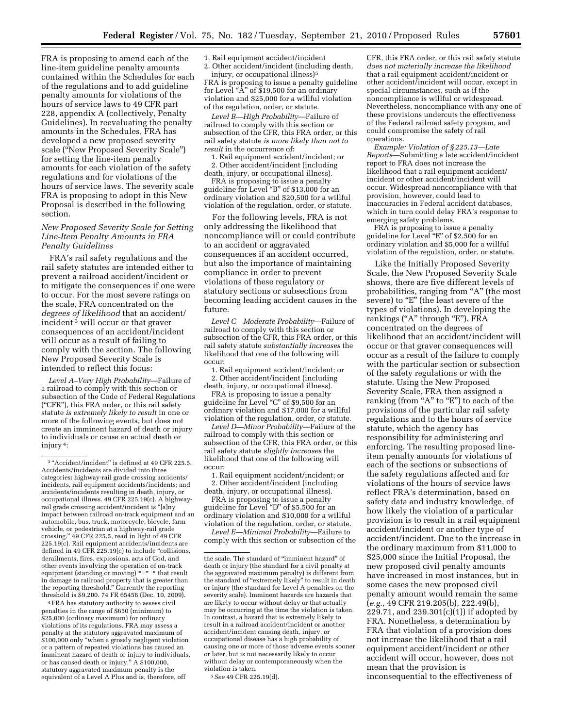FRA is proposing to amend each of the line-item guideline penalty amounts contained within the Schedules for each of the regulations and to add guideline penalty amounts for violations of the hours of service laws to 49 CFR part 228, appendix A (collectively, Penalty Guidelines). In reevaluating the penalty amounts in the Schedules, FRA has developed a new proposed severity scale (''New Proposed Severity Scale'') for setting the line-item penalty amounts for each violation of the safety regulations and for violations of the hours of service laws. The severity scale FRA is proposing to adopt in this New Proposal is described in the following section.

## *New Proposed Severity Scale for Setting Line-Item Penalty Amounts in FRA Penalty Guidelines*

FRA's rail safety regulations and the rail safety statutes are intended either to prevent a railroad accident/incident or to mitigate the consequences if one were to occur. For the most severe ratings on the scale, FRA concentrated on the *degrees of likelihood* that an accident/ incident 3 will occur or that graver consequences of an accident/incident will occur as a result of failing to comply with the section. The following New Proposed Severity Scale is intended to reflect this focus:

*Level A–Very High Probability*—Failure of a railroad to comply with this section or subsection of the Code of Federal Regulations (''CFR''), this FRA order, or this rail safety statute *is extremely likely to result* in one or more of the following events, but does not create an imminent hazard of death or injury to individuals or cause an actual death or injury 4:

4FRA has statutory authority to assess civil penalties in the range of \$650 (minimum) to \$25,000 (ordinary maximum) for ordinary violations of its regulations. FRA may assess a penalty at the statutory aggravated maximum of \$100,000 only ''when a grossly negligent violation or a pattern of repeated violations has caused an imminent hazard of death or injury to individuals, or has caused death or injury.'' A \$100,000, statutory aggravated maximum penalty is the equivalent of a Level A Plus and is, therefore, off

1. Rail equipment accident/incident

2. Other accident/incident (including death, injury, or occupational illness)5 FRA is proposing to issue a penalty guideline for Level " $\mathring{A}$ " of \$19,500 for an ordinary violation and \$25,000 for a willful violation of the regulation, order, or statute.

*Level B—High Probability*—Failure of railroad to comply with this section or subsection of the CFR, this FRA order, or this rail safety statute *is more likely than not to result* in the occurrence of:

1. Rail equipment accident/incident; or 2. Other accident/incident (including death, injury, or occupational illness).

FRA is proposing to issue a penalty guideline for Level ''B'' of \$13,000 for an ordinary violation and \$20,500 for a willful violation of the regulation, order, or statute.

For the following levels, FRA is not only addressing the likelihood that noncompliance will or could contribute to an accident or aggravated consequences if an accident occurred, but also the importance of maintaining compliance in order to prevent violations of these regulatory or statutory sections or subsections from becoming leading accident causes in the future.

*Level C—Moderate Probability*—Failure of railroad to comply with this section or subsection of the CFR, this FRA order, or this rail safety statute *substantially increases* the likelihood that one of the following will occur:

1. Rail equipment accident/incident; or 2. Other accident/incident (including

death, injury, or occupational illness). FRA is proposing to issue a penalty guideline for Level ''C'' of \$9,500 for an ordinary violation and \$17,000 for a willful violation of the regulation, order, or statute.

*Level D—Minor Probability*—Failure of the railroad to comply with this section or subsection of the CFR, this FRA order, or this rail safety statute *slightly increases* the likelihood that one of the following will occur:

1. Rail equipment accident/incident; or 2. Other accident/incident (including

death, injury, or occupational illness). FRA is proposing to issue a penalty guideline for Level ''D'' of \$5,500 for an

ordinary violation and \$10,000 for a willful violation of the regulation, order, or statute. *Level E—Minimal Probability*—Failure to

comply with this section or subsection of the

CFR, this FRA order, or this rail safety statute *does not materially increase the likelihood*  that a rail equipment accident/incident or other accident/incident will occur, except in special circumstances, such as if the noncompliance is willful or widespread. Nevertheless, noncompliance with any one of these provisions undercuts the effectiveness of the Federal railroad safety program, and could compromise the safety of rail operations.

*Example: Violation of § 225.13—Late Reports*—Submitting a late accident/incident report to FRA does not increase the likelihood that a rail equipment accident/ incident or other accident/incident will occur. Widespread noncompliance with that provision, however, could lead to inaccuracies in Federal accident databases, which in turn could delay FRA's response to emerging safety problems.

FRA is proposing to issue a penalty guideline for Level ''E'' of \$2,500 for an ordinary violation and \$5,000 for a willful violation of the regulation, order, or statute.

Like the Initially Proposed Severity Scale, the New Proposed Severity Scale shows, there are five different levels of probabilities, ranging from "A" (the most severe) to "E" (the least severe of the types of violations). In developing the rankings ("A" through "E"), FRA concentrated on the degrees of likelihood that an accident/incident will occur or that graver consequences will occur as a result of the failure to comply with the particular section or subsection of the safety regulations or with the statute. Using the New Proposed Severity Scale, FRA then assigned a ranking (from "A" to "E") to each of the provisions of the particular rail safety regulations and to the hours of service statute, which the agency has responsibility for administering and enforcing. The resulting proposed lineitem penalty amounts for violations of each of the sections or subsections of the safety regulations affected and for violations of the hours of service laws reflect FRA's determination, based on safety data and industry knowledge, of how likely the violation of a particular provision is to result in a rail equipment accident/incident or another type of accident/incident. Due to the increase in the ordinary maximum from \$11,000 to \$25,000 since the Initial Proposal, the new proposed civil penalty amounts have increased in most instances, but in some cases the new proposed civil penalty amount would remain the same (*e.g.,* 49 CFR 219.205(b), 222.49(b), 229.71, and 239.301(c)(1)) if adopted by FRA. Nonetheless, a determination by FRA that violation of a provision does not increase the likelihood that a rail equipment accident/incident or other accident will occur, however, does not mean that the provision is inconsequential to the effectiveness of

<sup>&</sup>lt;sup>3</sup>"Accident/incident" is defined at 49 CFR 225.5. Accidents/incidents are divided into three categories: highway-rail grade crossing accidents/ incidents, rail equipment accidents/incidents; and accidents/incidents resulting in death, injury, or occupational illness. 49 CFR 225.19(c). A highwayrail grade crossing accident/incident is ''[a]ny impact between railroad on-track equipment and an automobile, bus, truck, motorcycle, bicycle, farm vehicle, or pedestrian at a highway-rail grade crossing.'' 49 CFR 225.5, read in light of 49 CFR 225.19(c). Rail equipment accidents/incidents are defined in 49 CFR  $225.19(c)$  to include "collisions, derailments, fires, explosions, acts of God, and other events involving the operation of on-track equipment (standing or moving) \* \* \* that result in damage to railroad property that is greater than the reporting threshold.'' Currently the reporting threshold is \$9,200. 74 FR 65458 (Dec. 10, 2009).

the scale. The standard of ''imminent hazard'' of death or injury (the standard for a civil penalty at the aggravated maximum penalty) is different from the standard of ''extremely likely'' to result in death or injury (the standard for Level A penalties on the severity scale). Imminent hazards are hazards that are likely to occur without delay or that actually may be occurring at the time the violation is taken. In contrast, a hazard that is extremely likely to result in a railroad accident/incident or another accident/incident causing death, injury, or occupational disease has a high probability of causing one or more of those adverse events sooner or later, but is not necessarily likely to occur without delay or contemporaneously when the violation is taken.

<sup>5</sup>*See* 49 CFR 225.19(d).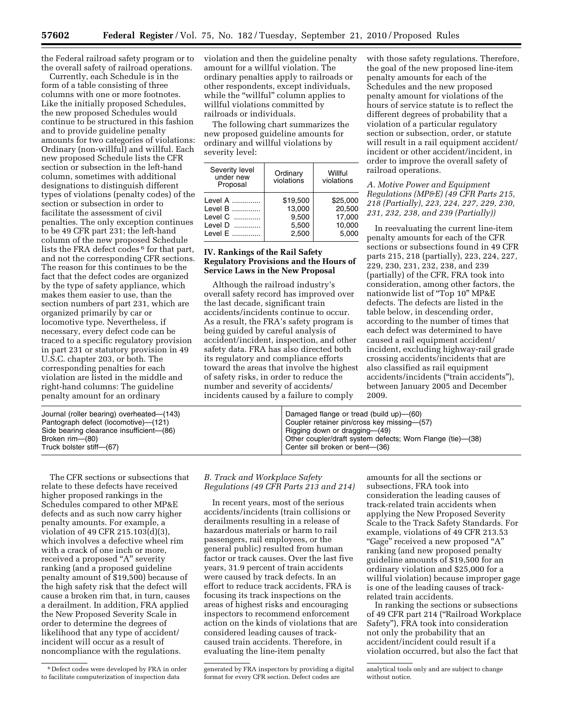the Federal railroad safety program or to the overall safety of railroad operations.

Currently, each Schedule is in the form of a table consisting of three columns with one or more footnotes. Like the initially proposed Schedules, the new proposed Schedules would continue to be structured in this fashion and to provide guideline penalty amounts for two categories of violations: Ordinary (non-willful) and willful. Each new proposed Schedule lists the CFR section or subsection in the left-hand column, sometimes with additional designations to distinguish different types of violations (penalty codes) of the section or subsection in order to facilitate the assessment of civil penalties. The only exception continues to be 49 CFR part 231; the left-hand column of the new proposed Schedule lists the FRA defect codes <sup>6</sup> for that part, and not the corresponding CFR sections. The reason for this continues to be the fact that the defect codes are organized by the type of safety appliance, which makes them easier to use, than the section numbers of part 231, which are organized primarily by car or locomotive type. Nevertheless, if necessary, every defect code can be traced to a specific regulatory provision in part 231 or statutory provision in 49 U.S.C. chapter 203, or both. The corresponding penalties for each violation are listed in the middle and right-hand columns: The guideline penalty amount for an ordinary

violation and then the guideline penalty amount for a willful violation. The ordinary penalties apply to railroads or other respondents, except individuals, while the "willful" column applies to willful violations committed by railroads or individuals.

The following chart summarizes the new proposed guideline amounts for ordinary and willful violations by severity level:

| Severity level<br>under new<br>Proposal | Ordinary<br>violations | Willful<br>violations |
|-----------------------------------------|------------------------|-----------------------|
| Level A                                 | \$19,500               | \$25,000              |
| Level B                                 | 13,000                 | 20,500                |
| Level C                                 | 9,500                  | 17,000                |
| Level D                                 | 5,500                  | 10,000                |
| Level E                                 | 2.500                  | 5.000                 |

## **IV. Rankings of the Rail Safety Regulatory Provisions and the Hours of Service Laws in the New Proposal**

Although the railroad industry's overall safety record has improved over the last decade, significant train accidents/incidents continue to occur. As a result, the FRA's safety program is being guided by careful analysis of accident/incident, inspection, and other safety data. FRA has also directed both its regulatory and compliance efforts toward the areas that involve the highest of safety risks, in order to reduce the number and severity of accidents/ incidents caused by a failure to comply

with those safety regulations. Therefore, the goal of the new proposed line-item penalty amounts for each of the Schedules and the new proposed penalty amount for violations of the hours of service statute is to reflect the different degrees of probability that a violation of a particular regulatory section or subsection, order, or statute will result in a rail equipment accident/ incident or other accident/incident, in order to improve the overall safety of railroad operations.

## *A. Motive Power and Equipment Regulations (MP&E) (49 CFR Parts 215, 218 (Partially), 223, 224, 227, 229, 230, 231, 232, 238, and 239 (Partially))*

In reevaluating the current line-item penalty amounts for each of the CFR sections or subsections found in 49 CFR parts 215, 218 (partially), 223, 224, 227, 229, 230, 231, 232, 238, and 239 (partially) of the CFR, FRA took into consideration, among other factors, the nationwide list of ''Top 10'' MP&E defects. The defects are listed in the table below, in descending order, according to the number of times that each defect was determined to have caused a rail equipment accident/ incident, excluding highway-rail grade crossing accidents/incidents that are also classified as rail equipment accidents/incidents (''train accidents''), between January 2005 and December 2009.

| Journal (roller bearing) overheated-(143)<br>Pantograph defect (locomotive)—(121)<br>Side bearing clearance insufficient-(86)<br>Broken rim-(80)<br>Truck bolster stiff-(67) | Damaged flange or tread (build up)–(60)<br>Coupler retainer pin/cross key missing-(57)<br>Rigging down or dragging—(49)<br>Other coupler/draft system defects; Worn Flange (tie)-(38)<br>Center sill broken or bent-(36) |
|------------------------------------------------------------------------------------------------------------------------------------------------------------------------------|--------------------------------------------------------------------------------------------------------------------------------------------------------------------------------------------------------------------------|
|                                                                                                                                                                              |                                                                                                                                                                                                                          |

The CFR sections or subsections that relate to these defects have received higher proposed rankings in the Schedules compared to other MP&E defects and as such now carry higher penalty amounts. For example, a violation of 49 CFR 215.103(d)(3), which involves a defective wheel rim with a crack of one inch or more, received a proposed "A" severity ranking (and a proposed guideline penalty amount of \$19,500) because of the high safety risk that the defect will cause a broken rim that, in turn, causes a derailment. In addition, FRA applied the New Proposed Severity Scale in order to determine the degrees of likelihood that any type of accident/ incident will occur as a result of noncompliance with the regulations.

# *B. Track and Workplace Safety Regulations (49 CFR Parts 213 and 214)*

In recent years, most of the serious accidents/incidents (train collisions or derailments resulting in a release of hazardous materials or harm to rail passengers, rail employees, or the general public) resulted from human factor or track causes. Over the last five years, 31.9 percent of train accidents were caused by track defects. In an effort to reduce track accidents, FRA is focusing its track inspections on the areas of highest risks and encouraging inspectors to recommend enforcement action on the kinds of violations that are considered leading causes of trackcaused train accidents. Therefore, in evaluating the line-item penalty

amounts for all the sections or subsections, FRA took into consideration the leading causes of track-related train accidents when applying the New Proposed Severity Scale to the Track Safety Standards. For example, violations of 49 CFR 213.53 ''Gage'' received a new proposed ''A'' ranking (and new proposed penalty guideline amounts of \$19,500 for an ordinary violation and \$25,000 for a willful violation) because improper gage is one of the leading causes of trackrelated train accidents.

In ranking the sections or subsections of 49 CFR part 214 (''Railroad Workplace Safety''), FRA took into consideration not only the probability that an accident/incident could result if a violation occurred, but also the fact that

<sup>6</sup> Defect codes were developed by FRA in order to facilitate computerization of inspection data

generated by FRA inspectors by providing a digital format for every CFR section. Defect codes are

analytical tools only and are subject to change without notice.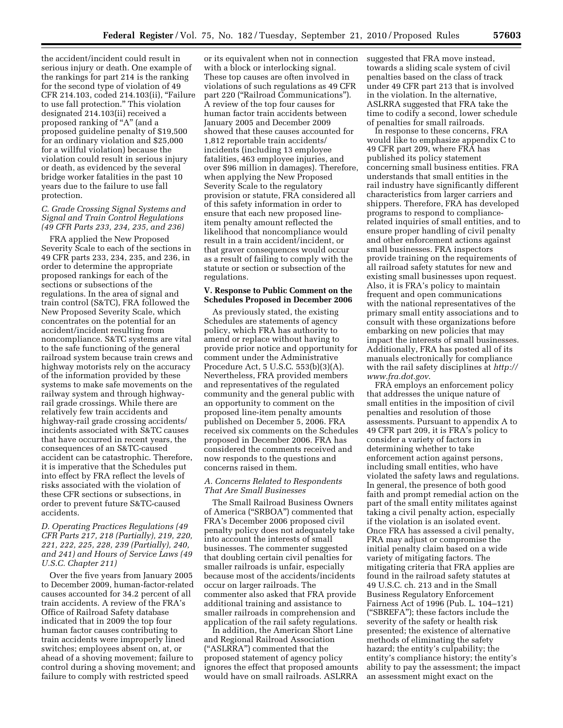the accident/incident could result in serious injury or death. One example of the rankings for part 214 is the ranking for the second type of violation of 49 CFR 214.103, coded 214.103(ii), ''Failure to use fall protection.'' This violation designated 214.103(ii) received a proposed ranking of "A" (and a proposed guideline penalty of \$19,500 for an ordinary violation and \$25,000 for a willful violation) because the violation could result in serious injury or death, as evidenced by the several bridge worker fatalities in the past 10 years due to the failure to use fall protection.

#### *C. Grade Crossing Signal Systems and Signal and Train Control Regulations (49 CFR Parts 233, 234, 235, and 236)*

FRA applied the New Proposed Severity Scale to each of the sections in 49 CFR parts 233, 234, 235, and 236, in order to determine the appropriate proposed rankings for each of the sections or subsections of the regulations. In the area of signal and train control (S&TC), FRA followed the New Proposed Severity Scale, which concentrates on the potential for an accident/incident resulting from noncompliance. S&TC systems are vital to the safe functioning of the general railroad system because train crews and highway motorists rely on the accuracy of the information provided by these systems to make safe movements on the railway system and through highwayrail grade crossings. While there are relatively few train accidents and highway-rail grade crossing accidents/ incidents associated with S&TC causes that have occurred in recent years, the consequences of an S&TC-caused accident can be catastrophic. Therefore, it is imperative that the Schedules put into effect by FRA reflect the levels of risks associated with the violation of these CFR sections or subsections, in order to prevent future S&TC-caused accidents.

## *D. Operating Practices Regulations (49 CFR Parts 217, 218 (Partially), 219, 220, 221, 222, 225, 228, 239 (Partially), 240, and 241) and Hours of Service Laws (49 U.S.C. Chapter 211)*

Over the five years from January 2005 to December 2009, human-factor-related causes accounted for 34.2 percent of all train accidents. A review of the FRA's Office of Railroad Safety database indicated that in 2009 the top four human factor causes contributing to train accidents were improperly lined switches; employees absent on, at, or ahead of a shoving movement; failure to control during a shoving movement; and failure to comply with restricted speed

or its equivalent when not in connection with a block or interlocking signal. These top causes are often involved in violations of such regulations as 49 CFR part 220 (''Railroad Communications''). A review of the top four causes for human factor train accidents between January 2005 and December 2009 showed that these causes accounted for 1,812 reportable train accidents/ incidents (including 13 employee fatalities, 463 employee injuries, and over \$96 million in damages). Therefore, when applying the New Proposed Severity Scale to the regulatory provision or statute, FRA considered all of this safety information in order to ensure that each new proposed lineitem penalty amount reflected the likelihood that noncompliance would result in a train accident/incident, or that graver consequences would occur as a result of failing to comply with the statute or section or subsection of the regulations.

#### **V. Response to Public Comment on the Schedules Proposed in December 2006**

As previously stated, the existing Schedules are statements of agency policy, which FRA has authority to amend or replace without having to provide prior notice and opportunity for comment under the Administrative Procedure Act, 5 U.S.C. 553(b)(3)(A). Nevertheless, FRA provided members and representatives of the regulated community and the general public with an opportunity to comment on the proposed line-item penalty amounts published on December 5, 2006. FRA received six comments on the Schedules proposed in December 2006. FRA has considered the comments received and now responds to the questions and concerns raised in them.

#### *A. Concerns Related to Respondents That Are Small Businesses*

The Small Railroad Business Owners of America (''SRBOA'') commented that FRA's December 2006 proposed civil penalty policy does not adequately take into account the interests of small businesses. The commenter suggested that doubling certain civil penalties for smaller railroads is unfair, especially because most of the accidents/incidents occur on larger railroads. The commenter also asked that FRA provide additional training and assistance to smaller railroads in comprehension and application of the rail safety regulations.

In addition, the American Short Line and Regional Railroad Association (''ASLRRA'') commented that the proposed statement of agency policy ignores the effect that proposed amounts would have on small railroads. ASLRRA suggested that FRA move instead, towards a sliding scale system of civil penalties based on the class of track under 49 CFR part 213 that is involved in the violation. In the alternative, ASLRRA suggested that FRA take the time to codify a second, lower schedule of penalties for small railroads.

In response to these concerns, FRA would like to emphasize appendix C to 49 CFR part 209, where FRA has published its policy statement concerning small business entities. FRA understands that small entities in the rail industry have significantly different characteristics from larger carriers and shippers. Therefore, FRA has developed programs to respond to compliancerelated inquiries of small entities, and to ensure proper handling of civil penalty and other enforcement actions against small businesses. FRA inspectors provide training on the requirements of all railroad safety statutes for new and existing small businesses upon request. Also, it is FRA's policy to maintain frequent and open communications with the national representatives of the primary small entity associations and to consult with these organizations before embarking on new policies that may impact the interests of small businesses. Additionally, FRA has posted all of its manuals electronically for compliance with the rail safety disciplines at *[http://](http://www.fra.dot.gov) [www.fra.dot.gov](http://www.fra.dot.gov)*.

FRA employs an enforcement policy that addresses the unique nature of small entities in the imposition of civil penalties and resolution of those assessments. Pursuant to appendix A to 49 CFR part 209, it is FRA's policy to consider a variety of factors in determining whether to take enforcement action against persons, including small entities, who have violated the safety laws and regulations. In general, the presence of both good faith and prompt remedial action on the part of the small entity militates against taking a civil penalty action, especially if the violation is an isolated event. Once FRA has assessed a civil penalty, FRA may adjust or compromise the initial penalty claim based on a wide variety of mitigating factors. The mitigating criteria that FRA applies are found in the railroad safety statutes at 49 U.S.C. ch. 213 and in the Small Business Regulatory Enforcement Fairness Act of 1996 (Pub. L. 104–121) (''SBREFA''); these factors include the severity of the safety or health risk presented; the existence of alternative methods of eliminating the safety hazard; the entity's culpability; the entity's compliance history; the entity's ability to pay the assessment; the impact an assessment might exact on the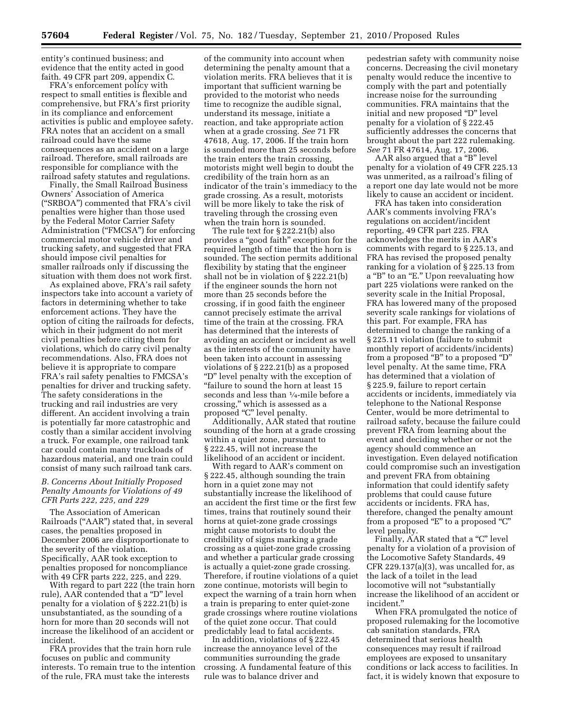entity's continued business; and evidence that the entity acted in good faith. 49 CFR part 209, appendix C.

FRA's enforcement policy with respect to small entities is flexible and comprehensive, but FRA's first priority in its compliance and enforcement activities is public and employee safety. FRA notes that an accident on a small railroad could have the same consequences as an accident on a large railroad. Therefore, small railroads are responsible for compliance with the railroad safety statutes and regulations.

Finally, the Small Railroad Business Owners' Association of America (''SRBOA'') commented that FRA's civil penalties were higher than those used by the Federal Motor Carrier Safety Administration ("FMCSA") for enforcing commercial motor vehicle driver and trucking safety, and suggested that FRA should impose civil penalties for smaller railroads only if discussing the situation with them does not work first.

As explained above, FRA's rail safety inspectors take into account a variety of factors in determining whether to take enforcement actions. They have the option of citing the railroads for defects, which in their judgment do not merit civil penalties before citing them for violations, which do carry civil penalty recommendations. Also, FRA does not believe it is appropriate to compare FRA's rail safety penalties to FMCSA's penalties for driver and trucking safety. The safety considerations in the trucking and rail industries are very different. An accident involving a train is potentially far more catastrophic and costly than a similar accident involving a truck. For example, one railroad tank car could contain many truckloads of hazardous material, and one train could consist of many such railroad tank cars.

## *B. Concerns About Initially Proposed Penalty Amounts for Violations of 49 CFR Parts 222, 225, and 229*

The Association of American Railroads (''AAR'') stated that, in several cases, the penalties proposed in December 2006 are disproportionate to the severity of the violation. Specifically, AAR took exception to penalties proposed for noncompliance with 49 CFR parts 222, 225, and 229.

With regard to part 222 (the train horn rule), AAR contended that a ''D'' level penalty for a violation of § 222.21(b) is unsubstantiated, as the sounding of a horn for more than 20 seconds will not increase the likelihood of an accident or incident.

FRA provides that the train horn rule focuses on public and community interests. To remain true to the intention of the rule, FRA must take the interests

of the community into account when determining the penalty amount that a violation merits. FRA believes that it is important that sufficient warning be provided to the motorist who needs time to recognize the audible signal, understand its message, initiate a reaction, and take appropriate action when at a grade crossing. *See* 71 FR 47618, Aug. 17, 2006. If the train horn is sounded more than 25 seconds before the train enters the train crossing, motorists might well begin to doubt the credibility of the train horn as an indicator of the train's immediacy to the grade crossing. As a result, motorists will be more likely to take the risk of traveling through the crossing even when the train horn is sounded.

The rule text for § 222.21(b) also provides a ''good faith'' exception for the required length of time that the horn is sounded. The section permits additional flexibility by stating that the engineer shall not be in violation of § 222.21(b) if the engineer sounds the horn not more than 25 seconds before the crossing, if in good faith the engineer cannot precisely estimate the arrival time of the train at the crossing. FRA has determined that the interests of avoiding an accident or incident as well as the interests of the community have been taken into account in assessing violations of § 222.21(b) as a proposed ''D'' level penalty with the exception of ''failure to sound the horn at least 15 seconds and less than 1⁄4-mile before a crossing,'' which is assessed as a proposed "C" level penalty.

Additionally, AAR stated that routine sounding of the horn at a grade crossing within a quiet zone, pursuant to § 222.45, will not increase the likelihood of an accident or incident.

With regard to AAR's comment on § 222.45, although sounding the train horn in a quiet zone may not substantially increase the likelihood of an accident the first time or the first few times, trains that routinely sound their horns at quiet-zone grade crossings might cause motorists to doubt the credibility of signs marking a grade crossing as a quiet-zone grade crossing and whether a particular grade crossing is actually a quiet-zone grade crossing. Therefore, if routine violations of a quiet zone continue, motorists will begin to expect the warning of a train horn when a train is preparing to enter quiet-zone grade crossings where routine violations of the quiet zone occur. That could predictably lead to fatal accidents.

In addition, violations of § 222.45 increase the annoyance level of the communities surrounding the grade crossing. A fundamental feature of this rule was to balance driver and

pedestrian safety with community noise concerns. Decreasing the civil monetary penalty would reduce the incentive to comply with the part and potentially increase noise for the surrounding communities. FRA maintains that the initial and new proposed "D" level penalty for a violation of § 222.45 sufficiently addresses the concerns that brought about the part 222 rulemaking. *See* 71 FR 47614, Aug. 17, 2006.

AAR also argued that a ''B'' level penalty for a violation of 49 CFR 225.13 was unmerited, as a railroad's filing of a report one day late would not be more likely to cause an accident or incident.

FRA has taken into consideration AAR's comments involving FRA's regulations on accident/incident reporting, 49 CFR part 225. FRA acknowledges the merits in AAR's comments with regard to § 225.13, and FRA has revised the proposed penalty ranking for a violation of § 225.13 from a "B" to an "E." Upon reevaluating how part 225 violations were ranked on the severity scale in the Initial Proposal, FRA has lowered many of the proposed severity scale rankings for violations of this part. For example, FRA has determined to change the ranking of a § 225.11 violation (failure to submit monthly report of accidents/incidents) from a proposed ''B'' to a proposed ''D'' level penalty. At the same time, FRA has determined that a violation of § 225.9, failure to report certain accidents or incidents, immediately via telephone to the National Response Center, would be more detrimental to railroad safety, because the failure could prevent FRA from learning about the event and deciding whether or not the agency should commence an investigation. Even delayed notification could compromise such an investigation and prevent FRA from obtaining information that could identify safety problems that could cause future accidents or incidents. FRA has, therefore, changed the penalty amount from a proposed "E" to a proposed "C" level penalty.

Finally, AAR stated that a "C" level penalty for a violation of a provision of the Locomotive Safety Standards, 49 CFR  $229.137(a)(3)$ , was uncalled for, as the lack of a toilet in the lead locomotive will not "substantially increase the likelihood of an accident or incident.''

When FRA promulgated the notice of proposed rulemaking for the locomotive cab sanitation standards, FRA determined that serious health consequences may result if railroad employees are exposed to unsanitary conditions or lack access to facilities. In fact, it is widely known that exposure to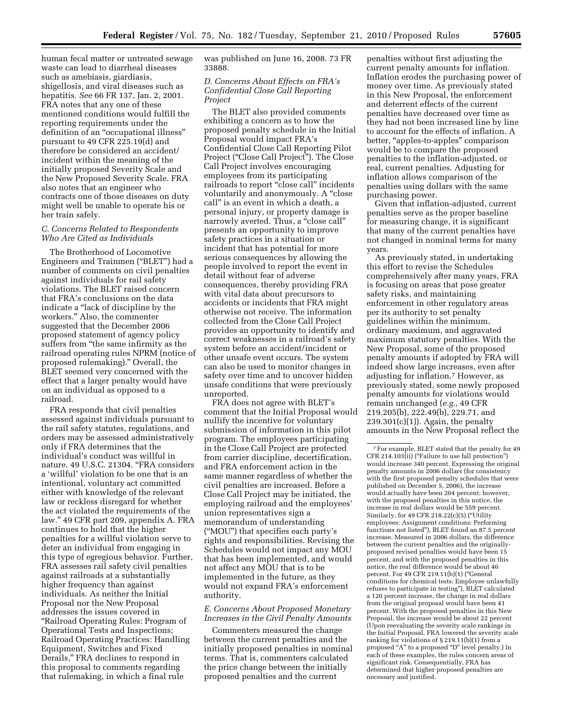human fecal matter or untreated sewage waste can lead to diarrheal diseases such as amebiasis, giardiasis, shigellosis, and viral diseases such as hepatitis. *See* 66 FR 137, Jan. 2, 2001. FRA notes that any one of these mentioned conditions would fulfill the reporting requirements under the definition of an "occupational illness" pursuant to 49 CFR 225.19(d) and therefore be considered an accident/ incident within the meaning of the initially proposed Severity Scale and the New Proposed Severity Scale. FRA also notes that an engineer who contracts one of those diseases on duty might well be unable to operate his or her train safely.

### *C. Concerns Related to Respondents Who Are Cited as Individuals*

The Brotherhood of Locomotive Engineers and Trainmen (''BLET'') had a number of comments on civil penalties against individuals for rail safety violations. The BLET raised concern that FRA's conclusions on the data indicate a ''lack of discipline by the workers.'' Also, the commenter suggested that the December 2006 proposed statement of agency policy suffers from "the same infirmity as the railroad operating rules NPRM (notice of proposed rulemaking).'' Overall, the BLET seemed very concerned with the effect that a larger penalty would have on an individual as opposed to a railroad.

FRA responds that civil penalties assessed against individuals pursuant to the rail safety statutes, regulations, and orders may be assessed administratively only if FRA determines that the individual's conduct was willful in nature. 49 U.S.C. 21304. "FRA considers a 'willful' violation to be one that is an intentional, voluntary act committed either with knowledge of the relevant law or reckless disregard for whether the act violated the requirements of the law.'' 49 CFR part 209, appendix A. FRA continues to hold that the higher penalties for a willful violation serve to deter an individual from engaging in this type of egregious behavior. Further, FRA assesses rail safety civil penalties against railroads at a substantially higher frequency than against individuals. As neither the Initial Proposal nor the New Proposal addresses the issues covered in ''Railroad Operating Rules: Program of Operational Tests and Inspections; Railroad Operating Practices: Handling Equipment, Switches and Fixed Derails,'' FRA declines to respond in this proposal to comments regarding that rulemaking, in which a final rule

was published on June 16, 2008. 73 FR 33888.

## *D. Concerns About Effects on FRA's Confidential Close Call Reporting Project*

The BLET also provided comments exhibiting a concern as to how the proposed penalty schedule in the Initial Proposal would impact FRA's Confidential Close Call Reporting Pilot Project ("Close Call Project"). The Close Call Project involves encouraging employees from its participating railroads to report "close call" incidents voluntarily and anonymously. A ''close call'' is an event in which a death, a personal injury, or property damage is narrowly averted. Thus, a "close call" presents an opportunity to improve safety practices in a situation or incident that has potential for more serious consequences by allowing the people involved to report the event in detail without fear of adverse consequences, thereby providing FRA with vital data about precursors to accidents or incidents that FRA might otherwise not receive. The information collected from the Close Call Project provides an opportunity to identify and correct weaknesses in a railroad's safety system before an accident/incident or other unsafe event occurs. The system can also be used to monitor changes in safety over time and to uncover hidden unsafe conditions that were previously unreported.

FRA does not agree with BLET's comment that the Initial Proposal would nullify the incentive for voluntary submission of information in this pilot program. The employees participating in the Close Call Project are protected from carrier discipline, decertification, and FRA enforcement action in the same manner regardless of whether the civil penalties are increased. Before a Close Call Project may be initiated, the employing railroad and the employees' union representatives sign a memorandum of understanding (''MOU'') that specifies each party's rights and responsibilities. Revising the Schedules would not impact any MOU that has been implemented, and would not affect any MOU that is to be implemented in the future, as they would not expand FRA's enforcement authority.

#### *E. Concerns About Proposed Monetary Increases in the Civil Penalty Amounts*

Commenters measured the change between the current penalties and the initially proposed penalties in nominal terms. That is, commenters calculated the price change between the initially proposed penalties and the current

penalties without first adjusting the current penalty amounts for inflation. Inflation erodes the purchasing power of money over time. As previously stated in this New Proposal, the enforcement and deterrent effects of the current penalties have decreased over time as they had not been increased line by line to account for the effects of inflation. A better, "apples-to-apples" comparison would be to compare the proposed penalties to the inflation-adjusted, or real, current penalties. Adjusting for inflation allows comparison of the penalties using dollars with the same purchasing power.

Given that inflation-adjusted, current penalties serve as the proper baseline for measuring change, it is significant that many of the current penalties have not changed in nominal terms for many years.

As previously stated, in undertaking this effort to revise the Schedules comprehensively after many years, FRA is focusing on areas that pose greater safety risks, and maintaining enforcement in other regulatory areas per its authority to set penalty guidelines within the minimum, ordinary maximum, and aggravated maximum statutory penalties. With the New Proposal, some of the proposed penalty amounts if adopted by FRA will indeed show large increases, even after adjusting for inflation.7 However, as previously stated, some newly proposed penalty amounts for violations would remain unchanged (*e.g.,* 49 CFR 219.205(b), 222.49(b), 229.71, and  $239.301(c)(1)$ . Again, the penalty amounts in the New Proposal reflect the

<sup>7</sup>For example, BLET stated that the penalty for 49 CFR 214.103(ii) (''Failure to use fall protection'') would increase 340 percent. Expressing the original penalty amounts in 2006 dollars (for consistency with the first proposed penalty schedules that were published on December 5, 2006), the increase would actually have been 204 percent; however, with the proposed penalties in this notice, the increase in real dollars would be 559 percent. Similarly, for 49 CFR 218.22(c)(5) (''Utility employees: Assignment conditions: Performing functions not listed''), BLET found an 87.5 percent increase. Measured in 2006 dollars, the difference between the current penalties and the originallyproposed revised penalties would have been 15 percent, and with the proposed penalties in this notice, the real difference would be about 46 percent. For 49 CFR 219.11(b)(1) (''General conditions for chemical tests: Employee unlawfully refuses to participate in testing''), BLET calculated a 120 percent increase, the change in real dollars from the original proposal would have been 41 percent. With the proposed penalties in this New Proposal, the increase would be about 22 percent (Upon reevaluating the severity scale rankings in the Initial Proposal, FRA lowered the severity scale ranking for violations of § 219.11(b)(1) from a proposed "A" to a proposed "D" level penalty.) In each of these examples, the rules concern areas of significant risk. Consequentially, FRA has determined that higher proposed penalties are necessary and justified.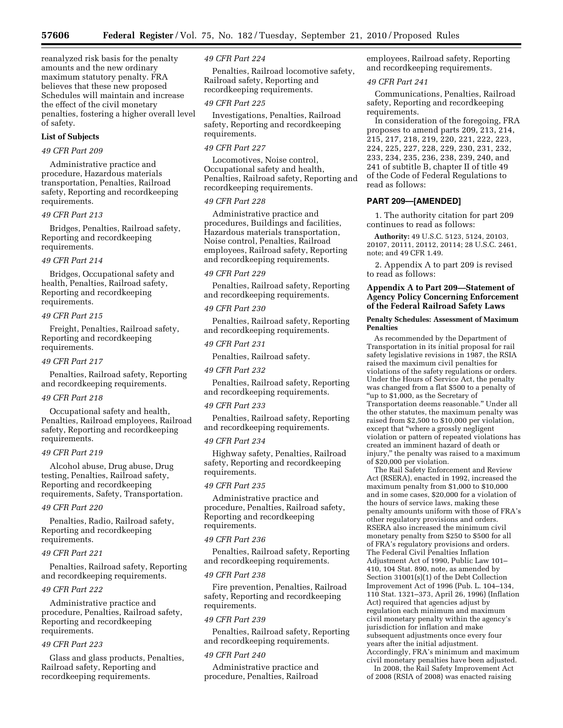reanalyzed risk basis for the penalty amounts and the new ordinary maximum statutory penalty. FRA believes that these new proposed Schedules will maintain and increase the effect of the civil monetary penalties, fostering a higher overall level of safety.

#### **List of Subjects**

## *49 CFR Part 209*

Administrative practice and procedure, Hazardous materials transportation, Penalties, Railroad safety, Reporting and recordkeeping requirements.

#### *49 CFR Part 213*

Bridges, Penalties, Railroad safety, Reporting and recordkeeping requirements.

#### *49 CFR Part 214*

Bridges, Occupational safety and health, Penalties, Railroad safety, Reporting and recordkeeping requirements.

#### *49 CFR Part 215*

Freight, Penalties, Railroad safety, Reporting and recordkeeping requirements.

#### *49 CFR Part 217*

Penalties, Railroad safety, Reporting and recordkeeping requirements.

#### *49 CFR Part 218*

Occupational safety and health, Penalties, Railroad employees, Railroad safety, Reporting and recordkeeping requirements.

#### *49 CFR Part 219*

Alcohol abuse, Drug abuse, Drug testing, Penalties, Railroad safety, Reporting and recordkeeping requirements, Safety, Transportation.

#### *49 CFR Part 220*

Penalties, Radio, Railroad safety, Reporting and recordkeeping requirements.

#### *49 CFR Part 221*

Penalties, Railroad safety, Reporting and recordkeeping requirements.

#### *49 CFR Part 222*

Administrative practice and procedure, Penalties, Railroad safety, Reporting and recordkeeping requirements.

#### *49 CFR Part 223*

Glass and glass products, Penalties, Railroad safety, Reporting and recordkeeping requirements.

#### *49 CFR Part 224*

Penalties, Railroad locomotive safety, Railroad safety, Reporting and recordkeeping requirements.

#### *49 CFR Part 225*

Investigations, Penalties, Railroad safety, Reporting and recordkeeping requirements.

#### *49 CFR Part 227*

Locomotives, Noise control, Occupational safety and health, Penalties, Railroad safety, Reporting and recordkeeping requirements.

## *49 CFR Part 228*

Administrative practice and procedures, Buildings and facilities, Hazardous materials transportation, Noise control, Penalties, Railroad employees, Railroad safety, Reporting and recordkeeping requirements.

#### *49 CFR Part 229*

Penalties, Railroad safety, Reporting and recordkeeping requirements.

## *49 CFR Part 230*

Penalties, Railroad safety, Reporting and recordkeeping requirements.

#### *49 CFR Part 231*

Penalties, Railroad safety.

#### *49 CFR Part 232*

Penalties, Railroad safety, Reporting and recordkeeping requirements.

#### *49 CFR Part 233*

Penalties, Railroad safety, Reporting and recordkeeping requirements.

#### *49 CFR Part 234*

Highway safety, Penalties, Railroad safety, Reporting and recordkeeping requirements.

#### *49 CFR Part 235*

Administrative practice and procedure, Penalties, Railroad safety, Reporting and recordkeeping requirements.

#### *49 CFR Part 236*

Penalties, Railroad safety, Reporting and recordkeeping requirements.

#### *49 CFR Part 238*

Fire prevention, Penalties, Railroad safety, Reporting and recordkeeping requirements.

#### *49 CFR Part 239*

Penalties, Railroad safety, Reporting and recordkeeping requirements.

#### *49 CFR Part 240*

Administrative practice and procedure, Penalties, Railroad employees, Railroad safety, Reporting and recordkeeping requirements.

#### *49 CFR Part 241*

Communications, Penalties, Railroad safety, Reporting and recordkeeping requirements.

In consideration of the foregoing, FRA proposes to amend parts 209, 213, 214, 215, 217, 218, 219, 220, 221, 222, 223, 224, 225, 227, 228, 229, 230, 231, 232, 233, 234, 235, 236, 238, 239, 240, and 241 of subtitle B, chapter II of title 49 of the Code of Federal Regulations to read as follows:

## **PART 209—[AMENDED]**

1. The authority citation for part 209 continues to read as follows:

**Authority:** 49 U.S.C. 5123, 5124, 20103, 20107, 20111, 20112, 20114; 28 U.S.C. 2461, note; and 49 CFR 1.49.

2. Appendix A to part 209 is revised to read as follows:

#### **Appendix A to Part 209—Statement of Agency Policy Concerning Enforcement of the Federal Railroad Safety Laws**

#### **Penalty Schedules: Assessment of Maximum Penalties**

As recommended by the Department of Transportation in its initial proposal for rail safety legislative revisions in 1987, the RSIA raised the maximum civil penalties for violations of the safety regulations or orders. Under the Hours of Service Act, the penalty was changed from a flat \$500 to a penalty of ''up to \$1,000, as the Secretary of Transportation deems reasonable.'' Under all the other statutes, the maximum penalty was raised from \$2,500 to \$10,000 per violation, except that ''where a grossly negligent violation or pattern of repeated violations has created an imminent hazard of death or injury,'' the penalty was raised to a maximum of \$20,000 per violation.

The Rail Safety Enforcement and Review Act (RSERA), enacted in 1992, increased the maximum penalty from \$1,000 to \$10,000 and in some cases, \$20,000 for a violation of the hours of service laws, making these penalty amounts uniform with those of FRA's other regulatory provisions and orders. RSERA also increased the minimum civil monetary penalty from \$250 to \$500 for all of FRA's regulatory provisions and orders. The Federal Civil Penalties Inflation Adjustment Act of 1990, Public Law 101– 410, 104 Stat. 890, note, as amended by Section 31001(s)(1) of the Debt Collection Improvement Act of 1996 (Pub. L. 104–134, 110 Stat. 1321–373, April 26, 1996) (Inflation Act) required that agencies adjust by regulation each minimum and maximum civil monetary penalty within the agency's jurisdiction for inflation and make subsequent adjustments once every four years after the initial adjustment. Accordingly, FRA's minimum and maximum civil monetary penalties have been adjusted. In 2008, the Rail Safety Improvement Act

of 2008 (RSIA of 2008) was enacted raising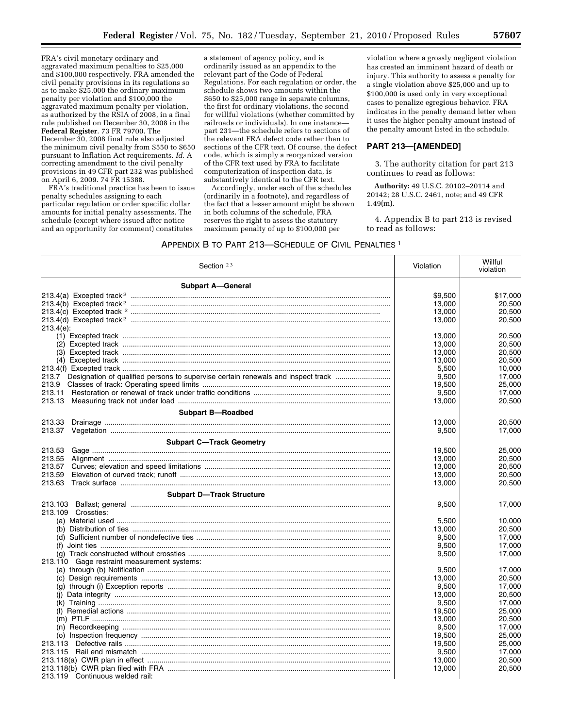FRA's civil monetary ordinary and aggravated maximum penalties to \$25,000 and \$100,000 respectively. FRA amended the civil penalty provisions in its regulations so as to make \$25,000 the ordinary maximum penalty per violation and \$100,000 the aggravated maximum penalty per violation, as authorized by the RSIA of 2008, in a final rule published on December 30, 2008 in the **Federal Register**. 73 FR 79700. The December 30, 2008 final rule also adjusted the minimum civil penalty from \$550 to \$650 pursuant to Inflation Act requirements. *Id.* A correcting amendment to the civil penalty provisions in 49 CFR part 232 was published on April 6, 2009. 74 FR 15388.

FRA's traditional practice has been to issue penalty schedules assigning to each particular regulation or order specific dollar amounts for initial penalty assessments. The schedule (except where issued after notice and an opportunity for comment) constitutes

a statement of agency policy, and is ordinarily issued as an appendix to the relevant part of the Code of Federal Regulations. For each regulation or order, the schedule shows two amounts within the \$650 to \$25,000 range in separate columns, the first for ordinary violations, the second for willful violations (whether committed by railroads or individuals). In one instance part 231—the schedule refers to sections of the relevant FRA defect code rather than to sections of the CFR text. Of course, the defect code, which is simply a reorganized version of the CFR text used by FRA to facilitate computerization of inspection data, is substantively identical to the CFR text.

Accordingly, under each of the schedules (ordinarily in a footnote), and regardless of the fact that a lesser amount might be shown in both columns of the schedule, FRA reserves the right to assess the statutory maximum penalty of up to \$100,000 per

violation where a grossly negligent violation has created an imminent hazard of death or injury. This authority to assess a penalty for a single violation above \$25,000 and up to \$100,000 is used only in very exceptional cases to penalize egregious behavior. FRA indicates in the penalty demand letter when it uses the higher penalty amount instead of the penalty amount listed in the schedule.

## **PART 213—[AMENDED]**

3. The authority citation for part 213 continues to read as follows:

**Authority:** 49 U.S.C. 20102–20114 and 20142; 28 U.S.C. 2461, note; and 49 CFR 1.49(m).

4. Appendix B to part 213 is revised to read as follows:

#### APPENDIX B TO PART 213—SCHEDULE OF CIVIL PENALTIES 1

| Section 23                                  | Violation | Willful<br>violation |
|---------------------------------------------|-----------|----------------------|
| <b>Subpart A-General</b>                    |           |                      |
|                                             | \$9,500   | \$17,000             |
|                                             | 13,000    | 20,500               |
|                                             | 13,000    | 20,500               |
|                                             | 13,000    | 20,500               |
| $213.4(e)$ :                                |           |                      |
|                                             | 13,000    | 20.500               |
|                                             | 13,000    | 20,500               |
|                                             | 13,000    | 20,500               |
|                                             | 13.000    | 20.500               |
|                                             | 5,500     | 10,000               |
|                                             | 9,500     | 17,000               |
| 213.9                                       | 19,500    | 25,000               |
| 213.11                                      | 9,500     | 17,000               |
| 213.13                                      | 13,000    | 20,500               |
| <b>Subpart B-Roadbed</b>                    |           |                      |
|                                             | 13,000    | 20,500               |
|                                             | 9,500     | 17,000               |
|                                             |           |                      |
| <b>Subpart C-Track Geometry</b>             |           |                      |
| 213.53                                      | 19,500    | 25,000               |
| 213.55                                      | 13,000    | 20,500               |
| 213.57                                      | 13,000    | 20,500               |
| 213.59                                      | 13,000    | 20,500               |
| 213.63                                      | 13,000    | 20.500               |
| <b>Subpart D-Track Structure</b>            |           |                      |
|                                             | 9,500     | 17,000               |
| 213.109 Crossties:                          |           |                      |
|                                             | 5,500     | 10,000               |
|                                             | 13,000    | 20,500               |
|                                             | 9,500     | 17,000               |
|                                             | 9,500     | 17,000               |
|                                             | 9,500     | 17,000               |
| 213.110 Gage restraint measurement systems: |           |                      |
|                                             | 9,500     | 17,000               |
|                                             | 13,000    | 20,500               |
|                                             | 9,500     | 17.000               |
|                                             | 13,000    | 20,500               |
|                                             | 9,500     | 17,000               |
|                                             | 19,500    | 25,000               |
|                                             | 13,000    | 20,500               |
|                                             | 9,500     | 17,000               |
|                                             | 19,500    | 25,000               |
|                                             | 19,500    | 25,000               |
|                                             | 9,500     | 17.000               |
|                                             | 13,000    | 20.500               |
|                                             | 13,000    | 20,500               |
| 213.119 Continuous welded rail:             |           |                      |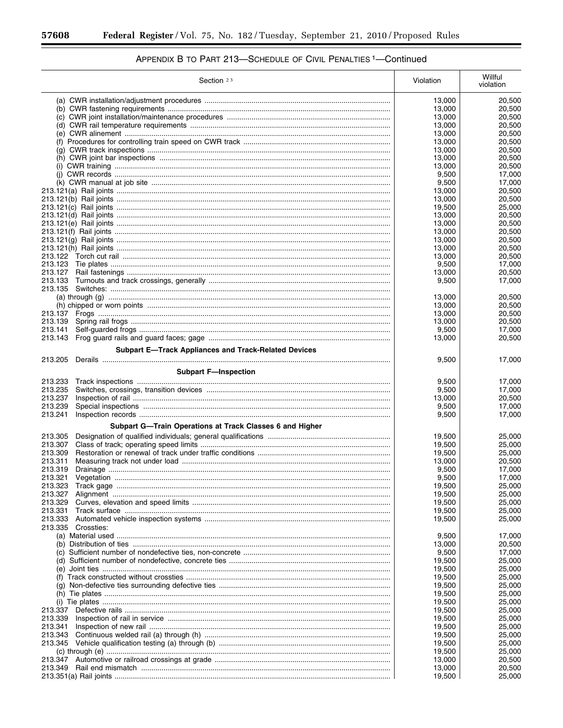٠

| Section $23$                                                | Violation        | Willful<br>violation |
|-------------------------------------------------------------|------------------|----------------------|
|                                                             | 13,000           | 20,500               |
|                                                             | 13,000           | 20,500               |
|                                                             | 13,000           | 20,500               |
|                                                             | 13,000           | 20,500               |
|                                                             | 13,000           | 20.500               |
|                                                             | 13,000<br>13,000 | 20,500<br>20,500     |
|                                                             | 13,000           | 20,500               |
|                                                             | 13,000           | 20,500               |
|                                                             | 9,500            | 17,000               |
|                                                             | 9,500            | 17,000               |
|                                                             | 13,000           | 20,500               |
|                                                             | 13,000           | 20,500               |
|                                                             | 19,500           | 25,000               |
|                                                             | 13,000<br>13,000 | 20,500<br>20,500     |
|                                                             | 13,000           | 20,500               |
|                                                             | 13,000           | 20,500               |
|                                                             | 13,000           | 20,500               |
|                                                             | 13,000           | 20,500               |
|                                                             | 9,500            | 17,000               |
| 213.127                                                     | 13,000           | 20,500               |
| 213.133                                                     | 9,500            | 17,000               |
|                                                             |                  |                      |
|                                                             | 13,000<br>13,000 | 20,500<br>20.500     |
|                                                             | 13,000           | 20,500               |
| 213.139                                                     | 13,000           | 20,500               |
| 213.141                                                     | 9,500            | 17,000               |
| 213.143                                                     | 13,000           | 20,500               |
| <b>Subpart E-Track Appliances and Track-Related Devices</b> |                  |                      |
| 213.205                                                     | 9,500            | 17,000               |
| <b>Subpart F-Inspection</b>                                 |                  |                      |
|                                                             |                  |                      |
| 213.233<br>213.235                                          | 9,500<br>9,500   | 17,000<br>17,000     |
| 213.237                                                     | 13,000           | 20,500               |
| 213.239                                                     | 9,500            | 17,000               |
| 213.241                                                     | 9,500            | 17,000               |
| Subpart G-Train Operations at Track Classes 6 and Higher    |                  |                      |
| 213.305                                                     | 19,500           | 25,000               |
| 213.307                                                     | 19,500           | 25,000               |
| 213.309                                                     | 19,500           | 25,000               |
| 213.311                                                     | 13,000           | 20,500               |
| 213.319                                                     | 9,500            | 17,000               |
| 213.321                                                     | 9,500            | 17,000               |
|                                                             | 19,500           | 25,000               |
| 213.327                                                     | 19,500           | 25,000               |
| 213.329                                                     | 19,500           | 25,000               |
| 213.331                                                     | 19,500           | 25,000               |
| 213.333<br>213.335 Crossties:                               | 19,500           | 25,000               |
|                                                             | 9,500            | 17,000               |
|                                                             | 13,000           | 20,500               |
|                                                             | 9,500            | 17,000               |
|                                                             | 19,500           | 25,000               |
|                                                             | 19,500           | 25,000               |
|                                                             | 19,500           | 25,000               |
|                                                             | 19,500           | 25,000               |
|                                                             | 19,500           | 25,000               |
| 213.337                                                     | 19,500<br>19,500 | 25,000<br>25,000     |
| 213.339                                                     | 19,500           | 25,000               |
| 213.341                                                     | 19,500           | 25,000               |
| 213.343                                                     | 19,500           | 25,000               |
|                                                             | 19,500           | 25,000               |
|                                                             | 19,500           | 25,000               |
|                                                             | 13,000           | 20,500               |
| 213.349                                                     | 13,000           | 20,500               |
|                                                             | 19,500           | 25,000               |

# APPENDIX B TO PART 213-SCHEDULE OF CIVIL PENALTIES <sup>1</sup>-Continued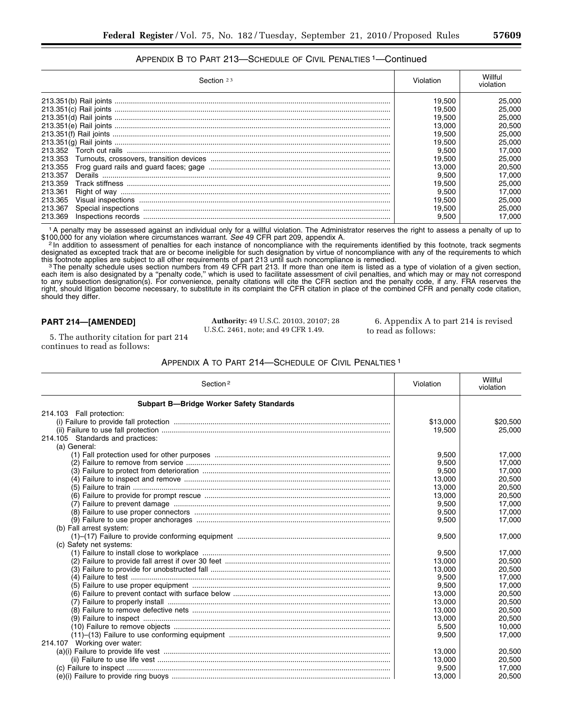## APPENDIX B TO PART 213—SCHEDULE OF CIVIL PENALTIES 1—Continued

| Section 23              | Violation | Willful<br>violation |
|-------------------------|-----------|----------------------|
|                         | 19.500    | 25,000               |
|                         | 19.500    | 25,000               |
|                         | 19.500    | 25,000               |
|                         | 13.000    | 20.500               |
|                         | 19.500    | 25,000               |
|                         | 19.500    | 25,000               |
| 213.352                 | 9.500     | 17.000               |
| 213.353                 | 19.500    | 25,000               |
| 213.355                 | 13.000    | 20,500               |
| 213.357<br>Derails      | 9.500     | 17.000               |
| 213.359                 | 19.500    | 25,000               |
| 213.361<br>Right of way | 9.500     | 17.000               |
| 213.365                 | 19.500    | 25,000               |
| 213.367                 | 19.500    | 25,000               |
| 213.369                 | 9.500     | 17.000               |

1A penalty may be assessed against an individual only for a willful violation. The Administrator reserves the right to assess a penalty of up to \$100,000 for any violation where circumstances warrant. See 49 CFR part 209, appendix A.<br>In addition to assessment of penalties for each instance of noncompliance with the requirements identified by this footnote, track se

designated as excepted track that are or become ineligible for such designation by virtue of noncompliance with any of the requirements to which

this footnote applies are subject to all other requirements of part 213 until such noncompliance is remedied.<br>The penalty schedule uses section numbers from 49 CFR part 213. If more than one item is listed as a type of vio each item is also designated by a ''penalty code,'' which is used to facilitate assessment of civil penalties, and which may or may not correspond to any subsection designation(s). For convenience, penalty citations will cite the CFR section and the penalty code, if any. FRA reserves the right, should litigation become necessary, to substitute in its complaint the CFR citation in place of the combined CFR and penalty code citation, should they differ.

## **PART 214—[AMENDED]**

**Authority:** 49 U.S.C. 20103, 20107; 28 U.S.C. 2461, note; and 49 CFR 1.49.

6. Appendix A to part 214 is revised to read as follows:

5. The authority citation for part 214 continues to read as follows:

APPENDIX A TO PART 214—SCHEDULE OF CIVIL PENALTIES 1

| Section <sup>2</sup>                            | Violation | Willful<br>violation |
|-------------------------------------------------|-----------|----------------------|
| <b>Subpart B-Bridge Worker Safety Standards</b> |           |                      |
| 214.103 Fall protection:                        |           |                      |
|                                                 | \$13,000  | \$20,500             |
|                                                 | 19,500    | 25,000               |
| 214.105 Standards and practices:                |           |                      |
| (a) General:                                    |           |                      |
|                                                 | 9,500     | 17,000               |
|                                                 | 9,500     | 17,000               |
|                                                 | 9,500     | 17.000               |
|                                                 | 13,000    | 20.500               |
|                                                 | 13,000    | 20,500               |
|                                                 | 13,000    | 20,500               |
|                                                 | 9,500     | 17,000               |
|                                                 | 9,500     | 17,000               |
|                                                 | 9,500     | 17,000               |
| (b) Fall arrest system:                         |           |                      |
|                                                 | 9,500     | 17,000               |
| (c) Safety net systems:                         |           |                      |
|                                                 | 9,500     | 17,000               |
|                                                 | 13.000    | 20.500               |
|                                                 | 13,000    | 20.500               |
|                                                 | 9,500     | 17,000               |
|                                                 | 9,500     | 17,000               |
|                                                 | 13,000    | 20,500               |
|                                                 | 13,000    | 20,500               |
|                                                 | 13,000    | 20,500               |
|                                                 | 13,000    | 20,500               |
|                                                 | 5,500     | 10.000               |
|                                                 | 9,500     | 17,000               |
| 214.107 Working over water:                     |           |                      |
|                                                 | 13,000    | 20,500               |
|                                                 | 13,000    | 20,500               |
|                                                 | 9,500     | 17,000               |
|                                                 | 13,000    | 20.500               |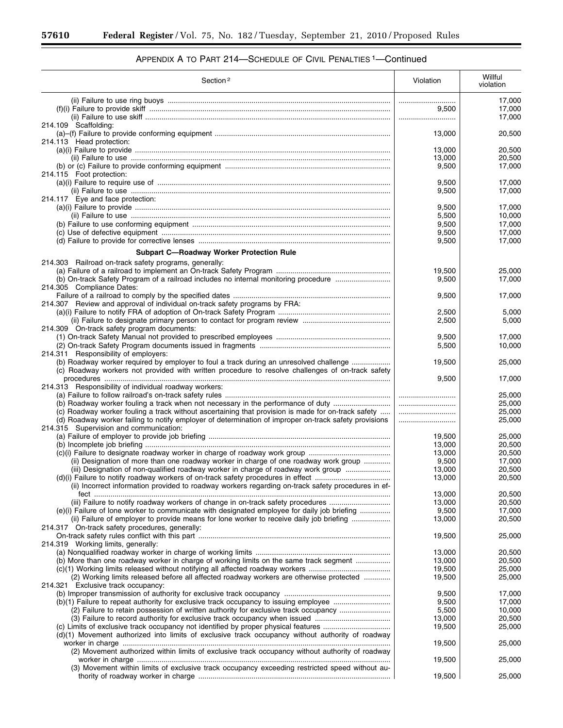÷.

| Section <sup>2</sup>                                                                                                                                                                                        | Violation      | Willful<br>violation |
|-------------------------------------------------------------------------------------------------------------------------------------------------------------------------------------------------------------|----------------|----------------------|
|                                                                                                                                                                                                             |                | 17,000               |
|                                                                                                                                                                                                             | 9,500          | 17,000               |
|                                                                                                                                                                                                             |                | 17,000               |
| 214.109 Scaffolding:                                                                                                                                                                                        |                |                      |
|                                                                                                                                                                                                             | 13,000         | 20,500               |
| 214.113 Head protection:                                                                                                                                                                                    |                |                      |
|                                                                                                                                                                                                             | 13,000         | 20,500               |
|                                                                                                                                                                                                             | 13,000         | 20,500               |
|                                                                                                                                                                                                             | 9,500          | 17,000               |
| 214.115 Foot protection:                                                                                                                                                                                    |                |                      |
|                                                                                                                                                                                                             | 9,500          | 17,000               |
|                                                                                                                                                                                                             | 9,500          | 17,000               |
| 214.117 Eye and face protection:                                                                                                                                                                            |                |                      |
|                                                                                                                                                                                                             | 9,500          | 17,000               |
|                                                                                                                                                                                                             | 5,500          | 10,000               |
|                                                                                                                                                                                                             | 9,500          | 17,000               |
|                                                                                                                                                                                                             | 9,500          | 17,000               |
|                                                                                                                                                                                                             | 9,500          | 17,000               |
| <b>Subpart C-Roadway Worker Protection Rule</b>                                                                                                                                                             |                |                      |
| 214.303 Railroad on-track safety programs, generally:                                                                                                                                                       |                |                      |
|                                                                                                                                                                                                             | 19,500         | 25,000               |
| (b) On-track Safety Program of a railroad includes no internal monitoring procedure                                                                                                                         | 9,500          | 17,000               |
| 214.305 Compliance Dates:                                                                                                                                                                                   |                |                      |
|                                                                                                                                                                                                             | 9,500          | 17,000               |
| 214.307 Review and approval of individual on-track safety programs by FRA:                                                                                                                                  |                |                      |
|                                                                                                                                                                                                             | 2,500          | 5.000                |
|                                                                                                                                                                                                             | 2,500          | 5,000                |
| 214.309 On-track safety program documents:                                                                                                                                                                  |                |                      |
|                                                                                                                                                                                                             | 9,500          | 17,000               |
|                                                                                                                                                                                                             | 5,500          | 10,000               |
| 214.311 Responsibility of employers:                                                                                                                                                                        |                |                      |
| (b) Roadway worker required by employer to foul a track during an unresolved challenge                                                                                                                      | 19,500         | 25,000               |
| (c) Roadway workers not provided with written procedure to resolve challenges of on-track safety                                                                                                            |                |                      |
|                                                                                                                                                                                                             | 9,500          | 17,000               |
| 214.313 Responsibility of individual roadway workers:                                                                                                                                                       |                |                      |
|                                                                                                                                                                                                             |                | 25,000               |
| (b) Roadway worker fouling a track when not necessary in the performance of duty                                                                                                                            |                | 25,000<br>25,000     |
| (c) Roadway worker fouling a track without ascertaining that provision is made for on-track safety<br>(d) Roadway worker failing to notify employer of determination of improper on-track safety provisions | <br>           | 25,000               |
| 214.315 Supervision and communication:                                                                                                                                                                      |                |                      |
|                                                                                                                                                                                                             | 19,500         | 25,000               |
|                                                                                                                                                                                                             | 13,000         | 20,500               |
|                                                                                                                                                                                                             | 13,000         | 20,500               |
| (ii) Designation of more than one roadway worker in charge of one roadway work group                                                                                                                        | 9,500          | 17,000               |
| (iii) Designation of non-qualified roadway worker in charge of roadway work group                                                                                                                           | 13,000         | 20,500               |
|                                                                                                                                                                                                             | 13,000         | 20,500               |
| (ii) Incorrect information provided to roadway workers regarding on-track safety procedures in ef-                                                                                                          |                |                      |
|                                                                                                                                                                                                             | 13,000         | 20,500               |
| (iii) Failure to notify roadway workers of change in on-track safety procedures                                                                                                                             | 13,000         | 20,500               |
| (e)(i) Failure of lone worker to communicate with designated employee for daily job briefing                                                                                                                | 9,500          | 17,000               |
| (ii) Failure of employer to provide means for lone worker to receive daily job briefing                                                                                                                     | 13,000         | 20,500               |
| 214.317 On-track safety procedures, generally:                                                                                                                                                              |                |                      |
|                                                                                                                                                                                                             | 19,500         | 25,000               |
| 214.319 Working limits, generally:                                                                                                                                                                          |                |                      |
|                                                                                                                                                                                                             | 13,000         | 20,500               |
| (b) More than one roadway worker in charge of working limits on the same track segment                                                                                                                      | 13,000         | 20,500               |
|                                                                                                                                                                                                             | 19,500         | 25,000               |
| (2) Working limits released before all affected roadway workers are otherwise protected                                                                                                                     | 19,500         | 25,000               |
| 214.321 Exclusive track occupancy:                                                                                                                                                                          |                |                      |
|                                                                                                                                                                                                             | 9,500          | 17,000               |
| (b)(1) Failure to repeat authority for exclusive track occupancy to issuing employee<br>(2) Failure to retain possession of written authority for exclusive track occupancy                                 | 9,500<br>5,500 | 17,000<br>10,000     |
|                                                                                                                                                                                                             | 13,000         | 20,500               |
|                                                                                                                                                                                                             | 19,500         | 25,000               |
| (d)(1) Movement authorized into limits of exclusive track occupancy without authority of roadway                                                                                                            |                |                      |
|                                                                                                                                                                                                             | 19,500         | 25,000               |
| (2) Movement authorized within limits of exclusive track occupancy without authority of roadway                                                                                                             |                |                      |
|                                                                                                                                                                                                             | 19,500         | 25,000               |
| (3) Movement within limits of exclusive track occupancy exceeding restricted speed without au-                                                                                                              |                |                      |
|                                                                                                                                                                                                             | 19,500         | 25,000               |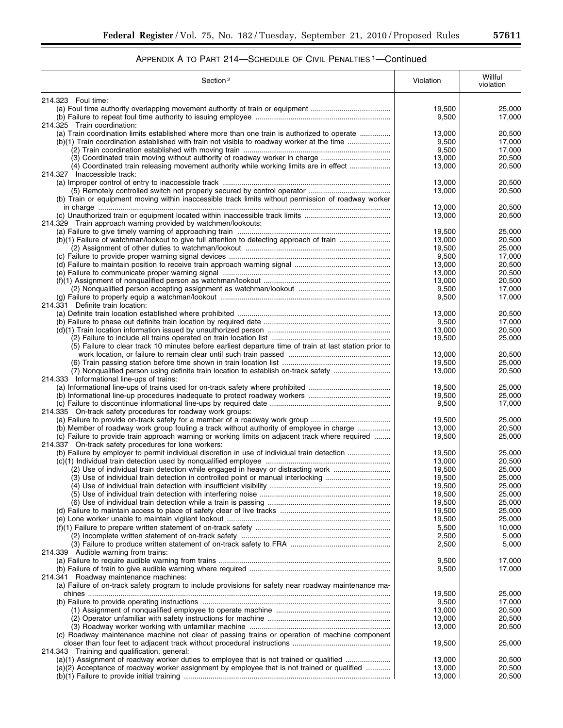| Section <sup>2</sup>                                                                                                                                                    | Violation        | Willful<br>violation |
|-------------------------------------------------------------------------------------------------------------------------------------------------------------------------|------------------|----------------------|
| 214.323 Foul time:                                                                                                                                                      |                  |                      |
|                                                                                                                                                                         | 19,500           | 25,000               |
|                                                                                                                                                                         | 9,500            | 17,000               |
| 214.325 Train coordination:                                                                                                                                             |                  |                      |
| (a) Train coordination limits established where more than one train is authorized to operate                                                                            | 13,000           | 20,500               |
| (b)(1) Train coordination established with train not visible to roadway worker at the time                                                                              | 9,500            | 17,000               |
|                                                                                                                                                                         | 9,500            | 17,000               |
| (3) Coordinated train moving without authority of roadway worker in charge                                                                                              | 13,000           | 20,500               |
| (4) Coordinated train releasing movement authority while working limits are in effect                                                                                   | 13.000           | 20,500               |
| 214.327 Inaccessible track:                                                                                                                                             |                  |                      |
|                                                                                                                                                                         | 13,000           | 20,500               |
|                                                                                                                                                                         | 13,000           | 20,500               |
| (b) Train or equipment moving within inaccessible track limits without permission of roadway worker                                                                     |                  |                      |
|                                                                                                                                                                         | 13,000           | 20,500               |
|                                                                                                                                                                         | 13,000           | 20,500               |
| 214.329 Train approach warning provided by watchmen/lookouts:                                                                                                           |                  |                      |
| (b)(1) Failure of watchman/lookout to give full attention to detecting approach of train                                                                                | 19,500<br>13,000 | 25,000<br>20,500     |
|                                                                                                                                                                         | 19,500           | 25,000               |
|                                                                                                                                                                         | 9,500            | 17,000               |
|                                                                                                                                                                         | 13,000           | 20,500               |
|                                                                                                                                                                         | 13.000           | 20,500               |
|                                                                                                                                                                         | 13,000           | 20,500               |
|                                                                                                                                                                         | 9,500            | 17,000               |
|                                                                                                                                                                         | 9,500            | 17,000               |
| 214.331 Definite train location:                                                                                                                                        |                  |                      |
|                                                                                                                                                                         | 13,000           | 20,500               |
|                                                                                                                                                                         | 9,500            | 17,000               |
|                                                                                                                                                                         | 13,000           | 20,500               |
|                                                                                                                                                                         | 19,500           | 25,000               |
| (5) Failure to clear track 10 minutes before earliest departure time of train at last station prior to                                                                  |                  |                      |
|                                                                                                                                                                         | 13,000           | 20,500               |
|                                                                                                                                                                         | 19,500           | 25,000               |
| (7) Nonqualified person using definite train location to establish on-track safety                                                                                      | 13,000           | 20,500               |
| 214.333 Informational line-ups of trains:                                                                                                                               |                  |                      |
|                                                                                                                                                                         | 19,500           | 25,000               |
|                                                                                                                                                                         | 19,500           | 25,000               |
|                                                                                                                                                                         | 9,500            | 17,000               |
| 214.335 On-track safety procedures for roadway work groups:                                                                                                             |                  |                      |
| (a) Failure to provide on-track safety for a member of a roadway work group<br>(b) Member of roadway work group fouling a track without authority of employee in charge | 19,500<br>13.000 | 25,000<br>20,500     |
| (c) Failure to provide train approach warning or working limits on adjacent track where required                                                                        | 19,500           | 25,000               |
| 214.337 On-track safety procedures for lone workers:                                                                                                                    |                  |                      |
| (b) Failure by employer to permit individual discretion in use of individual train detection                                                                            | 19,500           | 25,000               |
|                                                                                                                                                                         | 13,000           | 20,500               |
| (2) Use of individual train detection while engaged in heavy or distracting work                                                                                        | 19,500           | 25,000               |
| (3) Use of individual train detection in controlled point or manual interlocking                                                                                        | 19,500           | 25,000               |
|                                                                                                                                                                         | 19,500           | 25,000               |
|                                                                                                                                                                         | 19,500           | 25,000               |
|                                                                                                                                                                         | 19,500           | 25,000               |
|                                                                                                                                                                         | 19,500           | 25,000               |
|                                                                                                                                                                         | 19,500           | 25,000               |
|                                                                                                                                                                         | 5,500            | 10,000               |
|                                                                                                                                                                         | 2,500            | 5,000                |
|                                                                                                                                                                         | 2,500            | 5,000                |
| 214.339 Audible warning from trains:                                                                                                                                    |                  |                      |
|                                                                                                                                                                         | 9,500            | 17,000               |
|                                                                                                                                                                         | 9,500            | 17,000               |
| 214.341 Roadway maintenance machines:                                                                                                                                   |                  |                      |
| (a) Failure of on-track safety program to include provisions for safety near roadway maintenance ma-                                                                    |                  |                      |
|                                                                                                                                                                         | 19,500           | 25,000               |
|                                                                                                                                                                         | 9,500            | 17,000               |
|                                                                                                                                                                         | 13,000           | 20,500               |
|                                                                                                                                                                         | 13,000           | 20,500               |
|                                                                                                                                                                         | 13,000           | 20,500               |
| (c) Roadway maintenance machine not clear of passing trains or operation of machine component                                                                           |                  |                      |
|                                                                                                                                                                         | 19,500           | 25,000               |
| 214.343 Training and qualification, general:                                                                                                                            |                  |                      |
| (a)(1) Assignment of roadway worker duties to employee that is not trained or qualified                                                                                 | 13,000           | 20,500               |
| (a)(2) Acceptance of roadway worker assignment by employee that is not trained or qualified                                                                             | 13,000           | 20,500               |
|                                                                                                                                                                         | 13,000           | 20,500               |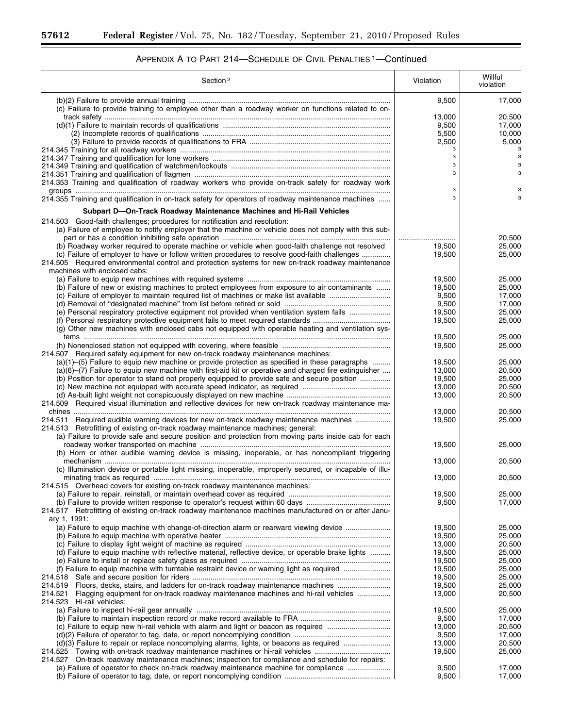÷.

| Section <sup>2</sup>                                                                                                                                                                              | Violation        | Willful<br>violation |
|---------------------------------------------------------------------------------------------------------------------------------------------------------------------------------------------------|------------------|----------------------|
| (c) Failure to provide training to employee other than a roadway worker on functions related to on-                                                                                               | 9,500            | 17,000               |
|                                                                                                                                                                                                   | 13,000           | 20.500               |
|                                                                                                                                                                                                   | 9,500            | 17,000               |
|                                                                                                                                                                                                   | 5,500            | 10,000               |
|                                                                                                                                                                                                   | 2,500<br>з       | 5,000                |
|                                                                                                                                                                                                   | 3                | 3                    |
|                                                                                                                                                                                                   | 3                |                      |
|                                                                                                                                                                                                   | 3                |                      |
| 214.353 Training and qualification of roadway workers who provide on-track safety for roadway work                                                                                                |                  |                      |
|                                                                                                                                                                                                   | з<br>3           | з<br>3               |
| 214.355 Training and qualification in on-track safety for operators of roadway maintenance machines                                                                                               |                  |                      |
| Subpart D—On-Track Roadway Maintenance Machines and Hi-Rail Vehicles                                                                                                                              |                  |                      |
| 214.503 Good-faith challenges; procedures for notification and resolution:                                                                                                                        |                  |                      |
| (a) Failure of employee to notify employer that the machine or vehicle does not comply with this sub-                                                                                             |                  |                      |
|                                                                                                                                                                                                   |                  | 20,500               |
| (b) Roadway worker required to operate machine or vehicle when good-faith challenge not resolved<br>(c) Failure of employer to have or follow written procedures to resolve good-faith challenges | 19,500<br>19,500 | 25,000<br>25,000     |
| 214.505 Required environmental control and protection systems for new on-track roadway maintenance                                                                                                |                  |                      |
| machines with enclosed cabs:                                                                                                                                                                      |                  |                      |
|                                                                                                                                                                                                   | 19,500           | 25,000               |
| (b) Failure of new or existing machines to protect employees from exposure to air contaminants                                                                                                    | 19,500           | 25,000               |
|                                                                                                                                                                                                   | 9,500            | 17,000               |
|                                                                                                                                                                                                   | 9,500            | 17.000               |
| (e) Personal respiratory protective equipment not provided when ventilation system fails                                                                                                          | 19,500           | 25,000               |
| (g) Other new machines with enclosed cabs not equipped with operable heating and ventilation sys-                                                                                                 | 19,500           | 25,000               |
|                                                                                                                                                                                                   | 19,500           | 25,000               |
|                                                                                                                                                                                                   | 19,500           | 25,000               |
| 214.507 Required safety equipment for new on-track roadway maintenance machines:                                                                                                                  |                  |                      |
| (a)(1)–(5) Failure to equip new machine or provide protection as specified in these paragraphs                                                                                                    | 19,500           | 25,000               |
| (a)(6)–(7) Failure to equip new machine with first-aid kit or operative and charged fire extinguisher                                                                                             | 13,000           | 20,500               |
| (b) Position for operator to stand not properly equipped to provide safe and secure position                                                                                                      | 19,500           | 25,000               |
|                                                                                                                                                                                                   | 13,000<br>13,000 | 20,500<br>20,500     |
| 214.509 Required visual illumination and reflective devices for new on-track roadway maintenance ma-                                                                                              |                  |                      |
|                                                                                                                                                                                                   | 13,000           | 20,500               |
| 214.511 Required audible warning devices for new on-track roadway maintenance machines                                                                                                            | 19,500           | 25,000               |
| 214.513 Retrofitting of existing on-track roadway maintenance machines; general:                                                                                                                  |                  |                      |
| (a) Failure to provide safe and secure position and protection from moving parts inside cab for each                                                                                              |                  |                      |
| (b) Horn or other audible warning device is missing, inoperable, or has noncompliant triggering                                                                                                   | 19,500           | 25,000               |
|                                                                                                                                                                                                   | 13,000           | 20,500               |
| (c) Illumination device or portable light missing, inoperable, improperly secured, or incapable of illu-                                                                                          |                  |                      |
|                                                                                                                                                                                                   | 13,000           | 20.500               |
| 214.515 Overhead covers for existing on-track roadway maintenance machines:                                                                                                                       |                  |                      |
|                                                                                                                                                                                                   | 19,500           | 25,000               |
| 214.517 Retrofitting of existing on-track roadway maintenance machines manufactured on or after Janu-                                                                                             | 9,500            | 17,000               |
| ary 1, 1991:                                                                                                                                                                                      |                  |                      |
| (a) Failure to equip machine with change-of-direction alarm or rearward viewing device                                                                                                            | 19,500           | 25,000               |
|                                                                                                                                                                                                   | 19,500           | 25,000               |
|                                                                                                                                                                                                   | 13,000           | 20,500               |
| (d) Failure to equip machine with reflective material, reflective device, or operable brake lights                                                                                                | 19,500           | 25,000               |
|                                                                                                                                                                                                   | 19,500           | 25,000               |
|                                                                                                                                                                                                   | 19,500           | 25,000               |
| 214.518<br>Floors, decks, stairs, and ladders for on-track roadway maintenance machines<br>214.519                                                                                                | 19,500<br>19,500 | 25,000<br>25,000     |
| Flagging equipment for on-track roadway maintenance machines and hi-rail vehicles<br>214.521                                                                                                      | 13,000           | 20,500               |
| 214.523 Hi-rail vehicles:                                                                                                                                                                         |                  |                      |
|                                                                                                                                                                                                   | 19,500           | 25,000               |
|                                                                                                                                                                                                   | 9,500            | 17,000               |
| (c) Failure to equip new hi-rail vehicle with alarm and light or beacon as required                                                                                                               | 13,000           | 20,500               |
|                                                                                                                                                                                                   | 9,500            | 17,000               |
| (d)(3) Failure to repair or replace noncomplying alarms, lights, or beacons as required<br>214.525                                                                                                | 13,000<br>19,500 | 20,500<br>25,000     |
| 214.527 On-track roadway maintenance machines; inspection for compliance and schedule for repairs:                                                                                                |                  |                      |
| (a) Failure of operator to check on-track roadway maintenance machine for compliance                                                                                                              | 9,500            | 17,000               |
|                                                                                                                                                                                                   | 9,500            | 17,000               |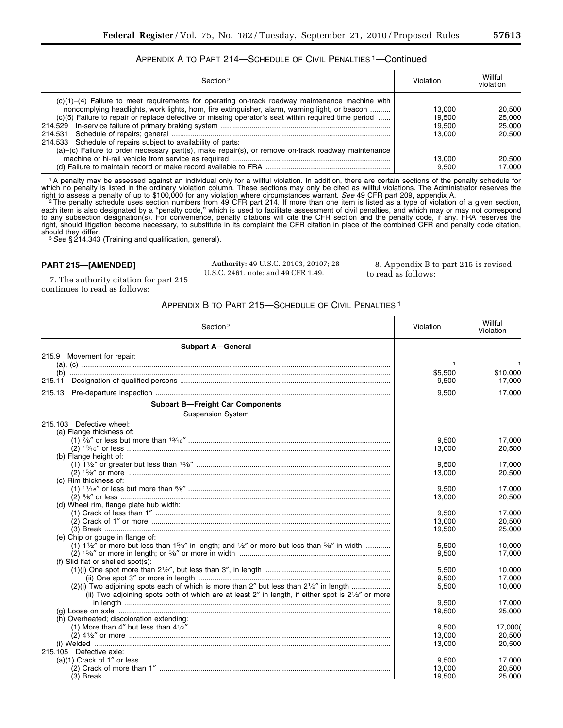# APPENDIX A TO PART 214—SCHEDULE OF CIVIL PENALTIES 1—Continued

| Section <sup>2</sup>                                                                                                                                                                                                                                                                                                                                                                                                                                                                | Violation                                               | Willful<br>violation                                     |
|-------------------------------------------------------------------------------------------------------------------------------------------------------------------------------------------------------------------------------------------------------------------------------------------------------------------------------------------------------------------------------------------------------------------------------------------------------------------------------------|---------------------------------------------------------|----------------------------------------------------------|
| $(c)(1)$ –(4) Failure to meet requirements for operating on-track roadway maintenance machine with<br>noncomplying headlights, work lights, horn, fire extinguisher, alarm, warning light, or beacon<br>(c)(5) Failure to repair or replace defective or missing operator's seat within required time period<br>214.533 Schedule of repairs subject to availability of parts:<br>(a)–(c) Failure to order necessary part(s), make repair(s), or remove on-track roadway maintenance | 13.000<br>19.500<br>19.500<br>13.000<br>13.000<br>9.500 | 20.500<br>25,000<br>25,000<br>20.500<br>20.500<br>17.000 |

1A penalty may be assessed against an individual only for a willful violation. In addition, there are certain sections of the penalty schedule for which no penalty is listed in the ordinary violation column. These sections may only be cited as willful violations. The Administrator reserves the right to assess a penalty of up to \$100,000 for any violation where circumstances warrant. *See* 49 CFR part 209, appendix A.<br>The penalty schedule uses section numbers from 49 CFR part 214. If more than one item is listed

each item is also designated by a ''penalty code,'' which is used to facilitate assessment of civil penalties, and which may or may not correspond to any subsection designation(s). For convenience, penalty citations will cite the CFR section and the penalty code, if any. FRA reserves the right, should litigation become necessary, to substitute in its complaint the CFR citation in place of the combined CFR and penalty code citation,<br>should they differ.

<sup>3</sup> See § 214.343 (Training and qualification, general).

## **PART 215—[AMENDED]**

**Authority:** 49 U.S.C. 20103, 20107; 28 U.S.C. 2461, note; and 49 CFR 1.49.

8. Appendix B to part 215 is revised to read as follows:

7. The authority citation for part 215 continues to read as follows:

## APPENDIX B TO PART 215—SCHEDULE OF CIVIL PENALTIES 1

| Section <sup>2</sup>                                                                                                              | Violation | Willful<br>Violation |
|-----------------------------------------------------------------------------------------------------------------------------------|-----------|----------------------|
| <b>Subpart A-General</b>                                                                                                          |           |                      |
| 215.9 Movement for repair:                                                                                                        |           |                      |
|                                                                                                                                   |           | $\mathbf{1}$         |
|                                                                                                                                   | \$5,500   | \$10,000             |
| 215.11                                                                                                                            | 9,500     | 17,000               |
| 215.13                                                                                                                            | 9,500     | 17,000               |
| <b>Subpart B-Freight Car Components</b>                                                                                           |           |                      |
| <b>Suspension System</b>                                                                                                          |           |                      |
| 215.103 Defective wheel:                                                                                                          |           |                      |
| (a) Flange thickness of:                                                                                                          |           |                      |
|                                                                                                                                   | 9,500     | 17.000               |
|                                                                                                                                   | 13,000    | 20,500               |
| (b) Flange height of:                                                                                                             |           |                      |
|                                                                                                                                   | 9,500     | 17,000               |
|                                                                                                                                   | 13,000    | 20,500               |
| (c) Rim thickness of:                                                                                                             |           |                      |
|                                                                                                                                   | 9,500     | 17,000               |
|                                                                                                                                   | 13,000    | 20,500               |
| (d) Wheel rim, flange plate hub width:                                                                                            | 9.500     |                      |
|                                                                                                                                   |           | 17.000               |
|                                                                                                                                   | 13,000    | 20,500               |
| (e) Chip or gouge in flange of:                                                                                                   | 19,500    | 25,000               |
| (1) $1\frac{1}{2}$ or more but less than $1\frac{5}{8}$ in length; and $\frac{1}{2}$ or more but less than $\frac{5}{8}$ in width | 5.500     | 10.000               |
|                                                                                                                                   | 9,500     | 17,000               |
| (f) Slid flat or shelled spot(s):                                                                                                 |           |                      |
|                                                                                                                                   | 5,500     | 10.000               |
|                                                                                                                                   | 9,500     | 17.000               |
|                                                                                                                                   | 5,500     | 10,000               |
| (ii) Two adjoining spots both of which are at least 2" in length, if either spot is 21/2" or more                                 |           |                      |
|                                                                                                                                   | 9,500     | 17,000               |
|                                                                                                                                   | 19,500    | 25,000               |
| (h) Overheated; discoloration extending:                                                                                          |           |                      |
|                                                                                                                                   | 9,500     | 17,000(              |
|                                                                                                                                   | 13,000    | 20,500               |
|                                                                                                                                   | 13,000    | 20,500               |
| 215.105 Defective axle:                                                                                                           |           |                      |
|                                                                                                                                   | 9,500     | 17,000               |
|                                                                                                                                   | 13,000    | 20,500               |
|                                                                                                                                   | 19,500    | 25,000               |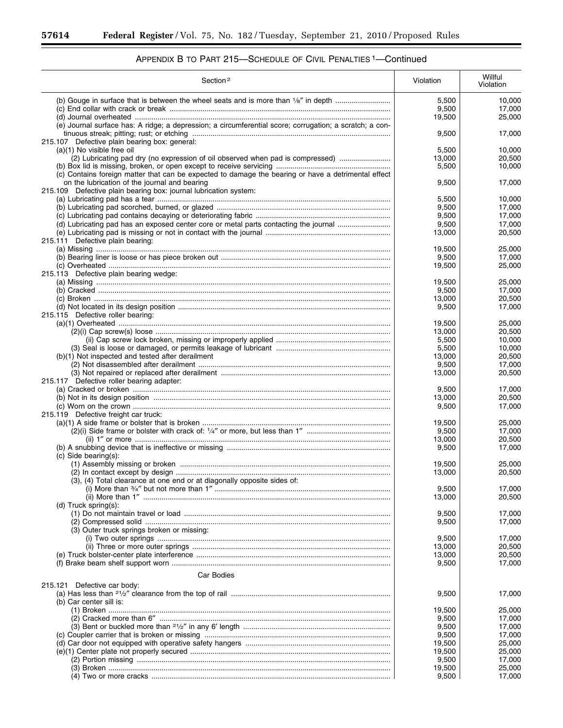۳

| Section <sup>2</sup>                                                                                                                                                                                                     | Violation       | Willful<br>Violation |
|--------------------------------------------------------------------------------------------------------------------------------------------------------------------------------------------------------------------------|-----------------|----------------------|
| (b) Gouge in surface that is between the wheel seats and is more than 1/8" in depth                                                                                                                                      | 5,500<br>9,500  | 10.000<br>17,000     |
| (e) Journal surface has: A ridge; a depression; a circumferential score; corrugation; a scratch; a con-                                                                                                                  | 19,500          | 25,000               |
|                                                                                                                                                                                                                          | 9,500           | 17,000               |
| 215.107 Defective plain bearing box: general:                                                                                                                                                                            |                 |                      |
| (a)(1) No visible free oil                                                                                                                                                                                               | 5,500           | 10,000               |
| (2) Lubricating pad dry (no expression of oil observed when pad is compressed)                                                                                                                                           | 13,000          | 20,500               |
|                                                                                                                                                                                                                          | 5,500           | 10,000               |
| (c) Contains foreign matter that can be expected to damage the bearing or have a detrimental effect<br>on the lubrication of the journal and bearing<br>215.109 Defective plain bearing box: journal lubrication system: | 9,500           | 17,000               |
|                                                                                                                                                                                                                          | 5,500           | 10,000               |
|                                                                                                                                                                                                                          | 9,500           | 17,000               |
|                                                                                                                                                                                                                          | 9,500           | 17,000               |
| (d) Lubricating pad has an exposed center core or metal parts contacting the journal                                                                                                                                     | 9,500           | 17,000               |
| 215.111 Defective plain bearing:                                                                                                                                                                                         | 13,000          | 20,500               |
|                                                                                                                                                                                                                          | 19,500          | 25,000               |
|                                                                                                                                                                                                                          | 9,500           | 17,000               |
|                                                                                                                                                                                                                          | 19,500          | 25,000               |
| 215.113 Defective plain bearing wedge:                                                                                                                                                                                   |                 |                      |
|                                                                                                                                                                                                                          | 19,500          | 25,000               |
|                                                                                                                                                                                                                          | 9,500           | 17,000               |
|                                                                                                                                                                                                                          | 13,000          | 20,500               |
| 215.115 Defective roller bearing:                                                                                                                                                                                        | 9,500           | 17,000               |
|                                                                                                                                                                                                                          | 19,500          | 25,000               |
|                                                                                                                                                                                                                          | 13,000          | 20,500               |
|                                                                                                                                                                                                                          | 5,500           | 10,000               |
|                                                                                                                                                                                                                          | 5,500           | 10,000               |
| (b)(1) Not inspected and tested after derailment                                                                                                                                                                         | 13,000          | 20,500               |
|                                                                                                                                                                                                                          | 9,500           | 17,000               |
|                                                                                                                                                                                                                          | 13,000          | 20,500               |
| 215.117 Defective roller bearing adapter:                                                                                                                                                                                |                 |                      |
|                                                                                                                                                                                                                          | 9,500<br>13,000 | 17,000<br>20,500     |
|                                                                                                                                                                                                                          | 9,500           | 17,000               |
| 215.119 Defective freight car truck:                                                                                                                                                                                     |                 |                      |
|                                                                                                                                                                                                                          | 19,500          | 25,000               |
|                                                                                                                                                                                                                          | 9,500           | 17,000               |
|                                                                                                                                                                                                                          | 13.000          | 20,500               |
| $(c)$ Side bearing $(s)$ :                                                                                                                                                                                               | 9,500           | 17,000               |
|                                                                                                                                                                                                                          | 19,500          | 25,000               |
|                                                                                                                                                                                                                          | 13,000          | 20,500               |
| (3), (4) Total clearance at one end or at diagonally opposite sides of:                                                                                                                                                  |                 |                      |
|                                                                                                                                                                                                                          | 9,500           | 17,000               |
| (d) $Truck$ spring $(s)$ :                                                                                                                                                                                               | 13,000          | 20,500               |
|                                                                                                                                                                                                                          | 9,500           | 17,000               |
|                                                                                                                                                                                                                          | 9,500           | 17,000               |
| (3) Outer truck springs broken or missing:                                                                                                                                                                               |                 |                      |
|                                                                                                                                                                                                                          | 9,500           | 17,000               |
|                                                                                                                                                                                                                          | 13,000          | 20,500               |
|                                                                                                                                                                                                                          | 13,000          | 20,500               |
|                                                                                                                                                                                                                          | 9,500           | 17,000               |
| <b>Car Bodies</b>                                                                                                                                                                                                        |                 |                      |
| 215.121 Defective car body:                                                                                                                                                                                              | 9,500           | 17,000               |
| (b) Car center sill is:                                                                                                                                                                                                  |                 |                      |
|                                                                                                                                                                                                                          | 19,500          | 25,000               |
|                                                                                                                                                                                                                          | 9,500           | 17,000               |
|                                                                                                                                                                                                                          | 9,500           | 17,000               |
|                                                                                                                                                                                                                          | 9,500           | 17,000               |
|                                                                                                                                                                                                                          | 19,500          | 25,000               |
|                                                                                                                                                                                                                          | 19,500<br>9,500 | 25,000<br>17,000     |
|                                                                                                                                                                                                                          | 19,500          | 25,000               |
|                                                                                                                                                                                                                          | 9,500           | 17,000               |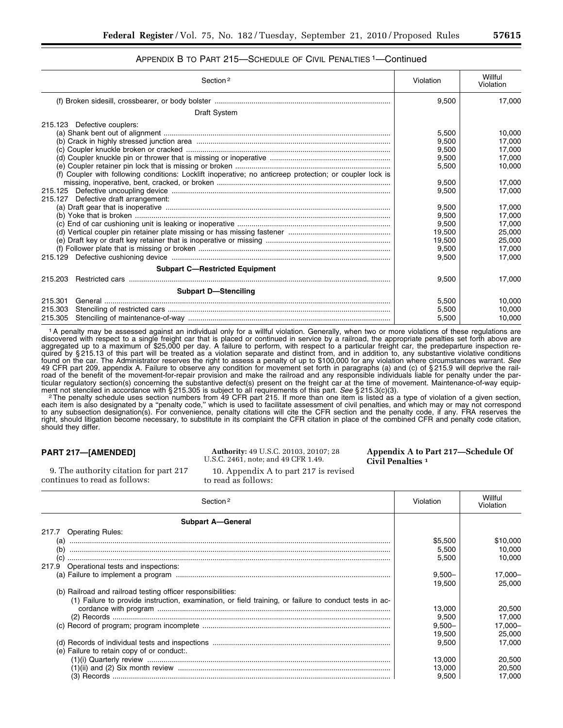## APPENDIX B TO PART 215—SCHEDULE OF CIVIL PENALTIES 1—Continued

| Section <sup>2</sup>                                                                                     | Violation | Willful<br>Violation |
|----------------------------------------------------------------------------------------------------------|-----------|----------------------|
|                                                                                                          | 9,500     | 17.000               |
| <b>Draft System</b>                                                                                      |           |                      |
| 215.123 Defective couplers:                                                                              |           |                      |
|                                                                                                          | 5.500     | 10.000               |
|                                                                                                          | 9.500     | 17.000               |
|                                                                                                          | 9,500     | 17,000               |
|                                                                                                          | 9.500     | 17,000               |
|                                                                                                          | 5.500     | 10.000               |
| (f) Coupler with following conditions: Locklift inoperative; no anticreep protection; or coupler lock is |           |                      |
|                                                                                                          | 9,500     | 17.000               |
|                                                                                                          | 9.500     | 17,000               |
| 215.127 Defective draft arrangement:                                                                     |           |                      |
|                                                                                                          | 9,500     | 17.000               |
|                                                                                                          | 9,500     | 17.000               |
|                                                                                                          | 9.500     | 17,000               |
|                                                                                                          | 19.500    | 25.000               |
|                                                                                                          | 19,500    | 25,000               |
|                                                                                                          | 9,500     | 17.000               |
| 215.129                                                                                                  | 9.500     | 17.000               |
| <b>Subpart C-Restricted Equipment</b>                                                                    |           |                      |
| 215,203                                                                                                  | 9,500     | 17.000               |
| <b>Subpart D-Stenciling</b>                                                                              |           |                      |
| 215.301                                                                                                  | 5,500     | 10.000               |
| 215.303                                                                                                  | 5,500     | 10.000               |
| 215.305                                                                                                  | 5.500     | 10.000               |

1A penalty may be assessed against an individual only for a willful violation. Generally, when two or more violations of these regulations are discovered with respect to a single freight car that is placed or continued in service by a railroad, the appropriate penalties set forth above are aggregated up to a maximum of \$25,000 per day. A failure to perform, with respect to a particular freight car, the predeparture inspection required by § 215.13 of this part will be treated as a violation separate and distinct from, and in addition to, any substantive violative conditions found on the car. The Administrator reserves the right to assess a penalty of up to \$100,000 for any violation where circumstances warrant. *See*  49 CFR part 209, appendix A. Failure to observe any condition for movement set forth in paragraphs (a) and (c) of § 215.9 will deprive the railroad of the benefit of the movement-for-repair provision and make the railroad and any responsible individuals liable for penalty under the particular regulatory section(s) concerning the substantive defect(s) present on the freight car at the time of movement. Maintenance-of-way equipment not stenciled in accordance with §215.305 is subject to all requirements of this part. See §215.3(c)(3).<br><sup>2</sup>The penalty schedule uses section numbers from 49 CFR part 215. If more than one item is listed as a type of

each item is also designated by a ''penalty code,'' which is used to facilitate assessment of civil penalties, and which may or may not correspond to any subsection designation(s). For convenience, penalty citations will cite the CFR section and the penalty code, if any. FRA reserves the right, should litigation become necessary, to substitute in its complaint the CFR citation in place of the combined CFR and penalty code citation, should they differ.

## **PART 217—[AMENDED]**

**Authority:** 49 U.S.C. 20103, 20107; 28 U.S.C. 2461, note; and 49 CFR 1.49.

**Appendix A to Part 217—Schedule Of Civil Penalties 1**

9. The authority citation for part 217 continues to read as follows:

10. Appendix A to part 217 is revised to read as follows:

| Section <sup>2</sup>                                                                                   | Violation | Willful<br>Violation |
|--------------------------------------------------------------------------------------------------------|-----------|----------------------|
| <b>Subpart A-General</b>                                                                               |           |                      |
| <b>Operating Rules:</b><br>217.7                                                                       |           |                      |
| (a)                                                                                                    | \$5,500   | \$10,000             |
| (b)                                                                                                    | 5,500     | 10.000               |
| (C)                                                                                                    | 5.500     | 10.000               |
| 217.9<br>Operational tests and inspections:                                                            |           |                      |
|                                                                                                        | $9.500 -$ | $17,000 -$           |
|                                                                                                        | 19.500    | 25,000               |
| (b) Railroad and railroad testing officer responsibilities:                                            |           |                      |
| (1) Failure to provide instruction, examination, or field training, or failure to conduct tests in ac- |           |                      |
|                                                                                                        | 13,000    | 20,500               |
|                                                                                                        | 9.500     | 17.000               |
|                                                                                                        | $9,500 -$ | 17,000-              |
|                                                                                                        | 19.500    | 25.000               |
|                                                                                                        | 9.500     | 17.000               |
| (e) Failure to retain copy of or conduct:.                                                             |           |                      |
|                                                                                                        | 13.000    | 20.500               |
|                                                                                                        | 13.000    | 20.500               |
|                                                                                                        | 9,500     | 17.000               |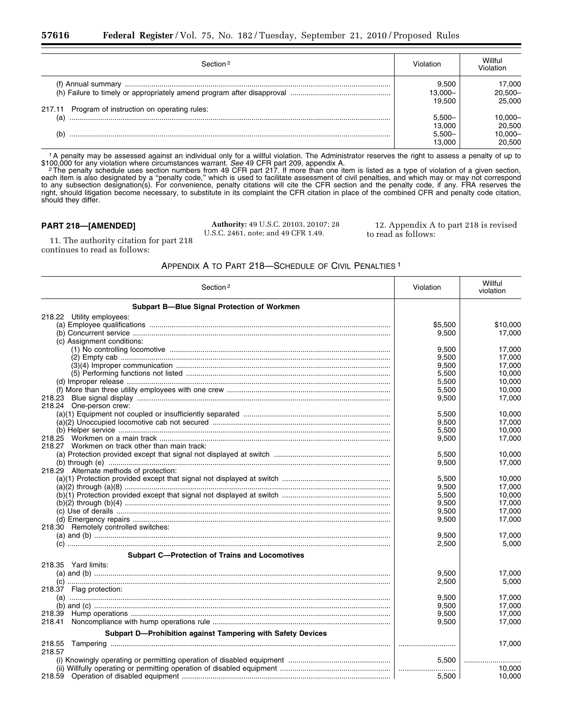| Section 2                                         |                                            | Willful<br>Jiolation                      |
|---------------------------------------------------|--------------------------------------------|-------------------------------------------|
| 217.11 Program of instruction on operating rules: | 9.500<br> 3.000-<br>19.500                 | 17,000<br>$20.500 -$<br>25.000            |
| (a)                                               | $5.500 -$<br>13.000<br>$5,500 -$<br>13.000 | $-0.000 -$<br>20,500<br>10,000-<br>20,500 |

1A penalty may be assessed against an individual only for a willful violation. The Administrator reserves the right to assess a penalty of up to \$100,000 for any violation where circumstances warrant. See 49 CFR part 209, appendix A.<br><sup>2</sup> The penalty schedule uses section numbers from 49 CFR part 217. If more than one item is listed as a type of violation of a given

each item is also designated by a ''penalty code,'' which is used to facilitate assessment of civil penalties, and which may or may not correspond to any subsection designation(s). For convenience, penalty citations will cite the CFR section and the penalty code, if any. FRA reserves the right, should litigation become necessary, to substitute in its complaint the CFR citation in place of the combined CFR and penalty code citation, should they differ.

## **PART 218—[AMENDED]**

**Authority:** 49 U.S.C. 20103, 20107; 28 U.S.C. 2461, note; and 49 CFR 1.49.

12. Appendix A to part 218 is revised to read as follows:

11. The authority citation for part 218 continues to read as follows:

# APPENDIX A TO PART 218—SCHEDULE OF CIVIL PENALTIES 1

| Section <sup>2</sup>                                        | Violation | Willful<br>violation |
|-------------------------------------------------------------|-----------|----------------------|
| <b>Subpart B-Blue Signal Protection of Workmen</b>          |           |                      |
| 218.22 Utility employees:                                   |           |                      |
|                                                             | \$5,500   | \$10,000             |
|                                                             | 9.500     | 17.000               |
| (c) Assignment conditions:                                  |           |                      |
|                                                             | 9.500     | 17,000               |
|                                                             | 9,500     | 17.000               |
|                                                             | 9,500     | 17,000               |
|                                                             | 5,500     | 10.000               |
|                                                             | 5,500     | 10,000               |
|                                                             | 5,500     | 10,000               |
| 218.23                                                      | 9.500     | 17.000               |
| 218.24 One-person crew:                                     |           |                      |
|                                                             | 5.500     | 10.000               |
|                                                             | 9,500     | 17,000               |
|                                                             | 5,500     | 10,000               |
|                                                             | 9.500     | 17,000               |
| 218.27 Workmen on track other than main track:              |           |                      |
|                                                             | 5,500     | 10.000               |
|                                                             | 9,500     | 17,000               |
| 218.29 Alternate methods of protection:                     |           |                      |
|                                                             | 5.500     | 10.000               |
|                                                             | 9,500     | 17,000               |
|                                                             | 5,500     | 10,000               |
|                                                             | 9,500     | 17,000               |
|                                                             | 9,500     | 17,000               |
|                                                             | 9,500     | 17,000               |
| 218.30 Remotely controlled switches:                        |           |                      |
|                                                             | 9,500     | 17.000               |
|                                                             | 2,500     | 5,000                |
|                                                             |           |                      |
| <b>Subpart C-Protection of Trains and Locomotives</b>       |           |                      |
| 218.35 Yard limits:                                         |           |                      |
|                                                             | 9,500     | 17,000               |
|                                                             | 2,500     | 5,000                |
| 218.37 Flag protection:                                     |           |                      |
|                                                             | 9,500     | 17,000               |
|                                                             | 9,500     | 17,000               |
|                                                             | 9,500     | 17.000               |
| 218.41                                                      | 9,500     | 17,000               |
| Subpart D-Prohibition against Tampering with Safety Devices |           |                      |
| 218.55                                                      |           | 17,000               |
| 218.57                                                      |           |                      |
|                                                             | 5.500     |                      |
|                                                             |           | 10.000               |
|                                                             | 5,500     | 10,000               |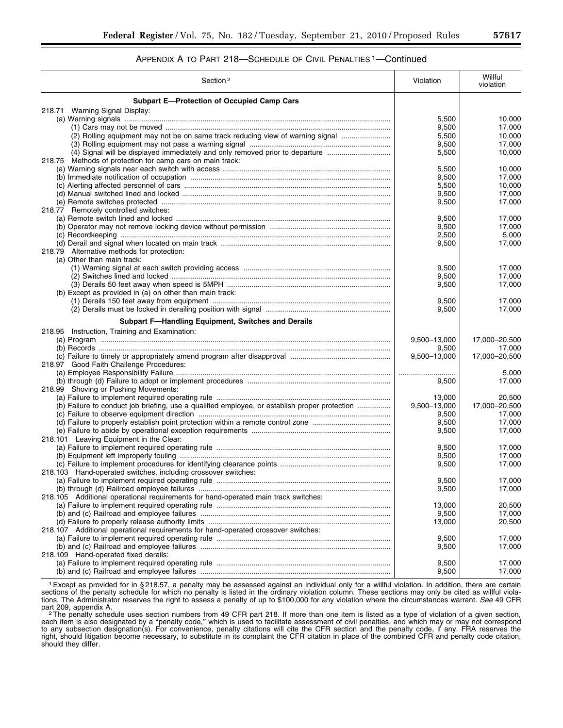# APPENDIX A TO PART 218—SCHEDULE OF CIVIL PENALTIES 1—Continued

| Section <sup>2</sup>                                                                          | Violation      | Willful<br>violation |
|-----------------------------------------------------------------------------------------------|----------------|----------------------|
| <b>Subpart E-Protection of Occupied Camp Cars</b>                                             |                |                      |
| 218.71 Warning Signal Display:                                                                |                |                      |
|                                                                                               | 5,500          | 10,000               |
|                                                                                               | 9,500          | 17,000               |
| (2) Rolling equipment may not be on same track reducing view of warning signal                | 5,500          | 10,000               |
|                                                                                               | 9,500          | 17,000               |
| (4) Signal will be displayed immediately and only removed prior to departure                  | 5,500          | 10,000               |
| 218.75 Methods of protection for camp cars on main track:                                     |                |                      |
|                                                                                               | 5,500          | 10,000<br>17,000     |
|                                                                                               | 9,500<br>5,500 | 10,000               |
|                                                                                               | 9,500          | 17,000               |
|                                                                                               | 9,500          | 17,000               |
| 218.77 Remotely controlled switches:                                                          |                |                      |
|                                                                                               | 9,500          | 17,000               |
|                                                                                               | 9,500          | 17,000               |
|                                                                                               | 2,500          | 5,000                |
|                                                                                               | 9,500          | 17,000               |
| 218.79 Alternative methods for protection:                                                    |                |                      |
| (a) Other than main track:                                                                    |                |                      |
|                                                                                               | 9,500          | 17,000               |
|                                                                                               | 9,500          | 17,000               |
|                                                                                               | 9,500          | 17,000               |
| (b) Except as provided in (a) on other than main track:                                       |                |                      |
|                                                                                               | 9,500          | 17,000               |
|                                                                                               | 9,500          | 17,000               |
| Subpart F-Handling Equipment, Switches and Derails                                            |                |                      |
| 218.95 Instruction, Training and Examination:                                                 |                |                      |
|                                                                                               | 9,500-13,000   | 17,000-20,500        |
|                                                                                               | 9,500          | 17,000               |
|                                                                                               | 9,500-13,000   | 17,000-20,500        |
| 218.97 Good Faith Challenge Procedures:                                                       |                |                      |
|                                                                                               |                | 5,000                |
|                                                                                               | 9,500          | 17,000               |
| 218.99 Shoving or Pushing Movements:                                                          |                |                      |
|                                                                                               | 13,000         | 20,500               |
| (b) Failure to conduct job briefing, use a qualified employee, or establish proper protection | 9,500-13,000   | 17,000-20,500        |
|                                                                                               | 9,500          | 17,000               |
|                                                                                               | 9,500          | 17,000               |
| 218.101 Leaving Equipment in the Clear:                                                       | 9,500          | 17,000               |
|                                                                                               | 9,500          | 17,000               |
|                                                                                               | 9,500          | 17,000               |
|                                                                                               | 9,500          | 17,000               |
| 218.103 Hand-operated switches, including crossover switches:                                 |                |                      |
|                                                                                               | 9,500          | 17,000               |
|                                                                                               | 9,500          | 17,000               |
| 218.105 Additional operational requirements for hand-operated main track switches:            |                |                      |
|                                                                                               | 13,000         | 20,500               |
|                                                                                               | 9,500          | 17,000               |
|                                                                                               | 13,000         | 20,500               |
| 218.107 Additional operational requirements for hand-operated crossover switches:             |                |                      |
|                                                                                               | 9,500          | 17,000               |
|                                                                                               | 9,500          | 17,000               |
| 218.109 Hand-operated fixed derails:                                                          |                |                      |
|                                                                                               | 9,500          | 17,000               |
|                                                                                               | 9,500          | 17,000               |

1Except as provided for in § 218.57, a penalty may be assessed against an individual only for a willful violation. In addition, there are certain sections of the penalty schedule for which no penalty is listed in the ordinary violation column. These sections may only be cited as willful violations. The Administrator reserves the right to assess a penalty of up to \$100,000 for any violation where the circumstances warrant. *See* 49 CFR

part 209, appendix A.<br><sup>2</sup>The penalty schedule uses section numbers from 49 CFR part 218. If more than one item is listed as a type of violation of a given section, each item is also designated by a ''penalty code,'' which is used to facilitate assessment of civil penalties, and which may or may not correspond to any subsection designation(s). For convenience, penalty citations will cite the CFR section and the penalty code, if any. FRA reserves the right, should litigation become necessary, to substitute in its complaint the CFR citation in place of the combined CFR and penalty code citation, should they differ.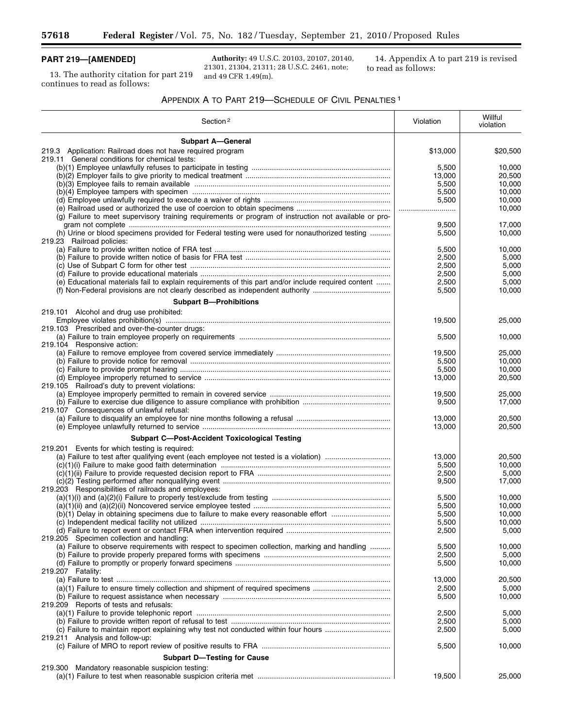# **PART 219—[AMENDED]**

13. The authority citation for part 219 continues to read as follows:

**Authority:** 49 U.S.C. 20103, 20107, 20140, 21301, 21304, 21311; 28 U.S.C. 2461, note; and 49 CFR 1.49(m).

14. Appendix A to part 219 is revised to read as follows:

۰

# APPENDIX A TO PART 219—SCHEDULE OF CIVIL PENALTIES 1

| Section <sup>2</sup>                                                                                  | Violation | Willful<br>violation |
|-------------------------------------------------------------------------------------------------------|-----------|----------------------|
| <b>Subpart A-General</b>                                                                              |           |                      |
| 219.3 Application: Railroad does not have required program                                            | \$13,000  | \$20,500             |
| 219.11 General conditions for chemical tests:                                                         |           |                      |
|                                                                                                       | 5,500     | 10,000               |
|                                                                                                       | 13,000    | 20,500               |
|                                                                                                       | 5,500     | 10,000               |
|                                                                                                       | 5,500     | 10,000               |
|                                                                                                       | 5,500     | 10,000               |
|                                                                                                       |           | 10,000               |
| (g) Failure to meet supervisory training requirements or program of instruction not available or pro- |           |                      |
|                                                                                                       | 9,500     | 17,000               |
| (h) Urine or blood specimens provided for Federal testing were used for nonauthorized testing         | 5,500     | 10,000               |
| 219.23 Railroad policies:                                                                             |           |                      |
|                                                                                                       | 5,500     | 10,000               |
|                                                                                                       | 2,500     | 5,000                |
|                                                                                                       | 2,500     | 5,000                |
|                                                                                                       | 2,500     | 5,000                |
| (e) Educational materials fail to explain requirements of this part and/or include required content   | 2,500     | 5,000                |
|                                                                                                       | 5,500     | 10,000               |
|                                                                                                       |           |                      |
| <b>Subpart B-Prohibitions</b>                                                                         |           |                      |
| 219.101 Alcohol and drug use prohibited:                                                              |           |                      |
|                                                                                                       | 19,500    | 25,000               |
| 219.103 Prescribed and over-the-counter drugs:                                                        |           |                      |
|                                                                                                       | 5,500     | 10,000               |
| 219.104 Responsive action:                                                                            |           |                      |
|                                                                                                       | 19,500    | 25,000               |
|                                                                                                       | 5,500     | 10,000               |
|                                                                                                       | 5,500     | 10,000               |
|                                                                                                       | 13,000    | 20,500               |
| 219.105 Railroad's duty to prevent violations:                                                        |           |                      |
|                                                                                                       | 19,500    | 25,000               |
|                                                                                                       | 9,500     | 17,000               |
| 219.107 Consequences of unlawful refusal:                                                             |           |                      |
|                                                                                                       | 13,000    | 20,500               |
|                                                                                                       | 13,000    | 20,500               |
|                                                                                                       |           |                      |
| <b>Subpart C-Post-Accident Toxicological Testing</b>                                                  |           |                      |
| 219.201 Events for which testing is required:                                                         |           |                      |
|                                                                                                       | 13,000    | 20,500               |
|                                                                                                       | 5,500     | 10,000               |
|                                                                                                       | 2,500     | 5,000                |
|                                                                                                       | 9,500     | 17,000               |
| 219.203 Responsibilities of railroads and employees:                                                  |           |                      |
|                                                                                                       | 5,500     | 10,000               |
|                                                                                                       | 5,500     | 10,000               |
| (b)(1) Delay in obtaining specimens due to failure to make every reasonable effort                    | 5,500     | 10,000               |
|                                                                                                       | 5,500     | 10,000               |
|                                                                                                       | 2,500     | 5,000                |
| 219.205 Specimen collection and handling:                                                             |           |                      |
| (a) Failure to observe requirements with respect to specimen collection, marking and handling         | 5,500     | 10,000               |
|                                                                                                       | 2,500     | 5,000                |
|                                                                                                       | 5,500     | 10,000               |
| 219.207 Fatality:                                                                                     |           |                      |
|                                                                                                       | 13,000    | 20,500               |
| (a)(1) Failure to ensure timely collection and shipment of required specimens                         | 2,500     | 5,000                |
|                                                                                                       | 5,500     | 10,000               |
| 219.209 Reports of tests and refusals:                                                                |           |                      |
|                                                                                                       | 2,500     | 5,000                |
|                                                                                                       | 2,500     | 5,000                |
| (c) Failure to maintain report explaining why test not conducted within four hours                    | 2,500     | 5,000                |
| 219.211 Analysis and follow-up:                                                                       |           |                      |
|                                                                                                       | 5,500     | 10,000               |
|                                                                                                       |           |                      |
| <b>Subpart D-Testing for Cause</b>                                                                    |           |                      |
| Mandatory reasonable suspicion testing:<br>219.300                                                    |           |                      |
|                                                                                                       | 19,500    | 25,000               |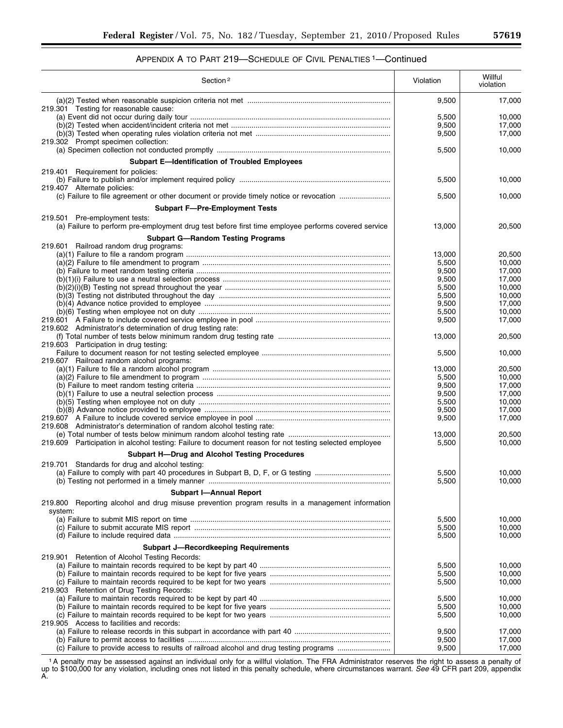# APPENDIX A TO PART 219—SCHEDULE OF CIVIL PENALTIES 1—Continued

| Section <sup>2</sup>                                                                                                                 | Violation      | Willful<br>violation |
|--------------------------------------------------------------------------------------------------------------------------------------|----------------|----------------------|
| 219.301 Testing for reasonable cause:                                                                                                | 9,500          | 17,000               |
|                                                                                                                                      | 5,500          | 10,000               |
|                                                                                                                                      | 9,500          | 17,000               |
|                                                                                                                                      | 9,500          | 17,000               |
| 219.302 Prompt specimen collection:                                                                                                  | 5,500          | 10,000               |
| <b>Subpart E-Identification of Troubled Employees</b>                                                                                |                |                      |
|                                                                                                                                      |                |                      |
| 219.401 Requirement for policies:                                                                                                    | 5,500          | 10,000               |
| 219.407 Alternate policies:                                                                                                          | 5,500          | 10,000               |
| <b>Subpart F-Pre-Employment Tests</b>                                                                                                |                |                      |
| 219.501 Pre-employment tests:<br>(a) Failure to perform pre-employment drug test before first time employee performs covered service | 13,000         | 20,500               |
| <b>Subpart G-Random Testing Programs</b>                                                                                             |                |                      |
| 219.601 Railroad random drug programs:                                                                                               |                |                      |
|                                                                                                                                      | 13,000         | 20,500               |
|                                                                                                                                      | 5,500          | 10,000               |
|                                                                                                                                      | 9,500          | 17,000               |
|                                                                                                                                      | 9,500          | 17,000               |
|                                                                                                                                      | 5,500          | 10,000               |
|                                                                                                                                      | 5,500          | 10,000               |
|                                                                                                                                      | 9,500<br>5,500 | 17,000<br>10.000     |
|                                                                                                                                      | 9,500          | 17,000               |
| 219.602 Administrator's determination of drug testing rate:                                                                          |                |                      |
|                                                                                                                                      | 13,000         | 20,500               |
| 219.603 Participation in drug testing:                                                                                               |                |                      |
|                                                                                                                                      | 5,500          | 10,000               |
| 219.607 Railroad random alcohol programs:                                                                                            |                |                      |
|                                                                                                                                      | 13,000         | 20,500               |
|                                                                                                                                      | 5,500<br>9,500 | 10,000<br>17,000     |
|                                                                                                                                      | 9,500          | 17,000               |
|                                                                                                                                      | 5,500          | 10,000               |
|                                                                                                                                      | 9,500          | 17,000               |
|                                                                                                                                      | 9,500          | 17,000               |
| 219.608 Administrator's determination of random alcohol testing rate:                                                                |                |                      |
|                                                                                                                                      | 13,000         | 20,500               |
| 219.609 Participation in alcohol testing: Failure to document reason for not testing selected employee                               | 5,500          | 10,000               |
| <b>Subpart H-Drug and Alcohol Testing Procedures</b>                                                                                 |                |                      |
| 219.701 Standards for drug and alcohol testing:                                                                                      |                |                      |
| (a) Failure to comply with part 40 procedures in Subpart B, D, F, or G testing                                                       | 5,500<br>5,500 | 10,000<br>10,000     |
| <b>Subpart I-Annual Report</b>                                                                                                       |                |                      |
| 219.800 Reporting alcohol and drug misuse prevention program results in a management information<br>system:                          |                |                      |
|                                                                                                                                      | 5,500          | 10,000               |
|                                                                                                                                      | 5,500          | 10,000               |
|                                                                                                                                      | 5,500          | 10,000               |
| <b>Subpart J-Recordkeeping Requirements</b>                                                                                          |                |                      |
| 219.901 Retention of Alcohol Testing Records:                                                                                        |                |                      |
|                                                                                                                                      | 5,500          | 10,000               |
|                                                                                                                                      | 5,500          | 10,000               |
|                                                                                                                                      | 5,500          | 10,000               |
| 219.903 Retention of Drug Testing Records:                                                                                           |                |                      |
|                                                                                                                                      | 5,500<br>5,500 | 10,000<br>10,000     |
|                                                                                                                                      | 5,500          | 10,000               |
| 219.905 Access to facilities and records:                                                                                            |                |                      |
|                                                                                                                                      | 9,500          | 17,000               |
|                                                                                                                                      | 9,500          | 17,000               |
|                                                                                                                                      | 9,500          | 17,000               |

1A penalty may be assessed against an individual only for a willful violation. The FRA Administrator reserves the right to assess a penalty of up to \$100,000 for any violation, including ones not listed in this penalty schedule, where circumstances warrant. *See* 49 CFR part 209, appendix A.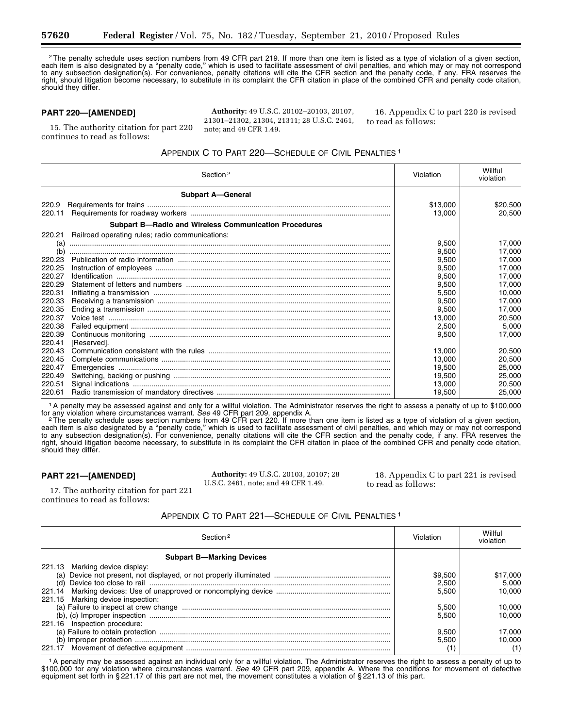<sup>2</sup>The penalty schedule uses section numbers from 49 CFR part 219. If more than one item is listed as a type of violation of a given section, each item is also designated by a ''penalty code,'' which is used to facilitate assessment of civil penalties, and which may or may not correspond to any subsection designation(s). For convenience, penalty citations will cite the CFR section and the penalty code, if any. FRA reserves the right, should litigation become necessary, to substitute in its complaint the CFR citation in place of the combined CFR and penalty code citation, should they differ.

## **PART 220—[AMENDED]**

**Authority:** 49 U.S.C. 20102–20103, 20107, 21301–21302, 21304, 21311; 28 U.S.C. 2461, note; and 49 CFR 1.49.

16. Appendix C to part 220 is revised to read as follows:

15. The authority citation for part 220 continues to read as follows:

# APPENDIX C TO PART 220—SCHEDULE OF CIVIL PENALTIES 1

|        | Section <sup>2</sup>                                         | Violation | Willful<br>violation |
|--------|--------------------------------------------------------------|-----------|----------------------|
|        | <b>Subpart A-General</b>                                     |           |                      |
| 220.9  |                                                              | \$13,000  | \$20,500             |
| 220.11 |                                                              | 13.000    | 20.500               |
|        | <b>Subpart B-Radio and Wireless Communication Procedures</b> |           |                      |
| 220.21 | Railroad operating rules; radio communications:              |           |                      |
| (a)    |                                                              | 9.500     | 17.000               |
| (b)    |                                                              | 9,500     | 17,000               |
| 220.23 |                                                              | 9.500     | 17.000               |
| 220.25 |                                                              | 9,500     | 17.000               |
| 220.27 |                                                              | 9,500     | 17,000               |
| 220.29 |                                                              | 9,500     | 17.000               |
| 220.31 |                                                              | 5,500     | 10.000               |
| 220.33 |                                                              | 9,500     | 17.000               |
| 220.35 |                                                              | 9,500     | 17.000               |
| 220.37 |                                                              | 13.000    | 20,500               |
| 220.38 |                                                              | 2,500     | 5.000                |
| 220.39 |                                                              | 9,500     | 17.000               |
| 220.41 | [Reserved].                                                  |           |                      |
| 220.43 |                                                              | 13.000    | 20,500               |
| 220.45 |                                                              | 13,000    | 20,500               |
| 220.47 |                                                              | 19,500    | 25,000               |
| 220.49 |                                                              | 19,500    | 25,000               |
| 220.51 |                                                              | 13,000    | 20,500               |
| 220.61 |                                                              | 19,500    | 25,000               |

1A penalty may be assessed against and only for a willful violation. The Administrator reserves the right to assess a penalty of up to \$100,000

for any violation where circumstances warrant. See 49 CFR part 209, appendix A.<br><sup>2</sup> The penalty schedule uses section numbers from 49 CFR part 220. If more than one item is listed as a type of violation of a given section, each item is also designated by a ''penalty code,'' which is used to facilitate assessment of civil penalties, and which may or may not correspond to any subsection designation(s). For convenience, penalty citations will cite the CFR section and the penalty code, if any. FRA reserves the right, should litigation become necessary, to substitute in its complaint the CFR citation in place of the combined CFR and penalty code citation, should they differ.

## **PART 221—[AMENDED]**

**Authority:** 49 U.S.C. 20103, 20107; 28 U.S.C. 2461, note; and 49 CFR 1.49.

18. Appendix C to part 221 is revised to read as follows:

17. The authority citation for part 221 continues to read as follows:

## APPENDIX C TO PART 221—SCHEDULE OF CIVIL PENALTIES 1

| Section <sup>2</sup>              | /i∩lati∩r | Willful<br>violation |
|-----------------------------------|-----------|----------------------|
| <b>Subpart B-Marking Devices</b>  |           |                      |
| 221.13 Marking device display:    |           |                      |
|                                   | \$9.500   | \$17,000             |
|                                   | 2.500     | 5.000                |
|                                   | 5.500     | 10.000               |
| 221.15 Marking device inspection: |           |                      |
|                                   | 5.500     | 10,000               |
|                                   | 5.500     | 10.000               |
| 221.16 Inspection procedure:      |           |                      |
|                                   | 9.500     | 17.000               |
|                                   | 5.500     | 10.000               |
|                                   |           |                      |

<sup>1</sup>A penalty may be assessed against an individual only for a willful violation. The Administrator reserves the right to assess a penalty of up to \$100,000 for any violation where circumstances warrant. *See* 49 CFR part 209, appendix A. Where the conditions for movement of defective equipment set forth in § 221.17 of this part are not met, the movement constitutes a violation of § 221.13 of this part.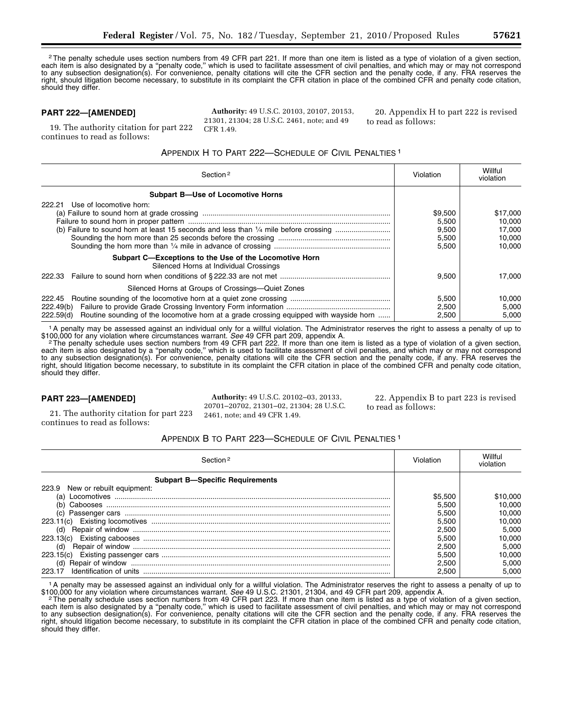<sup>2</sup>The penalty schedule uses section numbers from 49 CFR part 221. If more than one item is listed as a type of violation of a given section, each item is also designated by a ''penalty code,'' which is used to facilitate assessment of civil penalties, and which may or may not correspond to any subsection designation(s). For convenience, penalty citations will cite the CFR section and the penalty code, if any. FRA reserves the right, should litigation become necessary, to substitute in its complaint the CFR citation in place of the combined CFR and penalty code citation, should they differ.

## **PART 222—[AMENDED]**

continues to read as follows:

19. The authority citation for part 222

**Authority:** 49 U.S.C. 20103, 20107, 20153, 21301, 21304; 28 U.S.C. 2461, note; and 49 CFR 1.49.

20. Appendix H to part 222 is revised to read as follows:

APPENDIX H TO PART 222—SCHEDULE OF CIVIL PENALTIES 1

| Section <sup>2</sup>                                                                                                       | Violation                                   | Willful<br>violation                             |
|----------------------------------------------------------------------------------------------------------------------------|---------------------------------------------|--------------------------------------------------|
| <b>Subpart B-Use of Locomotive Horns</b>                                                                                   |                                             |                                                  |
| Use of locomotive horn:<br>222.21                                                                                          | \$9.500<br>5,500<br>9.500<br>5.500<br>5.500 | \$17,000<br>10.000<br>17.000<br>10.000<br>10.000 |
| Subpart C—Exceptions to the Use of the Locomotive Horn<br>Silenced Horns at Individual Crossings<br>222.33                 | 9.500                                       | 17.000                                           |
| Silenced Horns at Groups of Crossings—Quiet Zones                                                                          |                                             |                                                  |
| 222.45<br>222.49(b)<br>Routine sounding of the locomotive horn at a grade crossing equipped with wayside horn<br>222.59(d) | 5.500<br>2,500<br>2,500                     | 10.000<br>5.000<br>5.000                         |

<sup>1</sup>A penalty may be assessed against an individual only for a willful violation. The Administrator reserves the right to assess a penalty of up to

\$100,000 for any violation where circumstances warrant. See 49 CFR part 209, appendix A.<br>2The penalty schedule uses section numbers from 49 CFR part 222. If more than one item is listed as a type of violation of a given se each item is also designated by a ''penalty code,'' which is used to facilitate assessment of civil penalties, and which may or may not correspond to any subsection designation(s). For convenience, penalty citations will cite the CFR section and the penalty code, if any. FRA reserves the right, should litigation become necessary, to substitute in its complaint the CFR citation in place of the combined CFR and penalty code citation, should they differ.

## **PART 223—[AMENDED]**

21. The authority citation for part 223 continues to read as follows:

**Authority:** 49 U.S.C. 20102–03, 20133, 20701–20702, 21301–02, 21304; 28 U.S.C. 2461, note; and 49 CFR 1.49.

22. Appendix B to part 223 is revised to read as follows:

## APPENDIX B TO PART 223—SCHEDULE OF CIVIL PENALTIES 1

| Section <sup>2</sup>                   | /i∩lati∩r |         |
|----------------------------------------|-----------|---------|
| <b>Subpart B-Specific Requirements</b> |           |         |
| New or rebuilt equipment:<br>223.9     |           |         |
| (a)                                    | \$5.500   | 10.000; |
|                                        | 5.500     | 10.000  |
| (c)                                    | 5.500     | 10.000  |
|                                        | 5.500     | 10.000  |
| (d)                                    | 2.500     | 5.000   |
|                                        | 5.500     | 10.000  |
| (d)                                    | 2.500     | 5.000   |
|                                        | 5.500     | 10.000  |
| (d)                                    | 2.500     | 5.000   |
| Identification of units                | 2.500     | 5.000   |

1A penalty may be assessed against an individual only for a willful violation. The Administrator reserves the right to assess a penalty of up to

\$100,000 for any violation where circumstances warrant. See 49 U.S.C. 21301, 21304, and 49 CFR part 209, appendix A.<br>The penalty schedule uses section numbers from 49 CFR part 223. If more than one item is listed as a type each item is also designated by a ''penalty code,'' which is used to facilitate assessment of civil penalties, and which may or may not correspond to any subsection designation(s). For convenience, penalty citations will cite the CFR section and the penalty code, if any. FRA reserves the right, should litigation become necessary, to substitute in its complaint the CFR citation in place of the combined CFR and penalty code citation, should they differ.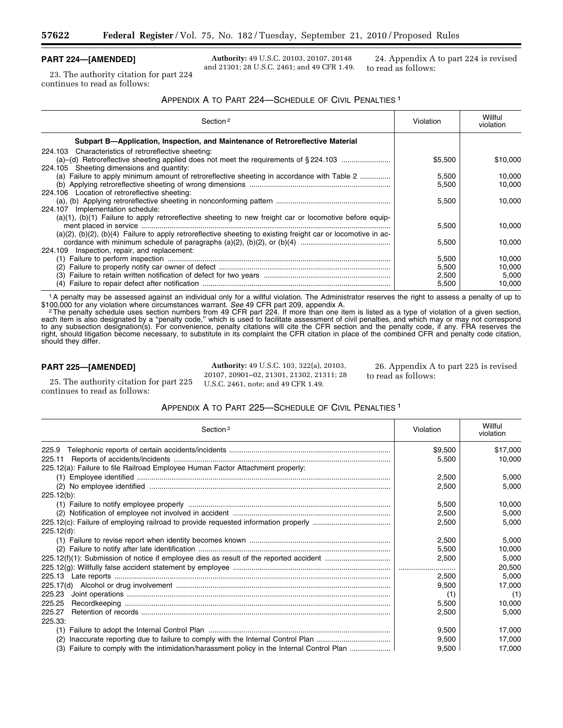## **PART 224—[AMENDED]**

23. The authority citation for part 224 continues to read as follows:

**Authority:** 49 U.S.C. 20103, 20107, 20148 and 21301; 28 U.S.C. 2461; and 49 CFR 1.49.

24. Appendix A to part 224 is revised to read as follows:

## APPENDIX A TO PART 224—SCHEDULE OF CIVIL PENALTIES 1

| Section <sub>2</sub>                                                                                                  | Violation | Willful<br>violation |
|-----------------------------------------------------------------------------------------------------------------------|-----------|----------------------|
| Subpart B—Application, Inspection, and Maintenance of Retroreflective Material                                        |           |                      |
| 224.103 Characteristics of retroreflective sheeting:                                                                  |           |                      |
|                                                                                                                       | \$5.500   | \$10,000             |
| 224.105 Sheeting dimensions and quantity:                                                                             |           |                      |
| (a) Failure to apply minimum amount of retroreflective sheeting in accordance with Table 2                            | 5,500     | 10.000               |
|                                                                                                                       | 5.500     | 10.000               |
| 224.106 Location of retroreflective sheeting:                                                                         |           |                      |
|                                                                                                                       | 5.500     | 10.000               |
| 224.107 Implementation schedule:                                                                                      |           |                      |
| $(a)(1)$ , $(b)(1)$ Failure to apply retroreflective sheeting to new freight car or locomotive before equip-          |           |                      |
|                                                                                                                       | 5,500     | 10.000               |
| $(a)(2)$ , $(b)(2)$ , $(b)(4)$ Failure to apply retroreflective sheeting to existing freight car or locomotive in ac- |           |                      |
|                                                                                                                       | 5,500     | 10.000               |
| 224.109 Inspection, repair, and replacement:                                                                          |           |                      |
|                                                                                                                       | 5,500     | 10.000               |
| (2)                                                                                                                   | 5,500     | 10.000               |
|                                                                                                                       | 2,500     | 5,000                |
|                                                                                                                       | 5,500     | 10,000               |

1A penalty may be assessed against an individual only for a willful violation. The Administrator reserves the right to assess a penalty of up to \$100,000 for any violation where circumstances warrant. See 49 CFR part 209, appendix A.<br><sup>2</sup> The penalty schedule uses section numbers from 49 CFR part 224. If more than one item is listed as a type of violation of a given

each item is also designated by a ''penalty code,'' which is used to facilitate assessment of civil penalties, and which may or may not correspond to any subsection designation(s). For convenience, penalty citations will cite the CFR section and the penalty code, if any. FRA reserves the right, should litigation become necessary, to substitute in its complaint the CFR citation in place of the combined CFR and penalty code citation, should they differ.

## **PART 225—[AMENDED]**

25. The authority citation for part 225 continues to read as follows:

**Authority:** 49 U.S.C. 103, 322(a), 20103, 20107, 20901–02, 21301, 21302, 21311; 28 U.S.C. 2461, note; and 49 CFR 1.49.

26. Appendix A to part 225 is revised to read as follows:

## APPENDIX A TO PART 225—SCHEDULE OF CIVIL PENALTIES 1

| Section <sup>2</sup>                                                                       | Violation | Willful<br>violation |
|--------------------------------------------------------------------------------------------|-----------|----------------------|
| 225.9                                                                                      | \$9,500   | \$17,000             |
| 225.11                                                                                     | 5,500     | 10.000               |
| 225.12(a): Failure to file Railroad Employee Human Factor Attachment properly:             |           |                      |
|                                                                                            | 2,500     | 5,000                |
|                                                                                            | 2,500     | 5.000                |
| $225.12(b)$ :                                                                              |           |                      |
|                                                                                            | 5,500     | 10.000               |
|                                                                                            | 2.500     | 5.000                |
|                                                                                            | 2.500     | 5,000                |
| $225.12(d)$ :                                                                              |           |                      |
|                                                                                            | 2,500     | 5,000                |
|                                                                                            | 5,500     | 10.000               |
|                                                                                            | 2,500     | 5,000                |
|                                                                                            |           | 20,500               |
|                                                                                            | 2.500     | 5,000                |
|                                                                                            | 9,500     | 17.000               |
| 225.23                                                                                     | (1)       | (1)                  |
| 225.25                                                                                     | 5,500     | 10,000               |
| 225.27                                                                                     | 2,500     | 5.000                |
| 225.33:                                                                                    |           |                      |
|                                                                                            | 9,500     | 17,000               |
| Inaccurate reporting due to failure to comply with the Internal Control Plan<br>(2)        | 9,500     | 17.000               |
| (3) Failure to comply with the intimidation/harassment policy in the Internal Control Plan | 9,500     | 17,000               |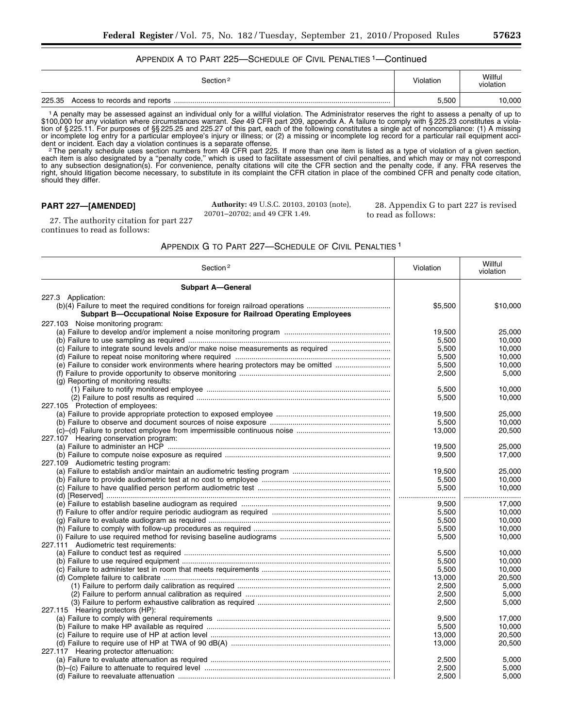# APPENDIX A TO PART 225—SCHEDULE OF CIVIL PENALTIES 1—Continued

|        | Section <sup>2</sup> | Violation | Willful<br>violation |
|--------|----------------------|-----------|----------------------|
| 225.35 |                      | 5.500     | 10,000               |

1A penalty may be assessed against an individual only for a willful violation. The Administrator reserves the right to assess a penalty of up to \$100,000 for any violation where circumstances warrant. *See* 49 CFR part 209, appendix A. A failure to comply with § 225.23 constitutes a violation of § 225.11. For purposes of §§ 225.25 and 225.27 of this part, each of the following constitutes a single act of noncompliance: (1) A missing or incomplete log entry for a particular employee's injury or illness; or (2) a missing or incomplete log record for a particular rail equipment acci-

dent or incident. Each day a violation continues is a separate offense.<br><sup>2</sup>The penalty schedule uses section numbers from 49 CFR part 225. If more than one item is listed as a type of violation of a given section, each item is also designated by a ''penalty code,'' which is used to facilitate assessment of civil penalties, and which may or may not correspond to any subsection designation(s). For convenience, penalty citations will cite the CFR section and the penalty code, if any. FRA reserves the right, should litigation become necessary, to substitute in its complaint the CFR citation in place of the combined CFR and penalty code citation, should they differ.

# **PART 227—[AMENDED]**

**Authority:** 49 U.S.C. 20103, 20103 (note), 20701–20702; and 49 CFR 1.49.

28. Appendix G to part 227 is revised to read as follows:

27. The authority citation for part 227 continues to read as follows:

APPENDIX G TO PART 227—SCHEDULE OF CIVIL PENALTIES 1

| Section <sup>2</sup>                                                              | Violation | Willful<br>violation |
|-----------------------------------------------------------------------------------|-----------|----------------------|
| <b>Subpart A-General</b>                                                          |           |                      |
| 227.3 Application:                                                                |           |                      |
| Subpart B-Occupational Noise Exposure for Railroad Operating Employees            | \$5,500   | \$10,000             |
| 227.103 Noise monitoring program:                                                 |           |                      |
|                                                                                   | 19,500    | 25,000               |
|                                                                                   | 5,500     | 10.000               |
| (c) Failure to integrate sound levels and/or make noise measurements as required  | 5,500     | 10,000               |
|                                                                                   | 5,500     | 10,000               |
| (e) Failure to consider work environments where hearing protectors may be omitted | 5,500     | 10,000               |
|                                                                                   | 2,500     | 5,000                |
| (g) Reporting of monitoring results:                                              |           |                      |
|                                                                                   | 5,500     | 10.000               |
|                                                                                   | 5,500     | 10,000               |
| 227.105 Protection of employees:                                                  |           |                      |
|                                                                                   | 19,500    | 25,000               |
|                                                                                   | 5,500     | 10.000               |
|                                                                                   | 13,000    | 20,500               |
| 227.107 Hearing conservation program:                                             |           |                      |
|                                                                                   | 19,500    | 25,000               |
|                                                                                   | 9,500     | 17,000               |
| 227.109 Audiometric testing program:                                              |           |                      |
|                                                                                   | 19.500    | 25.000               |
|                                                                                   | 5,500     | 10,000               |
|                                                                                   | 5,500     | 10.000               |
|                                                                                   |           |                      |
|                                                                                   | 9.500     | 17.000               |
|                                                                                   | 5,500     | 10,000               |
|                                                                                   | 5.500     | 10.000               |
|                                                                                   | 5,500     | 10,000               |
|                                                                                   | 5,500     | 10,000               |
| 227.111 Audiometric test requirements:                                            |           |                      |
|                                                                                   | 5,500     | 10,000               |
|                                                                                   | 5,500     | 10.000               |
|                                                                                   | 5,500     | 10,000               |
|                                                                                   | 13,000    | 20,500               |
|                                                                                   | 2,500     | 5,000                |
|                                                                                   | 2.500     | 5.000                |
|                                                                                   | 2,500     | 5,000                |
| 227.115 Hearing protectors (HP):                                                  |           |                      |
|                                                                                   | 9,500     | 17,000               |
|                                                                                   | 5,500     | 10.000               |
|                                                                                   | 13,000    | 20,500               |
|                                                                                   | 13,000    | 20,500               |
| 227.117 Hearing protector attenuation:                                            |           |                      |
|                                                                                   | 2,500     | 5.000                |
|                                                                                   | 2,500     | 5,000                |
|                                                                                   | 2.500     | 5.000                |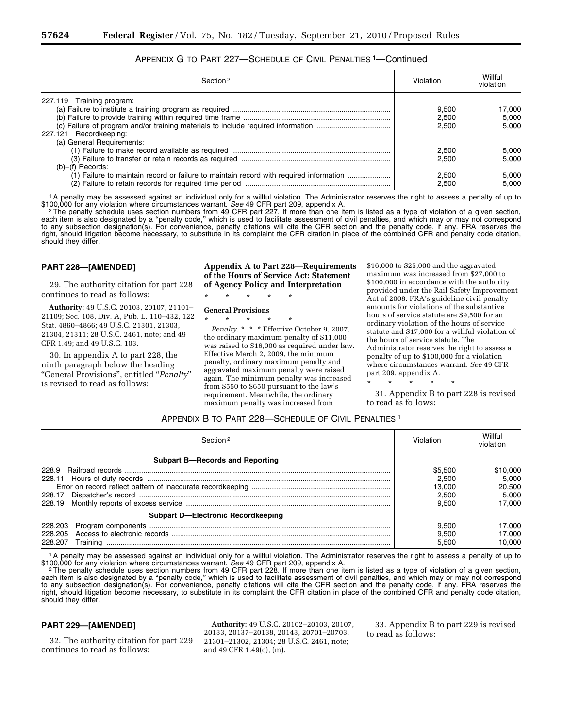| Section <sup>2</sup>                                                                                                                                                                                 | Violation                                                   | Willful<br>violation                                         |
|------------------------------------------------------------------------------------------------------------------------------------------------------------------------------------------------------|-------------------------------------------------------------|--------------------------------------------------------------|
| 227.119 Training program:<br>227.121 Recordkeeping:<br>(a) General Requirements:<br>$(b)$ – $(f)$ Records:<br>(1) Failure to maintain record or failure to maintain record with required information | 9.500<br>2,500<br>2.500<br>2.500<br>2.500<br>2.500<br>2,500 | 17,000<br>5.000<br>5.000<br>5.000<br>5.000<br>5.000<br>5.000 |

# APPENDIX G TO PART 227—SCHEDULE OF CIVIL PENALTIES 1—Continued

1A penalty may be assessed against an individual only for a willful violation. The Administrator reserves the right to assess a penalty of up to \$100,000 for any violation where circumstances warrant. See 49 CFR part 209, appendix A.<br><sup>2</sup> The penalty schedule uses section numbers from 49 CFR part 227. If more than one item is listed as a type of violation of a given

each item is also designated by a ''penalty code,'' which is used to facilitate assessment of civil penalties, and which may or may not correspond to any subsection designation(s). For convenience, penalty citations will cite the CFR section and the penalty code, if any. FRA reserves the right, should litigation become necessary, to substitute in its complaint the CFR citation in place of the combined CFR and penalty code citation, should they differ.

## **PART 228—[AMENDED]**

29. The authority citation for part 228 continues to read as follows:

**Authority:** 49 U.S.C. 20103, 20107, 21101– 21109; Sec. 108, Div. A, Pub. L. 110–432, 122 Stat. 4860–4866; 49 U.S.C. 21301, 21303, 21304, 21311; 28 U.S.C. 2461, note; and 49 CFR 1.49; and 49 U.S.C. 103.

30. In appendix A to part 228, the ninth paragraph below the heading ''General Provisions'', entitled ''*Penalty*'' is revised to read as follows:

## **Appendix A to Part 228—Requirements of the Hours of Service Act: Statement of Agency Policy and Interpretation**

\* \* \* \* \*

## **General Provisions**

\* \* \* \* \* *Penalty.* \* \* \* Effective October 9, 2007, the ordinary maximum penalty of \$11,000 was raised to \$16,000 as required under law. Effective March 2, 2009, the minimum penalty, ordinary maximum penalty and aggravated maximum penalty were raised again. The minimum penalty was increased from \$550 to \$650 pursuant to the law's requirement. Meanwhile, the ordinary maximum penalty was increased from

\$16,000 to \$25,000 and the aggravated maximum was increased from \$27,000 to \$100,000 in accordance with the authority provided under the Rail Safety Improvement Act of 2008. FRA's guideline civil penalty amounts for violations of the substantive hours of service statute are \$9,500 for an ordinary violation of the hours of service statute and \$17,000 for a willful violation of the hours of service statute. The Administrator reserves the right to assess a penalty of up to \$100,000 for a violation where circumstances warrant. *See* 49 CFR part 209, appendix A.

\* \* \* \* \*

31. Appendix B to part 228 is revised to read as follows:

## APPENDIX B TO PART 228—SCHEDULE OF CIVIL PENALTIES 1

| Section <sup>2</sup>                   | Violation | Willful<br>violation |
|----------------------------------------|-----------|----------------------|
| <b>Subpart B-Records and Reporting</b> |           |                      |
| 228.9                                  | \$5.500   | \$10,000             |
|                                        | 2.500     | 5.000                |
|                                        | 13.000    | 20.500               |
|                                        | 2.500     | 5.000                |
|                                        | 9.500     | 17.000               |
| Subpart D-Electronic Recordkeeping     |           |                      |
| 228.203                                | 9.500     | 17.000               |
| 228 205                                | 9.500     | 17.000               |
| Training                               | 5.500     | 10.000               |

1A penalty may be assessed against an individual only for a willful violation. The Administrator reserves the right to assess a penalty of up to \$100,000 for any violation where circumstances warrant. See 49 CFR part 209, appendix A.<br><sup>2</sup> The penalty schedule uses section numbers from 49 CFR part 228. If more than one item is listed as a type of violation of a given

each item is also designated by a ''penalty code,'' which is used to facilitate assessment of civil penalties, and which may or may not correspond to any subsection designation(s). For convenience, penalty citations will cite the CFR section and the penalty code, if any. FRA reserves the right, should litigation become necessary, to substitute in its complaint the CFR citation in place of the combined CFR and penalty code citation, should they differ.

## **PART 229—[AMENDED]**

32. The authority citation for part 229 continues to read as follows:

**Authority:** 49 U.S.C. 20102–20103, 20107, 20133, 20137–20138, 20143, 20701–20703, 21301–21302, 21304; 28 U.S.C. 2461, note; and 49 CFR 1.49(c), (m).

33. Appendix B to part 229 is revised to read as follows: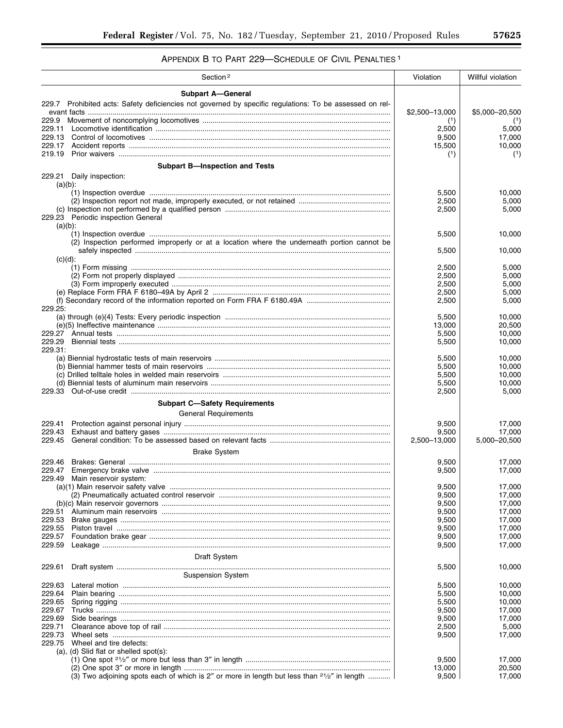# APPENDIX B TO PART 229—SCHEDULE OF CIVIL PENALTIES 1

| Section <sup>2</sup>                                                                                                 | Violation       | Willful violation |
|----------------------------------------------------------------------------------------------------------------------|-----------------|-------------------|
| <b>Subpart A-General</b>                                                                                             |                 |                   |
| 229.7 Prohibited acts: Safety deficiencies not governed by specific regulations: To be assessed on rel-              |                 |                   |
|                                                                                                                      | \$2,500-13,000  | \$5,000-20,500    |
| 229.9                                                                                                                | (1)<br>2,500    |                   |
| 229.13                                                                                                               | 9,500           | 5,000<br>17,000   |
| 229.17                                                                                                               | 15,500          | 10,000            |
| 219.19                                                                                                               | (1)             | (1)               |
| <b>Subpart B-Inspection and Tests</b>                                                                                |                 |                   |
| 229.21 Daily inspection:                                                                                             |                 |                   |
| $(a)(b)$ :                                                                                                           |                 |                   |
|                                                                                                                      | 5,500           | 10,000            |
|                                                                                                                      | 2,500<br>2,500  | 5,000<br>5,000    |
| 229.23 Periodic inspection General                                                                                   |                 |                   |
| $(a)(b)$ :                                                                                                           |                 |                   |
|                                                                                                                      | 5,500           | 10,000            |
| (2) Inspection performed improperly or at a location where the underneath portion cannot be                          | 5,500           | 10,000            |
| $(c)(d)$ :                                                                                                           |                 |                   |
|                                                                                                                      | 2,500           | 5,000             |
|                                                                                                                      | 2,500           | 5,000             |
|                                                                                                                      | 2,500<br>2,500  | 5,000<br>5,000    |
|                                                                                                                      | 2,500           | 5,000             |
| 229.25:                                                                                                              |                 |                   |
|                                                                                                                      | 5,500           | 10,000            |
|                                                                                                                      | 13,000          | 20,500            |
| 229.27<br>229.29                                                                                                     | 5,500<br>5,500  | 10,000<br>10,000  |
| 229.31:                                                                                                              |                 |                   |
|                                                                                                                      | 5,500           | 10,000            |
|                                                                                                                      | 5,500           | 10,000            |
|                                                                                                                      | 5,500<br>5,500  | 10,000<br>10,000  |
| 229.33                                                                                                               | 2,500           | 5,000             |
| <b>Subpart C-Safety Requirements</b>                                                                                 |                 |                   |
| <b>General Requirements</b>                                                                                          |                 |                   |
| 229.41                                                                                                               | 9,500           | 17,000            |
| 229.43                                                                                                               | 9,500           | 17,000            |
| 229.45                                                                                                               | 2,500-13,000    | 5,000-20,500      |
| <b>Brake System</b>                                                                                                  |                 |                   |
| 229.46                                                                                                               | 9,500           | 17,000            |
| 229.47                                                                                                               | 9,500           | 17,000            |
| Main reservoir system:<br>229.49                                                                                     | 9,500           | 17,000            |
|                                                                                                                      | 9,500           | 17,000            |
|                                                                                                                      | 9,500           | 17,000            |
| 229.51                                                                                                               | 9,500           | 17,000            |
| 229.53                                                                                                               | 9,500           | 17,000            |
| 229.55<br>229.57                                                                                                     | 9,500<br>9,500  | 17,000<br>17,000  |
| 229.59                                                                                                               | 9,500           | 17,000            |
| <b>Draft System</b>                                                                                                  |                 |                   |
| 229.61                                                                                                               | 5,500           | 10,000            |
| <b>Suspension System</b>                                                                                             |                 |                   |
| 229.63                                                                                                               | 5,500           | 10,000            |
| 229.64                                                                                                               | 5,500           | 10,000            |
| 229.65                                                                                                               | 5,500           | 10,000            |
| 229.67                                                                                                               | 9,500           | 17,000            |
| 229.69<br>229.71                                                                                                     | 9,500<br>2,500  | 17,000<br>5,000   |
| 229.73                                                                                                               | 9,500           | 17,000            |
| 229.75<br>Wheel and tire defects:                                                                                    |                 |                   |
| (a), (d) Slid flat or shelled spot(s):                                                                               |                 |                   |
|                                                                                                                      | 9,500           | 17,000            |
| (3) Two adjoining spots each of which is 2" or more in length but less than <sup>21</sup> / <sub>2</sub> " in length | 13,000<br>9,500 | 20,500<br>17,000  |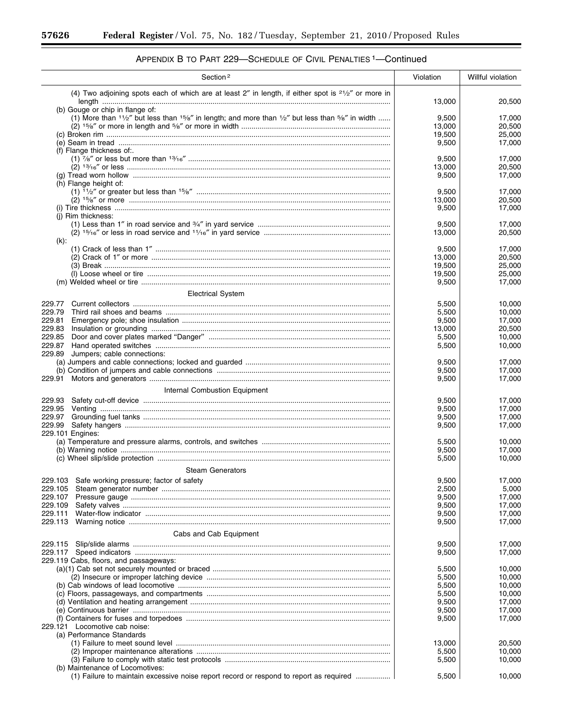۳

| Section <sup>2</sup>                                                                                                          | Violation       | Willful violation |
|-------------------------------------------------------------------------------------------------------------------------------|-----------------|-------------------|
| (4) Two adjoining spots each of which are at least 2" in length, if either spot is <sup>21</sup> / <sub>2</sub> " or more in  |                 |                   |
| (b) Gouge or chip in flange of:                                                                                               | 13,000          | 20,500            |
| (1) More than $1\frac{1}{2}$ but less than $15/6$ in length; and more than $\frac{1}{2}$ but less than $\frac{5}{6}$ in width | 9,500           | 17,000            |
|                                                                                                                               | 13,000          | 20,500            |
|                                                                                                                               | 19,500          | 25,000            |
|                                                                                                                               | 9,500           | 17,000            |
| (f) Flange thickness of:                                                                                                      |                 |                   |
|                                                                                                                               | 9,500<br>13,000 | 17,000<br>20,500  |
|                                                                                                                               | 9,500           | 17,000            |
| (h) Flange height of:                                                                                                         |                 |                   |
|                                                                                                                               | 9,500           | 17,000            |
|                                                                                                                               | 13,000          | 20,500            |
|                                                                                                                               | 9,500           | 17,000            |
| (i) Rim thickness:                                                                                                            |                 |                   |
|                                                                                                                               | 9,500<br>13,000 | 17,000<br>20,500  |
| $(k)$ :                                                                                                                       |                 |                   |
|                                                                                                                               | 9,500           | 17,000            |
|                                                                                                                               | 13,000          | 20,500            |
|                                                                                                                               | 19,500          | 25,000            |
|                                                                                                                               | 19,500          | 25,000            |
|                                                                                                                               | 9,500           | 17,000            |
| <b>Electrical System</b>                                                                                                      |                 |                   |
| 229.77                                                                                                                        | 5,500           | 10,000            |
| 229.79                                                                                                                        | 5,500           | 10,000            |
| 229.81                                                                                                                        | 9,500           | 17,000            |
| 229.83                                                                                                                        | 13,000          | 20,500            |
| 229.85                                                                                                                        | 5,500           | 10,000            |
| 229.87                                                                                                                        | 5,500           | 10,000            |
| 229.89<br>Jumpers; cable connections:                                                                                         |                 |                   |
|                                                                                                                               | 9,500<br>9,500  | 17,000<br>17,000  |
| 229.91                                                                                                                        | 9,500           | 17,000            |
|                                                                                                                               |                 |                   |
| Internal Combustion Equipment                                                                                                 |                 |                   |
| 229.93                                                                                                                        | 9,500           | 17,000            |
| 229.95<br>229.97                                                                                                              | 9,500<br>9,500  | 17,000<br>17,000  |
| 229.99                                                                                                                        | 9,500           | 17,000            |
| 229.101 Engines:                                                                                                              |                 |                   |
|                                                                                                                               | 5,500           | 10,000            |
|                                                                                                                               | 9,500           | 17,000            |
|                                                                                                                               | 5,500           | 10,000            |
| <b>Steam Generators</b>                                                                                                       |                 |                   |
| 229.103 Safe working pressure; factor of safety                                                                               | 9,500           | 17,000            |
|                                                                                                                               | 2,500           | 5,000             |
| 229.107                                                                                                                       | 9,500           | 17,000            |
| 229.109                                                                                                                       | 9,500           | 17,000            |
| 229.111                                                                                                                       | 9,500           | 17,000            |
| 229.113                                                                                                                       | 9,500           | 17,000            |
| Cabs and Cab Equipment                                                                                                        |                 |                   |
| 229.115                                                                                                                       | 9,500           | 17,000            |
|                                                                                                                               | 9,500           | 17,000            |
| 229.119 Cabs, floors, and passageways:                                                                                        |                 |                   |
|                                                                                                                               | 5,500           | 10,000            |
|                                                                                                                               | 5,500           | 10,000            |
|                                                                                                                               | 5,500           | 10,000            |
|                                                                                                                               | 5,500           | 10,000            |
|                                                                                                                               | 9,500<br>9,500  | 17,000<br>17,000  |
|                                                                                                                               | 9,500           | 17,000            |
| 229.121 Locomotive cab noise:                                                                                                 |                 |                   |
| (a) Performance Standards                                                                                                     |                 |                   |
|                                                                                                                               | 13,000          | 20,500            |
|                                                                                                                               | 5,500           | 10,000            |
|                                                                                                                               | 5,500           | 10,000            |
| (b) Maintenance of Locomotives:                                                                                               |                 |                   |
| (1) Failure to maintain excessive noise report record or respond to report as required                                        | 5,500           | 10,000            |

# APPENDIX B TO PART 229-SCHEDULE OF CIVIL PENALTIES <sup>1</sup>-Continued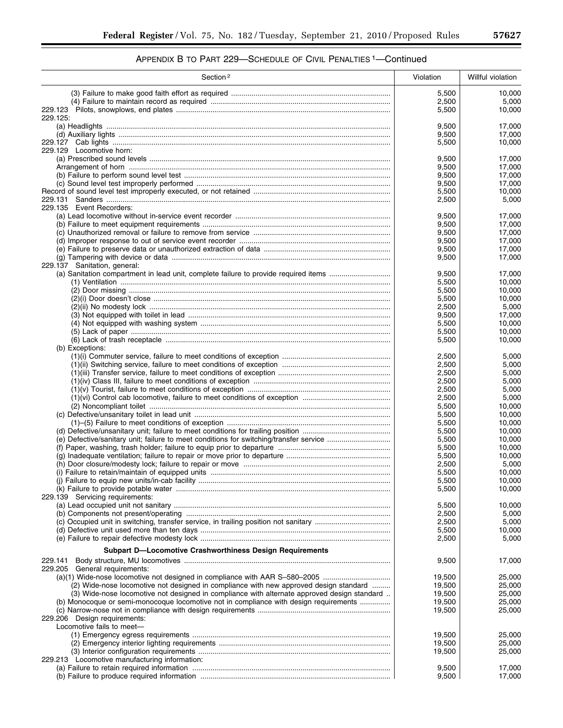| Section <sup>2</sup>                                                                        | Violation        | Willful violation |
|---------------------------------------------------------------------------------------------|------------------|-------------------|
|                                                                                             | 5,500            | 10.000            |
|                                                                                             | 2,500            | 5,000             |
|                                                                                             | 5,500            | 10,000            |
| 229.125.                                                                                    |                  |                   |
|                                                                                             | 9,500<br>9,500   | 17,000<br>17,000  |
|                                                                                             | 5,500            | 10,000            |
| 229.129 Locomotive horn:                                                                    |                  |                   |
|                                                                                             | 9,500            | 17,000            |
|                                                                                             | 9,500            | 17,000            |
|                                                                                             | 9,500<br>9,500   | 17,000<br>17,000  |
|                                                                                             | 5,500            | 10,000            |
|                                                                                             | 2,500            | 5,000             |
| 229.135 Event Recorders:                                                                    |                  |                   |
|                                                                                             | 9,500            | 17,000            |
|                                                                                             | 9,500            | 17,000            |
|                                                                                             | 9,500<br>9,500   | 17,000<br>17,000  |
|                                                                                             | 9,500            | 17,000            |
|                                                                                             | 9,500            | 17,000            |
| 229.137 Sanitation, general:                                                                |                  |                   |
| (a) Sanitation compartment in lead unit, complete failure to provide required items         | 9,500            | 17,000            |
|                                                                                             | 5,500            | 10,000            |
|                                                                                             | 5,500            | 10,000            |
|                                                                                             | 5,500<br>2,500   | 10,000<br>5,000   |
|                                                                                             | 9,500            | 17,000            |
|                                                                                             | 5,500            | 10,000            |
|                                                                                             | 5,500            | 10,000            |
|                                                                                             | 5,500            | 10,000            |
| (b) Exceptions:                                                                             |                  |                   |
|                                                                                             | 2,500<br>2,500   | 5,000<br>5,000    |
|                                                                                             | 2,500            | 5,000             |
|                                                                                             | 2,500            | 5,000             |
|                                                                                             | 2,500            | 5,000             |
|                                                                                             | 2,500            | 5,000             |
|                                                                                             | 5,500            | 10,000            |
|                                                                                             | 5,500            | 10,000<br>10,000  |
|                                                                                             | 5,500<br>5,500   | 10,000            |
|                                                                                             | 5,500            | 10,000            |
|                                                                                             | 5,500            | 10,000            |
|                                                                                             | 5,500            | 10,000            |
|                                                                                             | 2,500            | 5,000             |
|                                                                                             | 5,500<br>5,500   | 10,000<br>10,000  |
|                                                                                             | 5,500            | 10,000            |
| 229.139 Servicing requirements:                                                             |                  |                   |
|                                                                                             | 5,500            | 10,000            |
|                                                                                             | 2,500            | 5,000             |
|                                                                                             | 2,500            | 5,000             |
|                                                                                             | 5,500            | 10,000            |
|                                                                                             | 2,500            | 5,000             |
| <b>Subpart D-Locomotive Crashworthiness Design Requirements</b>                             |                  |                   |
| 229.141                                                                                     | 9,500            | 17,000            |
| 229.205 General requirements:                                                               |                  | 25.000            |
| (2) Wide-nose locomotive not designed in compliance with new approved design standard       | 19,500<br>19,500 | 25,000            |
| (3) Wide-nose locomotive not designed in compliance with alternate approved design standard | 19,500           | 25,000            |
| (b) Monocoque or semi-monocoque locomotive not in compliance with design requirements       | 19,500           | 25,000            |
|                                                                                             | 19,500           | 25,000            |
| 229.206 Design requirements:                                                                |                  |                   |
| Locomotive fails to meet-                                                                   |                  |                   |
|                                                                                             | 19,500<br>19,500 | 25,000<br>25,000  |
|                                                                                             | 19,500           | 25,000            |
| 229.213 Locomotive manufacturing information:                                               |                  |                   |
|                                                                                             | 9,500            | 17,000            |
|                                                                                             | 9,500            | 17,000            |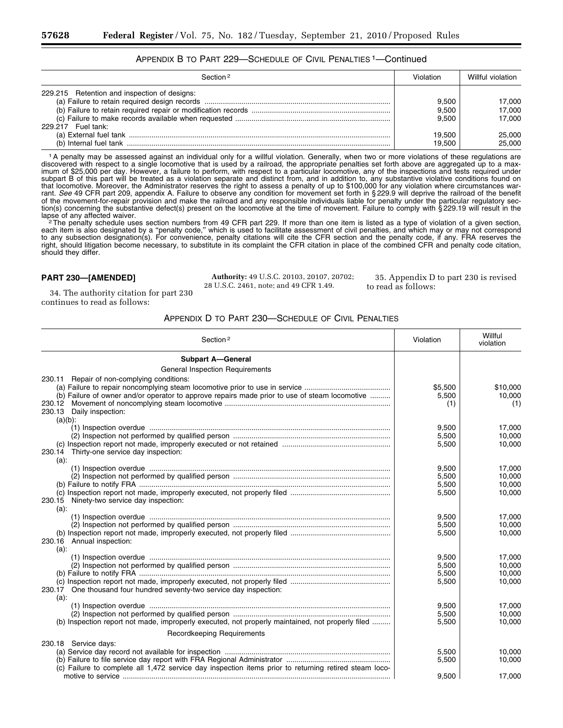# APPENDIX B TO PART 229—SCHEDULE OF CIVIL PENALTIES 1—Continued

| Section <sup>2</sup>                                               | Violation                                   | Willful violation                              |
|--------------------------------------------------------------------|---------------------------------------------|------------------------------------------------|
| 229.215 Retention and inspection of designs:<br>229.217 Fuel tank: | 9.500<br>9.500<br>9.500<br>19.500<br>19.500 | 17,000<br>17.000<br>17.000<br>25,000<br>25.000 |

1A penalty may be assessed against an individual only for a willful violation. Generally, when two or more violations of these regulations are discovered with respect to a single locomotive that is used by a railroad, the appropriate penalties set forth above are aggregated up to a maximum of \$25,000 per day. However, a failure to perform, with respect to a particular locomotive, any of the inspections and tests required under subpart B of this part will be treated as a violation separate and distinct from, and in addition to, any substantive violative conditions found on that locomotive. Moreover, the Administrator reserves the right to assess a penalty of up to \$100,000 for any violation where circumstances warrant. *See* 49 CFR part 209, appendix A. Failure to observe any condition for movement set forth in § 229.9 will deprive the railroad of the benefit of the movement-for-repair provision and make the railroad and any responsible individuals liable for penalty under the particular regulatory section(s) concerning the substantive defect(s) present on the locomotive at the time of movement. Failure to comply with §229.19 will result in the<br>lapse of any affected waiver.

<sup>'2</sup>The penalty schedule uses section numbers from 49 CFR part 229. If more than one item is listed as a type of violation of a given section, each item is also designated by a ''penalty code,'' which is used to facilitate assessment of civil penalties, and which may or may not correspond to any subsection designation(s). For convenience, penalty citations will cite the CFR section and the penalty code, if any. FRA reserves the right, should litigation become necessary, to substitute in its complaint the CFR citation in place of the combined CFR and penalty code citation, should they differ.

## **PART 230—[AMENDED]**

**Authority:** 49 U.S.C. 20103, 20107, 20702; 28 U.S.C. 2461, note; and 49 CFR 1.49.

35. Appendix D to part 230 is revised to read as follows:

34. The authority citation for part 230 continues to read as follows:

| Section <sup>2</sup>                                                                                  | Violation | Willful<br>violation |
|-------------------------------------------------------------------------------------------------------|-----------|----------------------|
| <b>Subpart A-General</b>                                                                              |           |                      |
| <b>General Inspection Requirements</b>                                                                |           |                      |
| 230.11 Repair of non-complying conditions:                                                            |           |                      |
|                                                                                                       | \$5,500   | \$10,000             |
| (b) Failure of owner and/or operator to approve repairs made prior to use of steam locomotive         | 5,500     | 10,000               |
|                                                                                                       | (1)       | (1)                  |
| 230.13 Daily inspection:                                                                              |           |                      |
| $(a)(b)$ :                                                                                            |           |                      |
|                                                                                                       | 9,500     | 17,000               |
|                                                                                                       | 5,500     | 10.000               |
|                                                                                                       | 5,500     | 10,000               |
| 230.14 Thirty-one service day inspection:                                                             |           |                      |
| $(a)$ :                                                                                               | 9.500     | 17.000               |
|                                                                                                       | 5,500     | 10,000               |
|                                                                                                       | 5,500     | 10.000               |
|                                                                                                       | 5,500     | 10,000               |
| 230.15 Ninety-two service day inspection:                                                             |           |                      |
| $(a)$ :                                                                                               |           |                      |
|                                                                                                       | 9,500     | 17.000               |
|                                                                                                       | 5,500     | 10.000               |
|                                                                                                       | 5,500     | 10,000               |
| 230.16 Annual inspection:                                                                             |           |                      |
| $(a)$ :                                                                                               |           |                      |
|                                                                                                       | 9,500     | 17,000               |
|                                                                                                       | 5,500     | 10,000               |
|                                                                                                       | 5,500     | 10,000               |
|                                                                                                       | 5,500     | 10,000               |
| One thousand four hundred seventy-two service day inspection:<br>230.17<br>$(a)$ :                    |           |                      |
|                                                                                                       | 9.500     | 17.000               |
|                                                                                                       | 5,500     | 10.000               |
| (b) Inspection report not made, improperly executed, not properly maintained, not properly filed      | 5,500     | 10,000               |
|                                                                                                       |           |                      |
| <b>Recordkeeping Requirements</b>                                                                     |           |                      |
| 230.18 Service days:                                                                                  |           |                      |
|                                                                                                       | 5,500     | 10.000               |
|                                                                                                       | 5,500     | 10,000               |
| (c) Failure to complete all 1,472 service day inspection items prior to returning retired steam loco- | 9,500     | 17,000               |
|                                                                                                       |           |                      |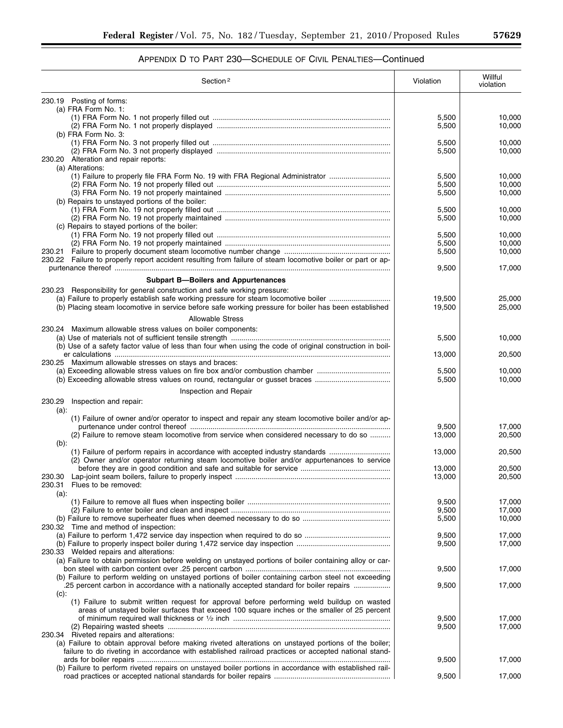| Section <sup>2</sup>                                                                                                                                                                           | Violation        | Willful<br>violation |
|------------------------------------------------------------------------------------------------------------------------------------------------------------------------------------------------|------------------|----------------------|
| 230.19 Posting of forms:                                                                                                                                                                       |                  |                      |
| (a) FRA Form No. 1:                                                                                                                                                                            |                  |                      |
|                                                                                                                                                                                                | 5,500            | 10,000               |
| (b) FRA Form No. 3:                                                                                                                                                                            | 5,500            | 10,000               |
|                                                                                                                                                                                                | 5,500            | 10,000               |
|                                                                                                                                                                                                | 5,500            | 10,000               |
| 230.20 Alteration and repair reports:                                                                                                                                                          |                  |                      |
| (a) Alterations:                                                                                                                                                                               |                  |                      |
| (1) Failure to properly file FRA Form No. 19 with FRA Regional Administrator                                                                                                                   | 5,500<br>5,500   | 10,000<br>10,000     |
|                                                                                                                                                                                                | 5,500            | 10,000               |
| (b) Repairs to unstayed portions of the boiler:                                                                                                                                                |                  |                      |
|                                                                                                                                                                                                | 5,500            | 10,000               |
| (c) Repairs to stayed portions of the boiler:                                                                                                                                                  | 5,500            | 10,000               |
|                                                                                                                                                                                                | 5,500            | 10,000               |
|                                                                                                                                                                                                | 5,500            | 10,000               |
|                                                                                                                                                                                                | 5,500            | 10,000               |
| 230.22 Failure to properly report accident resulting from failure of steam locomotive boiler or part or ap-                                                                                    |                  |                      |
|                                                                                                                                                                                                | 9,500            | 17,000               |
| <b>Subpart B-Boilers and Appurtenances</b>                                                                                                                                                     |                  |                      |
| 230.23 Responsibility for general construction and safe working pressure:                                                                                                                      |                  |                      |
| (a) Failure to properly establish safe working pressure for steam locomotive boiler<br>(b) Placing steam locomotive in service before safe working pressure for boiler has been established    | 19,500<br>19,500 | 25,000<br>25,000     |
| <b>Allowable Stress</b>                                                                                                                                                                        |                  |                      |
| 230.24 Maximum allowable stress values on boiler components:                                                                                                                                   |                  |                      |
|                                                                                                                                                                                                | 5,500            | 10,000               |
| (b) Use of a safety factor value of less than four when using the code of original construction in boil-                                                                                       |                  |                      |
|                                                                                                                                                                                                | 13,000           | 20,500               |
| 230.25 Maximum allowable stresses on stays and braces:                                                                                                                                         |                  |                      |
| (a) Exceeding allowable stress values on fire box and/or combustion chamber<br>(b) Exceeding allowable stress values on round, rectangular or gusset braces                                    | 5,500<br>5,500   | 10,000<br>10,000     |
|                                                                                                                                                                                                |                  |                      |
| Inspection and Repair                                                                                                                                                                          |                  |                      |
| 230.29<br>Inspection and repair:<br>(a):                                                                                                                                                       |                  |                      |
| (1) Failure of owner and/or operator to inspect and repair any steam locomotive boiler and/or ap-                                                                                              |                  |                      |
|                                                                                                                                                                                                | 9,500            | 17,000               |
| (2) Failure to remove steam locomotive from service when considered necessary to do so                                                                                                         | 13,000           | 20,500               |
| $(b)$ :<br>(1) Failure of perform repairs in accordance with accepted industry standards                                                                                                       | 13,000           | 20,500               |
| (2) Owner and/or operator returning steam locomotive boiler and/or appurtenances to service                                                                                                    |                  |                      |
|                                                                                                                                                                                                | 13,000           | 20,500               |
|                                                                                                                                                                                                | 13,000           | 20,500               |
| Flues to be removed:<br>230.31<br>$(a)$ :                                                                                                                                                      |                  |                      |
|                                                                                                                                                                                                | 9,500            | 17,000               |
|                                                                                                                                                                                                | 9,500            | 17,000               |
|                                                                                                                                                                                                | 5,500            | 10,000               |
| 230.32 Time and method of inspection:                                                                                                                                                          | 9,500            | 17,000               |
|                                                                                                                                                                                                | 9,500            | 17,000               |
| 230.33 Welded repairs and alterations:                                                                                                                                                         |                  |                      |
| (a) Failure to obtain permission before welding on unstayed portions of boiler containing alloy or car-                                                                                        |                  |                      |
|                                                                                                                                                                                                | 9,500            | 17,000               |
| (b) Failure to perform welding on unstayed portions of boiler containing carbon steel not exceeding<br>.25 percent carbon in accordance with a nationally accepted standard for boiler repairs | 9,500            | 17,000               |
| $(c)$ :                                                                                                                                                                                        |                  |                      |
| (1) Failure to submit written request for approval before performing weld buildup on wasted                                                                                                    |                  |                      |
| areas of unstayed boiler surfaces that exceed 100 square inches or the smaller of 25 percent                                                                                                   |                  |                      |
|                                                                                                                                                                                                | 9,500<br>9,500   | 17,000<br>17,000     |
| 230.34 Riveted repairs and alterations:                                                                                                                                                        |                  |                      |
| (a) Failure to obtain approval before making riveted alterations on unstayed portions of the boiler;                                                                                           |                  |                      |
| failure to do riveting in accordance with established railroad practices or accepted national stand-                                                                                           |                  |                      |
|                                                                                                                                                                                                | 9,500            | 17,000               |
| (b) Failure to perform riveted repairs on unstayed boiler portions in accordance with established rail-                                                                                        | 9,500            | 17,000               |
|                                                                                                                                                                                                |                  |                      |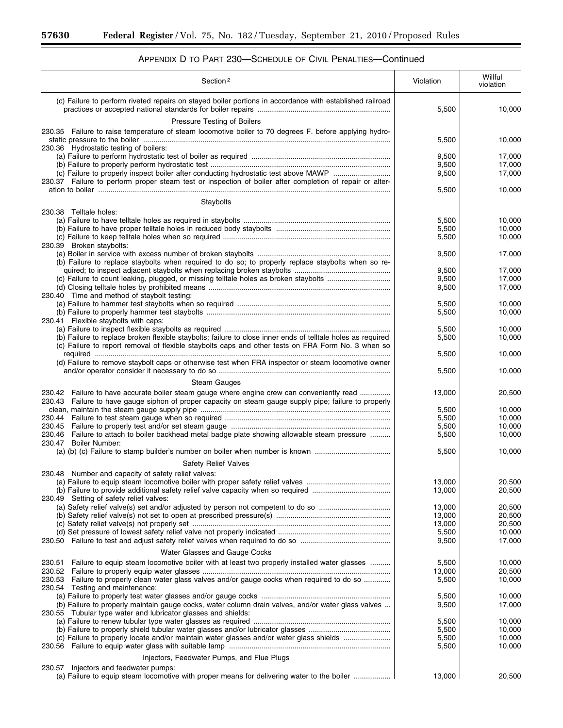| APPENDIX D TO PART 230-SCHEDULE OF CIVIL PENALTIES-Continued |
|--------------------------------------------------------------|
|--------------------------------------------------------------|

| Section <sup>2</sup>                                                                                                                                                                                                                      | Violation               | Willful<br>violation       |
|-------------------------------------------------------------------------------------------------------------------------------------------------------------------------------------------------------------------------------------------|-------------------------|----------------------------|
| (c) Failure to perform riveted repairs on stayed boiler portions in accordance with established railroad<br>Pressure Testing of Boilers                                                                                                   | 5,500                   | 10,000                     |
| 230.35 Failure to raise temperature of steam locomotive boiler to 70 degrees F. before applying hydro-                                                                                                                                    | 5,500                   | 10,000                     |
| 230.36 Hydrostatic testing of boilers:<br>(c) Failure to properly inspect boiler after conducting hydrostatic test above MAWP<br>230.37 Failure to perform proper steam test or inspection of boiler after completion of repair or alter- | 9,500<br>9,500<br>9,500 | 17,000<br>17,000<br>17,000 |
|                                                                                                                                                                                                                                           | 5,500                   | 10,000                     |
| Staybolts<br>230.38 Telltale holes:                                                                                                                                                                                                       |                         |                            |
| 230.39 Broken staybolts:                                                                                                                                                                                                                  | 5,500<br>5,500<br>5,500 | 10,000<br>10,000<br>10,000 |
| (b) Failure to replace staybolts when required to do so; to properly replace staybolts when so re-                                                                                                                                        | 9,500                   | 17,000                     |
|                                                                                                                                                                                                                                           | 9,500                   | 17,000                     |
| (c) Failure to count leaking, plugged, or missing telltale holes as broken staybolts<br>230.40 Time and method of staybolt testing:                                                                                                       | 9,500<br>9,500          | 17,000<br>17,000           |
| 230.41 Flexible staybolts with caps:                                                                                                                                                                                                      | 5,500<br>5,500          | 10,000<br>10,000           |
| (b) Failure to replace broken flexible staybolts; failure to close inner ends of telltale holes as required<br>(c) Failure to report removal of flexible staybolts caps and other tests on FRA Form No. 3 when so                         | 5,500<br>5,500          | 10,000<br>10,000           |
| (d) Failure to remove staybolt caps or otherwise test when FRA inspector or steam locomotive owner                                                                                                                                        | 5,500                   | 10,000                     |
|                                                                                                                                                                                                                                           | 5,500                   | 10,000                     |
| <b>Steam Gauges</b><br>230.42 Failure to have accurate boiler steam gauge where engine crew can conveniently read<br>230.43 Failure to have gauge siphon of proper capacity on steam gauge supply pipe; failure to properly               | 13,000                  | 20,500                     |
|                                                                                                                                                                                                                                           | 5,500<br>5,500<br>5,500 | 10,000<br>10,000<br>10,000 |
| 230.46 Failure to attach to boiler backhead metal badge plate showing allowable steam pressure<br>230.47 Boiler Number:<br>(a) (b) (c) Failure to stamp builder's number on boiler when number is known                                   | 5,500<br>5,500          | 10,000<br>10,000           |
| <b>Safety Relief Valves</b>                                                                                                                                                                                                               |                         |                            |
| 230.48 Number and capacity of safety relief valves:                                                                                                                                                                                       |                         |                            |
| 230.49 Setting of safety relief valves:                                                                                                                                                                                                   | 13,000<br>13,000        | 20,500<br>20,500           |
| (a) Safety relief valve(s) set and/or adjusted by person not competent to do so                                                                                                                                                           | 13,000<br>13,000        | 20.500<br>20,500           |
|                                                                                                                                                                                                                                           | 13,000<br>5,500         | 20,500<br>10,000           |
| Water Glasses and Gauge Cocks                                                                                                                                                                                                             | 9,500                   | 17,000                     |
| Failure to equip steam locomotive boiler with at least two properly installed water glasses<br>230.51                                                                                                                                     | 5,500<br>13,000         | 10,000<br>20,500           |
| 230.53 Failure to properly clean water glass valves and/or gauge cocks when required to do so<br>230.54 Testing and maintenance:                                                                                                          | 5,500                   | 10,000                     |
| (b) Failure to properly maintain gauge cocks, water column drain valves, and/or water glass valves<br>230.55 Tubular type water and lubricator glasses and shields:                                                                       | 5,500<br>9,500          | 10,000<br>17,000           |
|                                                                                                                                                                                                                                           | 5,500                   | 10,000                     |
| (c) Failure to properly locate and/or maintain water glasses and/or water glass shields<br>230.56                                                                                                                                         | 5,500<br>5,500<br>5,500 | 10,000<br>10,000<br>10,000 |
| Injectors, Feedwater Pumps, and Flue Plugs                                                                                                                                                                                                |                         |                            |
| Injectors and feedwater pumps:<br>230.57<br>(a) Failure to equip steam locomotive with proper means for delivering water to the boiler                                                                                                    | 13,000                  | 20,500                     |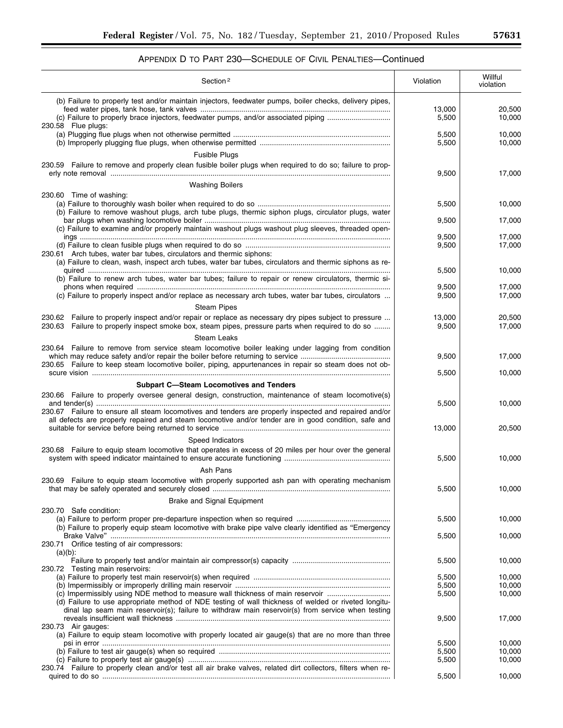| Section <sup>2</sup>                                                                                                                                                                                             | Violation       | Willful<br>violation |
|------------------------------------------------------------------------------------------------------------------------------------------------------------------------------------------------------------------|-----------------|----------------------|
| (b) Failure to properly test and/or maintain injectors, feedwater pumps, boiler checks, delivery pipes,<br>(c) Failure to properly brace injectors, feedwater pumps, and/or associated piping                    | 13,000<br>5,500 | 20,500<br>10,000     |
| 230.58 Flue plugs:                                                                                                                                                                                               | 5,500<br>5,500  | 10,000<br>10,000     |
| <b>Fusible Plugs</b>                                                                                                                                                                                             |                 |                      |
| 230.59 Failure to remove and properly clean fusible boiler plugs when required to do so; failure to prop-                                                                                                        | 9,500           | 17,000               |
| <b>Washing Boilers</b>                                                                                                                                                                                           |                 |                      |
| 230.60 Time of washing:<br>(b) Failure to remove washout plugs, arch tube plugs, thermic siphon plugs, circulator plugs, water                                                                                   | 5,500<br>9,500  | 10,000<br>17,000     |
| (c) Failure to examine and/or properly maintain washout plugs washout plug sleeves, threaded open-                                                                                                               |                 |                      |
| 230.61 Arch tubes, water bar tubes, circulators and thermic siphons:                                                                                                                                             | 9,500<br>9,500  | 17,000<br>17,000     |
| (a) Failure to clean, wash, inspect arch tubes, water bar tubes, circulators and thermic siphons as re-<br>(b) Failure to renew arch tubes, water bar tubes; failure to repair or renew circulators, thermic si- | 5,500           | 10,000               |
|                                                                                                                                                                                                                  | 9,500           | 17,000               |
| (c) Failure to properly inspect and/or replace as necessary arch tubes, water bar tubes, circulators                                                                                                             | 9,500           | 17,000               |
| <b>Steam Pipes</b><br>Failure to properly inspect and/or repair or replace as necessary dry pipes subject to pressure                                                                                            |                 |                      |
| 230.62<br>Failure to properly inspect smoke box, steam pipes, pressure parts when required to do so<br>230.63                                                                                                    | 13,000<br>9,500 | 20,500<br>17,000     |
| <b>Steam Leaks</b>                                                                                                                                                                                               |                 |                      |
| 230.64 Failure to remove from service steam locomotive boiler leaking under lagging from condition<br>230.65 Failure to keep steam locomotive boiler, piping, appurtenances in repair so steam does not ob-      | 9,500           | 17,000               |
|                                                                                                                                                                                                                  | 5,500           | 10,000               |
| <b>Subpart C-Steam Locomotives and Tenders</b>                                                                                                                                                                   |                 |                      |
| 230.66 Failure to properly oversee general design, construction, maintenance of steam locomotive(s)                                                                                                              | 5,500           | 10,000               |
| 230.67 Failure to ensure all steam locomotives and tenders are properly inspected and repaired and/or<br>all defects are properly repaired and steam locomotive and/or tender are in good condition, safe and    | 13,000          | 20,500               |
| Speed Indicators                                                                                                                                                                                                 |                 |                      |
| 230.68 Failure to equip steam locomotive that operates in excess of 20 miles per hour over the general                                                                                                           | 5,500           | 10,000               |
| Ash Pans                                                                                                                                                                                                         |                 |                      |
| 230.69 Failure to equip steam locomotive with properly supported ash pan with operating mechanism                                                                                                                | 5,500           | 10,000               |
| Brake and Signal Equipment                                                                                                                                                                                       |                 |                      |
| 230.70 Safe condition:                                                                                                                                                                                           | 5,500           | 10,000               |
| (b) Failure to properly equip steam locomotive with brake pipe valve clearly identified as "Emergency"<br>230.71 Orifice testing of air compressors:                                                             | 5,500           | 10,000               |
| $(a)(b)$ :                                                                                                                                                                                                       |                 |                      |
| 230.72 Testing main reservoirs:                                                                                                                                                                                  | 5,500           | 10,000               |
|                                                                                                                                                                                                                  | 5,500<br>5,500  | 10,000<br>10,000     |
| (c) Impermissibly using NDE method to measure wall thickness of main reservoir<br>(d) Failure to use appropriate method of NDE testing of wall thickness of welded or riveted longitu-                           | 5,500           | 10,000               |
| dinal lap seam main reservoir(s); failure to withdraw main reservoir(s) from service when testing<br>230.73 Air gauges:                                                                                          | 9,500           | 17,000               |
| (a) Failure to equip steam locomotive with properly located air gauge(s) that are no more than three                                                                                                             |                 |                      |
|                                                                                                                                                                                                                  | 5,500<br>5,500  | 10,000<br>10,000     |
| 230.74 Failure to properly clean and/or test all air brake valves, related dirt collectors, filters when re-                                                                                                     | 5,500           | 10,000               |
|                                                                                                                                                                                                                  | 5,500           | 10,000               |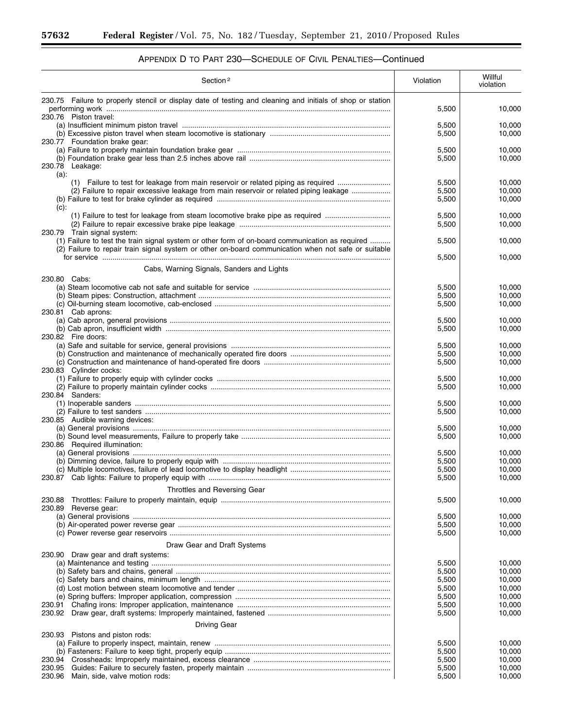۳

٠

| Section <sup>2</sup>                                                                                                                                                                                   | Violation      | Willful<br>violation |
|--------------------------------------------------------------------------------------------------------------------------------------------------------------------------------------------------------|----------------|----------------------|
| 230.75 Failure to properly stencil or display date of testing and cleaning and initials of shop or station                                                                                             |                |                      |
| 230.76 Piston travel:                                                                                                                                                                                  | 5,500          | 10,000               |
|                                                                                                                                                                                                        | 5,500          | 10,000               |
|                                                                                                                                                                                                        | 5,500          | 10,000               |
| 230.77 Foundation brake gear:                                                                                                                                                                          | 5,500          | 10,000               |
|                                                                                                                                                                                                        | 5,500          | 10,000               |
| 230.78 Leakage:                                                                                                                                                                                        |                |                      |
| $(a)$ :<br>(1) Failure to test for leakage from main reservoir or related piping as required                                                                                                           | 5,500          | 10,000               |
| (2) Failure to repair excessive leakage from main reservoir or related piping leakage                                                                                                                  | 5,500          | 10,000               |
|                                                                                                                                                                                                        | 5,500          | 10,000               |
| $(c)$ :<br>(1) Failure to test for leakage from steam locomotive brake pipe as required                                                                                                                | 5,500          | 10,000               |
|                                                                                                                                                                                                        | 5,500          | 10,000               |
| 230.79 Train signal system:                                                                                                                                                                            |                |                      |
| (1) Failure to test the train signal system or other form of on-board communication as required<br>(2) Failure to repair train signal system or other on-board communication when not safe or suitable | 5,500          | 10,000               |
|                                                                                                                                                                                                        | 5,500          | 10,000               |
| Cabs, Warning Signals, Sanders and Lights                                                                                                                                                              |                |                      |
| 230.80 Cabs:                                                                                                                                                                                           |                |                      |
|                                                                                                                                                                                                        | 5,500          | 10,000               |
|                                                                                                                                                                                                        | 5,500<br>5,500 | 10,000<br>10,000     |
| 230.81 Cab aprons:                                                                                                                                                                                     |                |                      |
|                                                                                                                                                                                                        | 5,500          | 10,000               |
| 230.82 Fire doors:                                                                                                                                                                                     | 5,500          | 10,000               |
|                                                                                                                                                                                                        | 5,500          | 10,000               |
|                                                                                                                                                                                                        | 5,500          | 10,000               |
|                                                                                                                                                                                                        | 5,500          | 10,000               |
| 230.83 Cylinder cocks:                                                                                                                                                                                 | 5,500          | 10,000               |
|                                                                                                                                                                                                        | 5,500          | 10,000               |
| 230.84 Sanders:                                                                                                                                                                                        |                |                      |
|                                                                                                                                                                                                        | 5,500<br>5,500 | 10,000<br>10,000     |
| 230.85 Audible warning devices:                                                                                                                                                                        |                |                      |
|                                                                                                                                                                                                        | 5,500          | 10,000               |
| 230.86 Required illumination:                                                                                                                                                                          | 5,500          | 10,000               |
|                                                                                                                                                                                                        | 5,500          | 10,000               |
|                                                                                                                                                                                                        | 5,500          | 10,000               |
|                                                                                                                                                                                                        | 5,500          | 10,000               |
|                                                                                                                                                                                                        | 5,500          | 10,000               |
| Throttles and Reversing Gear                                                                                                                                                                           |                |                      |
| 230.88<br>230.89 Reverse gear:                                                                                                                                                                         | 5,500          | 10,000               |
|                                                                                                                                                                                                        | 5,500          | 10,000               |
|                                                                                                                                                                                                        | 5,500          | 10,000               |
|                                                                                                                                                                                                        | 5,500          | 10,000               |
| Draw Gear and Draft Systems                                                                                                                                                                            |                |                      |
| 230.90 Draw gear and draft systems:                                                                                                                                                                    | 5,500          | 10,000               |
|                                                                                                                                                                                                        | 5,500          | 10.000               |
|                                                                                                                                                                                                        | 5,500          | 10,000               |
|                                                                                                                                                                                                        | 5,500<br>5,500 | 10,000<br>10,000     |
| 230.91                                                                                                                                                                                                 | 5,500          | 10,000               |
|                                                                                                                                                                                                        | 5,500          | 10,000               |
| Driving Gear                                                                                                                                                                                           |                |                      |
| 230.93 Pistons and piston rods:                                                                                                                                                                        |                |                      |
|                                                                                                                                                                                                        | 5,500          | 10,000               |
| 230.94                                                                                                                                                                                                 | 5,500<br>5,500 | 10,000<br>10,000     |
| 230.95                                                                                                                                                                                                 | 5,500          | 10,000               |
| 230.96<br>Main, side, valve motion rods:                                                                                                                                                               | 5,500          | 10,000               |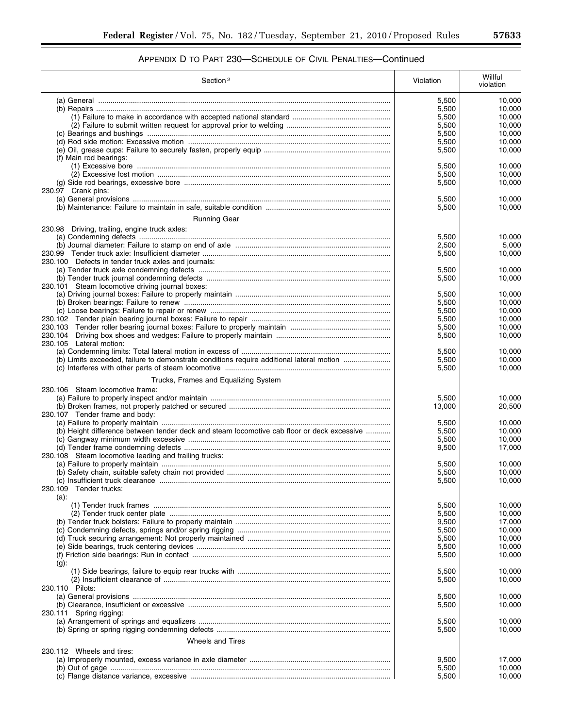| Section <sup>2</sup>                                                                       | Violation      | Willful<br>violation |
|--------------------------------------------------------------------------------------------|----------------|----------------------|
|                                                                                            | 5,500          | 10,000               |
|                                                                                            | 5,500          | 10,000               |
|                                                                                            | 5,500          | 10,000               |
|                                                                                            | 5,500          | 10,000               |
|                                                                                            | 5,500          | 10,000               |
|                                                                                            | 5,500          | 10,000               |
|                                                                                            | 5,500          | 10,000               |
| (f) Main rod bearings:                                                                     |                |                      |
|                                                                                            | 5,500          | 10,000               |
|                                                                                            | 5,500          | 10.000               |
| 230.97 Crank pins:                                                                         | 5,500          | 10,000               |
|                                                                                            |                | 10,000               |
|                                                                                            | 5,500<br>5,500 | 10,000               |
|                                                                                            |                |                      |
| Running Gear                                                                               |                |                      |
| 230.98 Driving, trailing, engine truck axles:                                              |                |                      |
|                                                                                            | 5,500          | 10,000               |
|                                                                                            | 2,500          | 5,000                |
| 230.100 Defects in tender truck axles and journals:                                        | 5,500          | 10,000               |
|                                                                                            | 5,500          | 10,000               |
|                                                                                            | 5,500          | 10,000               |
| 230.101 Steam locomotive driving journal boxes:                                            |                |                      |
|                                                                                            | 5,500          | 10,000               |
|                                                                                            | 5,500          | 10,000               |
|                                                                                            | 5,500          | 10,000               |
|                                                                                            | 5,500          | 10.000               |
|                                                                                            | 5,500          | 10,000               |
|                                                                                            | 5,500          | 10,000               |
| 230.105 Lateral motion:                                                                    |                |                      |
|                                                                                            | 5,500          | 10,000               |
| (b) Limits exceeded, failure to demonstrate conditions require additional lateral motion   | 5,500          | 10,000               |
|                                                                                            | 5,500          | 10,000               |
| Trucks, Frames and Equalizing System                                                       |                |                      |
| 230.106 Steam locomotive frame:                                                            |                |                      |
|                                                                                            | 5,500          | 10,000               |
|                                                                                            | 13,000         | 20,500               |
| 230.107 Tender frame and body:                                                             |                |                      |
|                                                                                            | 5,500          | 10,000               |
| (b) Height difference between tender deck and steam locomotive cab floor or deck excessive | 5,500          | 10,000               |
|                                                                                            | 5,500          | 10,000               |
|                                                                                            | 9,500          | 17,000               |
| 230.108 Steam locomotive leading and trailing trucks:                                      |                |                      |
|                                                                                            | 5,500          | 10,000               |
|                                                                                            | 5,500          | 10,000               |
|                                                                                            | 5,500          | 10,000               |
| 230.109 Tender trucks:                                                                     |                |                      |
| $(a)$ :                                                                                    |                |                      |
|                                                                                            | 5,500          | 10,000               |
|                                                                                            | 5,500<br>9,500 | 10,000<br>17,000     |
|                                                                                            | 5,500          | 10,000               |
|                                                                                            | 5,500          | 10,000               |
|                                                                                            | 5,500          | 10,000               |
|                                                                                            | 5,500          | 10,000               |
| $(g)$ :                                                                                    |                |                      |
|                                                                                            | 5,500          | 10,000               |
|                                                                                            | 5,500          | 10,000               |
| 230.110 Pilots:                                                                            |                |                      |
|                                                                                            | 5,500          | 10,000               |
|                                                                                            | 5,500          | 10,000               |
| 230.111 Spring rigging:                                                                    |                |                      |
|                                                                                            | 5,500          | 10,000               |
|                                                                                            | 5,500          | 10,000               |
| <b>Wheels and Tires</b>                                                                    |                |                      |
| 230.112 Wheels and tires:                                                                  |                |                      |
|                                                                                            | 9,500          | 17,000               |
|                                                                                            | 5,500          | 10,000               |
|                                                                                            | 5,500          | 10,000               |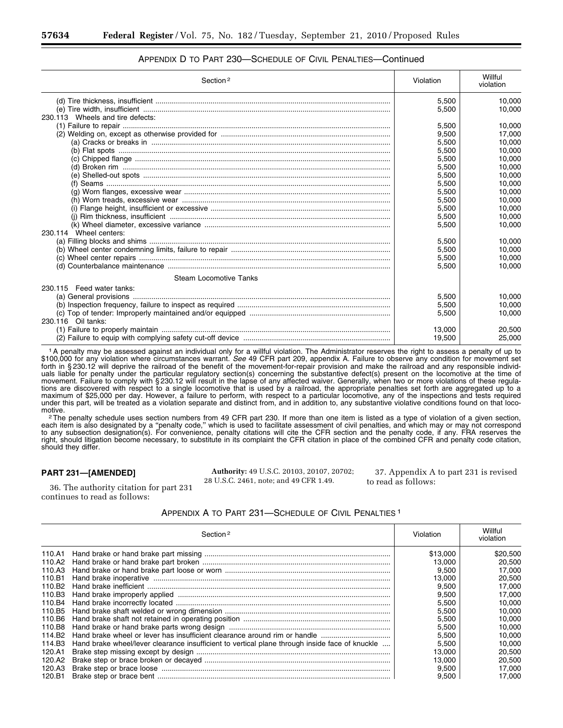| Section <sup>2</sup>             | Violation | Willful<br>violation |
|----------------------------------|-----------|----------------------|
|                                  | 5,500     | 10,000               |
|                                  | 5,500     | 10.000               |
| 230.113 Wheels and tire defects: |           |                      |
|                                  | 5,500     | 10.000               |
|                                  | 9,500     | 17,000               |
|                                  | 5,500     | 10.000               |
|                                  | 5,500     | 10,000               |
|                                  | 5,500     | 10.000               |
|                                  | 5,500     | 10,000               |
|                                  | 5,500     | 10.000               |
|                                  | 5,500     | 10,000               |
|                                  | 5,500     | 10.000               |
|                                  | 5,500     | 10,000               |
|                                  | 5,500     | 10.000               |
|                                  | 5.500     | 10.000               |
|                                  | 5.500     | 10.000               |
| 230.114 Wheel centers:           |           |                      |
|                                  | 5.500     | 10.000               |
|                                  | 5,500     | 10,000               |
|                                  | 5,500     | 10,000               |
|                                  | 5,500     | 10,000               |
| Steam Locomotive Tanks           |           |                      |
| 230.115 Feed water tanks:        |           |                      |
|                                  | 5,500     | 10.000               |
|                                  | 5,500     | 10,000               |
|                                  | 5,500     | 10.000               |
| 230.116 Oil tanks:               |           |                      |
|                                  | 13.000    | 20.500               |
|                                  | 19,500    | 25,000               |

# APPENDIX D TO PART 230—SCHEDULE OF CIVIL PENALTIES—Continued

1A penalty may be assessed against an individual only for a willful violation. The Administrator reserves the right to assess a penalty of up to \$100,000 for any violation where circumstances warrant. *See* 49 CFR part 209, appendix A. Failure to observe any condition for movement set forth in § 230.12 will deprive the railroad of the benefit of the movement-for-repair provision and make the railroad and any responsible individuals liable for penalty under the particular regulatory section(s) concerning the substantive defect(s) present on the locomotive at the time of movement. Failure to comply with § 230.12 will result in the lapse of any affected waiver. Generally, when two or more violations of these regulations are discovered with respect to a single locomotive that is used by a railroad, the appropriate penalties set forth are aggregated up to a maximum of \$25,000 per day. However, a failure to perform, with respect to a particular locomotive, any of the inspections and tests required under this part, will be treated as a violation separate and distinct from, and in addition to, any substantive violative conditions found on that loco-

motive.<br><sup>2</sup>The penalty schedule uses section numbers from 49 CFR part 230. If more than one item is listed as a type of violation of a given section, each item is also designated by a ''penalty code,'' which is used to facilitate assessment of civil penalties, and which may or may not correspond to any subsection designation(s). For convenience, penalty citations will cite the CFR section and the penalty code, if any. FRA reserves the right, should litigation become necessary, to substitute in its complaint the CFR citation in place of the combined CFR and penalty code citation, should they differ.

### **PART 231—[AMENDED]**

**Authority:** 49 U.S.C. 20103, 20107, 20702; 28 U.S.C. 2461, note; and 49 CFR 1.49.

37. Appendix A to part 231 is revised to read as follows:

36. The authority citation for part 231 continues to read as follows:

## APPENDIX A TO PART 231—SCHEDULE OF CIVIL PENALTIES 1

|                    | Section <sup>2</sup>                                                                           | Violation | Willful<br>violation |
|--------------------|------------------------------------------------------------------------------------------------|-----------|----------------------|
|                    |                                                                                                | \$13.000  | \$20,500             |
| 110.A2             |                                                                                                | 13.000    | 20.500               |
| 110.A3             |                                                                                                | 9.500     | 17.000               |
| 110.B1             |                                                                                                | 13.000    | 20,500               |
| 110.B <sub>2</sub> |                                                                                                | 9.500     | 17,000               |
| 110.B3             |                                                                                                | 9,500     | 17.000               |
| 110.B4             |                                                                                                | 5.500     | 10.000               |
| 110.B5             |                                                                                                | 5.500     | 10.000               |
| 110.B6             |                                                                                                | 5,500     | 10,000               |
| 110.B8             |                                                                                                | 5,500     | 10,000               |
| 114.B <sub>2</sub> | Hand brake wheel or lever has insufficient clearance around rim or handle                      | 5,500     | 10,000               |
| 114.B3             | Hand brake wheel/lever clearance insufficient to vertical plane through inside face of knuckle | 5.500     | 10,000               |
| 120.A1             |                                                                                                | 13.000    | 20,500               |
| 120.A2             |                                                                                                | 13.000    | 20.500               |
| 120.A3             |                                                                                                | 9,500     | 17,000               |
| 120.B1             |                                                                                                | 9,500     | 17.000               |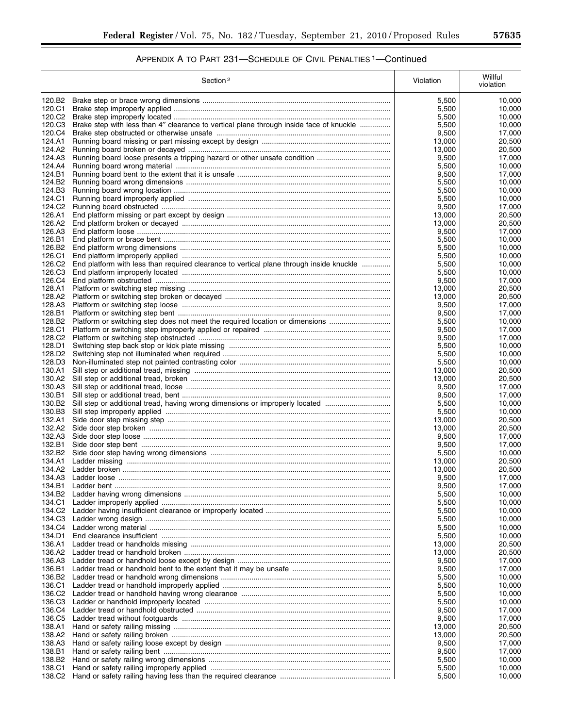|                              | Section <sup>2</sup>                                                                    | Violation        | Willful<br>violation |
|------------------------------|-----------------------------------------------------------------------------------------|------------------|----------------------|
| 120.B2                       |                                                                                         | 5,500            | 10,000               |
| 120.C1                       |                                                                                         | 5,500            | 10,000               |
| 120.C2                       |                                                                                         | 5,500            | 10,000               |
| 120.C3                       | Brake step with less than 4" clearance to vertical plane through inside face of knuckle | 5,500            | 10,000               |
| 120.C4<br>124.A1             |                                                                                         | 9,500<br>13,000  | 17,000<br>20,500     |
| 124.A2                       |                                                                                         | 13,000           | 20,500               |
| 124.A3                       |                                                                                         | 9,500            | 17,000               |
| 124.A4                       |                                                                                         | 5,500            | 10,000               |
| 124.B1                       |                                                                                         | 9,500            | 17,000               |
| 124.B2<br>124.B3             |                                                                                         | 5,500<br>5,500   | 10,000<br>10,000     |
| 124.C1                       |                                                                                         | 5,500            | 10.000               |
| 124.C2                       |                                                                                         | 9,500            | 17,000               |
| 126.A1                       |                                                                                         | 13,000           | 20,500               |
| 126.A2<br>126.A3             |                                                                                         | 13,000           | 20,500<br>17,000     |
| 126.B1                       |                                                                                         | 9,500<br>5,500   | 10,000               |
| 126.B <sub>2</sub>           |                                                                                         | 5,500            | 10,000               |
| 126.C1                       |                                                                                         | 5,500            | 10,000               |
| 126.C2                       | End platform with less than required clearance to vertical plane through inside knuckle | 5,500            | 10,000               |
| 126.C3<br>126.C4             |                                                                                         | 5,500<br>9,500   | 10.000<br>17,000     |
| 128.A1                       |                                                                                         | 13,000           | 20,500               |
| 128.A2                       |                                                                                         | 13.000           | 20,500               |
| 128.A3                       |                                                                                         | 9,500            | 17,000               |
| 128.B1                       |                                                                                         | 9,500            | 17,000               |
| 128.B2<br>128.C1             | Platform or switching step does not meet the required location or dimensions            | 5,500<br>9,500   | 10.000<br>17,000     |
| 128.C2                       |                                                                                         | 9,500            | 17,000               |
| 128.D1                       |                                                                                         | 5,500            | 10,000               |
| 128.D <sub>2</sub>           |                                                                                         | 5,500            | 10,000               |
| 128.D3                       |                                                                                         | 5,500            | 10,000               |
| 130.A1<br>130.A2             |                                                                                         | 13,000<br>13,000 | 20,500<br>20,500     |
| 130.A3                       |                                                                                         | 9,500            | 17,000               |
| 130.B1                       |                                                                                         | 9,500            | 17,000               |
| 130.B <sub>2</sub>           | Sill step or additional tread, having wrong dimensions or improperly located            | 5,500            | 10,000               |
| 130.B3                       |                                                                                         | 5,500            | 10,000               |
| 132.A1<br>132.A2             |                                                                                         | 13,000<br>13,000 | 20,500<br>20,500     |
| 132.A3                       |                                                                                         | 9,500            | 17,000               |
| 132.B1                       |                                                                                         | 9,500            | 17,000               |
| 132.B2                       |                                                                                         | 5,500            | 10,000               |
| 134.A1                       |                                                                                         | 13,000           | 20,500               |
| 134.A2<br>134.A3             |                                                                                         | 13,000<br>9,500  | 20,500<br>17,000     |
| 134.B1                       |                                                                                         | 9,500            | 17,000               |
| 134.B2                       |                                                                                         | 5,500            | 10,000               |
| 134.C1                       |                                                                                         | 5,500            | 10,000               |
| 134.C2                       |                                                                                         | 5,500            | 10,000               |
| 134.C3<br>134.C4             |                                                                                         | 5,500<br>5,500   | 10,000<br>10,000     |
| 134.D1                       |                                                                                         | 5,500            | 10,000               |
| 136.A1                       |                                                                                         | 13,000           | 20,500               |
| 136.A2                       |                                                                                         | 13,000           | 20,500               |
| 136.A3                       |                                                                                         | 9,500            | 17,000               |
| 136.B1<br>136.B <sub>2</sub> |                                                                                         | 9,500<br>5,500   | 17,000<br>10,000     |
| 136.C1                       |                                                                                         | 5,500            | 10,000               |
| 136.C <sub>2</sub>           |                                                                                         | 5,500            | 10,000               |
| 136.C3                       |                                                                                         | 5,500            | 10,000               |
| 136.C4                       |                                                                                         | 9,500            | 17,000               |
| 136.C5<br>138.A1             |                                                                                         | 9,500<br>13,000  | 17,000<br>20,500     |
| 138.A2                       |                                                                                         | 13,000           | 20,500               |
| 138.A3                       |                                                                                         | 9,500            | 17,000               |
| 138.B1                       |                                                                                         | 9,500            | 17,000               |
| 138.B <sub>2</sub>           |                                                                                         | 5,500            | 10,000               |
| 138.C1<br>138.C2             |                                                                                         | 5,500<br>5,500   | 10,000<br>10,000     |
|                              |                                                                                         |                  |                      |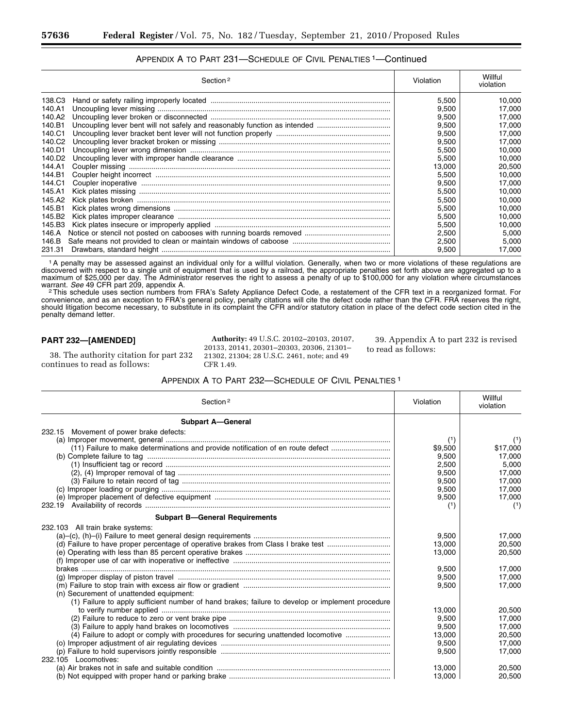| APPENDIX A TO PART 231-SCHEDULE OF CIVIL PENALTIES <sup>1</sup> -Continued |  |
|----------------------------------------------------------------------------|--|
|----------------------------------------------------------------------------|--|

|                    | Section <sup>2</sup> | Violation | Willful<br>violation |
|--------------------|----------------------|-----------|----------------------|
| 138.C3             |                      | 5.500     | 10,000               |
| 140.A1             |                      | 9,500     | 17,000               |
| 140.A2             |                      | 9.500     | 17.000               |
| 140.B1             |                      | 9.500     | 17.000               |
| 140.C1             |                      | 9.500     | 17,000               |
| 140.C <sub>2</sub> |                      | 9,500     | 17,000               |
| 140.D1             |                      | 5.500     | 10.000               |
| 140.D <sub>2</sub> |                      | 5.500     | 10.000               |
| 144.A1             |                      | 13,000    | 20,500               |
| 144.B1             |                      | 5,500     | 10,000               |
| 144.C1             |                      | 9.500     | 17.000               |
| 145.A1             |                      | 5.500     | 10.000               |
| 145.A2             |                      | 5,500     | 10.000               |
| 145.B1             |                      | 5,500     | 10,000               |
| 145.B <sub>2</sub> |                      | 5.500     | 10.000               |
| 145.B3             |                      | 5.500     | 10.000               |
| 146.A              |                      | 2,500     | 5,000                |
| 146.B              |                      | 2.500     | 5.000                |
| 231.31             |                      | 9,500     | 17,000               |

1A penalty may be assessed against an individual only for a willful violation. Generally, when two or more violations of these regulations are discovered with respect to a single unit of equipment that is used by a railroad, the appropriate penalties set forth above are aggregated up to a maximum of \$25,000 per day. The Administrator reserves the right to assess a penalty of up to \$100,000 for any violation where circumstances

warrant. *See* 49 CFR part 209, appendix A.<br><sup>2</sup>This schedule uses section numbers from FRA's Safety Appliance Defect Code, a restatement of the CFR text in a reorganized format. For convenience, and as an exception to FRA's general policy, penalty citations will cite the defect code rather than the CFR. FRA reserves the right, should litigation become necessary, to substitute in its complaint the CFR and/or statutory citation in place of the defect code section cited in the penalty demand letter.

## **PART 232—[AMENDED]**

38. The authority citation for part 232 continues to read as follows:

**Authority:** 49 U.S.C. 20102–20103, 20107, 20133, 20141, 20301–20303, 20306, 21301– 21302, 21304; 28 U.S.C. 2461, note; and 49 CFR 1.49.

39. Appendix A to part 232 is revised to read as follows:

### APPENDIX A TO PART 232—SCHEDULE OF CIVIL PENALTIES 1

| Section <sup>2</sup>                                                                             | Violation | Willful<br>violation |
|--------------------------------------------------------------------------------------------------|-----------|----------------------|
| <b>Subpart A-General</b>                                                                         |           |                      |
| 232.15 Movement of power brake defects:                                                          |           |                      |
|                                                                                                  | (1)       | (1)                  |
| (11) Failure to make determinations and provide notification of en route defect                  | \$9,500   | \$17,000             |
|                                                                                                  | 9,500     | 17,000               |
|                                                                                                  | 2.500     | 5.000                |
|                                                                                                  | 9.500     | 17.000               |
|                                                                                                  | 9.500     | 17.000               |
|                                                                                                  | 9,500     | 17.000               |
|                                                                                                  | 9,500     | 17,000               |
| 232.19                                                                                           | (1)       | (1)                  |
| <b>Subpart B-General Requirements</b>                                                            |           |                      |
| 232.103 All train brake systems:                                                                 |           |                      |
|                                                                                                  | 9.500     | 17.000               |
| (d) Failure to have proper percentage of operative brakes from Class I brake test                | 13,000    | 20,500               |
|                                                                                                  | 13,000    | 20,500               |
|                                                                                                  |           |                      |
|                                                                                                  | 9,500     | 17,000               |
|                                                                                                  | 9,500     | 17,000               |
|                                                                                                  | 9.500     | 17.000               |
| (n) Securement of unattended equipment:                                                          |           |                      |
| (1) Failure to apply sufficient number of hand brakes; failure to develop or implement procedure |           |                      |
|                                                                                                  | 13.000    | 20.500               |
|                                                                                                  | 9,500     | 17,000               |
|                                                                                                  | 9,500     | 17,000               |
| (4) Failure to adopt or comply with procedures for securing unattended locomotive                | 13,000    | 20,500               |
|                                                                                                  | 9,500     | 17,000               |
|                                                                                                  | 9.500     | 17.000               |
| 232.105 Locomotives:                                                                             |           |                      |
|                                                                                                  | 13.000    | 20.500               |
|                                                                                                  | 13,000    | 20,500               |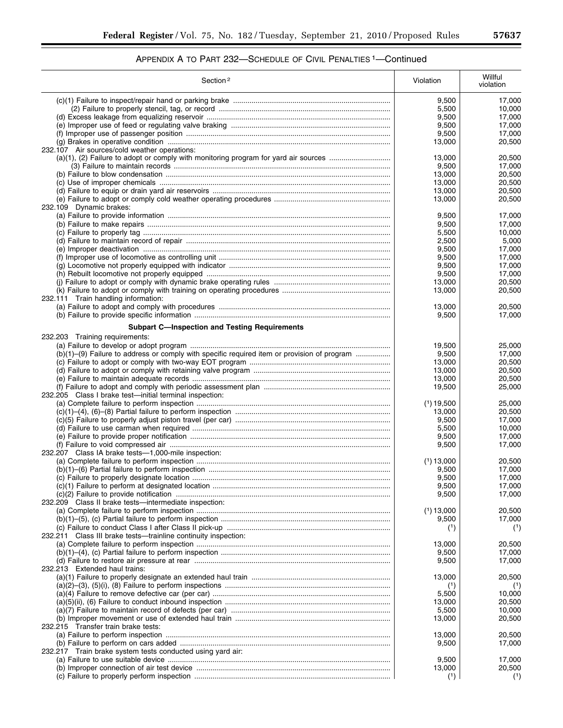| Section <sup>2</sup>                                                                        | Violation             | Willful<br>violation |
|---------------------------------------------------------------------------------------------|-----------------------|----------------------|
|                                                                                             | 9,500                 | 17,000               |
|                                                                                             | 5,500                 | 10,000               |
|                                                                                             | 9,500                 | 17,000               |
|                                                                                             | 9,500                 | 17,000               |
|                                                                                             | 9,500                 | 17,000               |
|                                                                                             | 13,000                | 20,500               |
| 232.107 Air sources/cold weather operations:                                                |                       |                      |
|                                                                                             | 13,000                | 20,500               |
|                                                                                             | 9,500                 | 17,000               |
|                                                                                             | 13.000                | 20,500               |
|                                                                                             | 13,000                | 20,500               |
|                                                                                             | 13,000                | 20,500               |
|                                                                                             | 13,000                | 20,500               |
| 232.109 Dynamic brakes:                                                                     |                       |                      |
|                                                                                             | 9,500<br>9,500        | 17,000<br>17,000     |
|                                                                                             | 5,500                 | 10,000               |
|                                                                                             | 2,500                 | 5,000                |
|                                                                                             | 9,500                 | 17,000               |
|                                                                                             | 9,500                 | 17,000               |
|                                                                                             | 9,500                 | 17,000               |
|                                                                                             | 9,500                 | 17,000               |
|                                                                                             | 13,000                | 20.500               |
|                                                                                             | 13,000                | 20,500               |
| 232.111 Train handling information:                                                         |                       |                      |
|                                                                                             | 13,000                | 20,500               |
|                                                                                             | 9,500                 | 17,000               |
| <b>Subpart C-Inspection and Testing Requirements</b>                                        |                       |                      |
| 232.203 Training requirements:                                                              |                       |                      |
|                                                                                             | 19,500                | 25,000               |
| (b)(1)-(9) Failure to address or comply with specific required item or provision of program | 9,500                 | 17,000               |
|                                                                                             | 13,000                | 20,500               |
|                                                                                             | 13,000                | 20,500               |
|                                                                                             | 13,000                | 20,500               |
|                                                                                             | 19,500                | 25,000               |
| 232.205 Class I brake test-initial terminal inspection:                                     |                       |                      |
|                                                                                             | $(1)$ 19,500          | 25,000               |
|                                                                                             | 13,000                | 20,500               |
|                                                                                             | 9,500                 | 17,000               |
|                                                                                             | 5,500                 | 10,000               |
|                                                                                             | 9,500                 | 17,000               |
|                                                                                             | 9,500                 | 17.000               |
| 232.207 Class IA brake tests-1,000-mile inspection:                                         |                       |                      |
|                                                                                             | $(1)$ 13,000<br>9,500 | 20,500               |
|                                                                                             | 9,500                 | 17,000<br>17,000     |
|                                                                                             | 9,500                 | 17,000               |
|                                                                                             | 9,500                 | 17,000               |
| 232.209 Class II brake tests-intermediate inspection:                                       |                       |                      |
|                                                                                             | $(1)$ 13,000          | 20,500               |
|                                                                                             | 9,500                 | 17,000               |
|                                                                                             | (1)                   | (1)                  |
| 232.211 Class III brake tests—trainline continuity inspection:                              |                       |                      |
|                                                                                             | 13,000                | 20,500               |
|                                                                                             | 9,500                 | 17,000               |
|                                                                                             | 9,500                 | 17,000               |
| 232.213 Extended haul trains:                                                               |                       |                      |
|                                                                                             | 13,000                | 20,500               |
|                                                                                             |                       |                      |
|                                                                                             | 5,500                 | 10,000               |
|                                                                                             | 13,000                | 20,500               |
|                                                                                             | 5,500                 | 10,000               |
|                                                                                             | 13,000                | 20,500               |
| 232.215 Transfer train brake tests:                                                         | 13,000                | 20,500               |
|                                                                                             |                       |                      |
| 232.217 Train brake system tests conducted using yard air:                                  | 9,500                 | 17,000               |
|                                                                                             | 9,500                 | 17,000               |
|                                                                                             | 13,000                | 20,500               |
|                                                                                             | (1)                   | (1)                  |
|                                                                                             |                       |                      |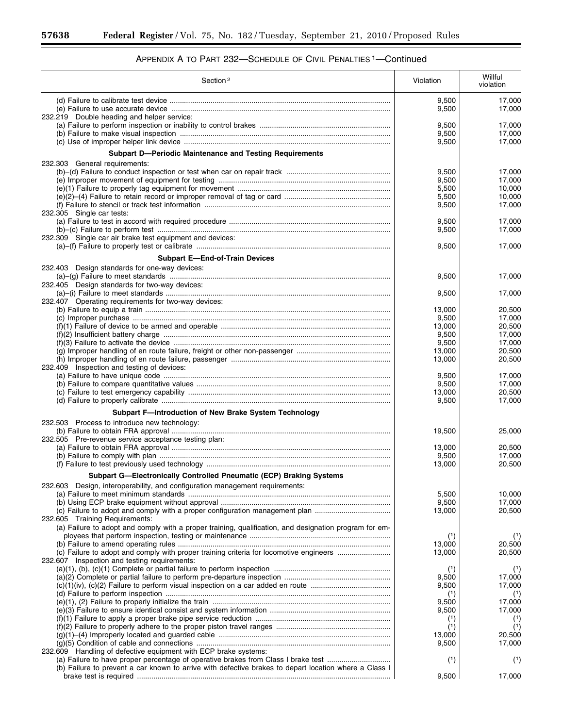٠

| Section <sup>2</sup>                                                                                                                                                                                                    | Violation               | Willful<br>violation       |
|-------------------------------------------------------------------------------------------------------------------------------------------------------------------------------------------------------------------------|-------------------------|----------------------------|
| 232.219 Double heading and helper service:                                                                                                                                                                              | 9,500<br>9,500          | 17,000<br>17,000           |
|                                                                                                                                                                                                                         | 9,500<br>9,500<br>9,500 | 17.000<br>17,000<br>17,000 |
| Subpart D-Periodic Maintenance and Testing Requirements                                                                                                                                                                 |                         |                            |
| 232.303 General requirements:                                                                                                                                                                                           | 9,500<br>9,500<br>5,500 | 17,000<br>17,000<br>10,000 |
| 232.305 Single car tests:                                                                                                                                                                                               | 5,500<br>9,500          | 10,000<br>17,000           |
| 232.309 Single car air brake test equipment and devices:                                                                                                                                                                | 9,500<br>9,500          | 17,000<br>17,000           |
|                                                                                                                                                                                                                         | 9,500                   | 17,000                     |
| <b>Subpart E-End-of-Train Devices</b>                                                                                                                                                                                   |                         |                            |
| 232.403 Design standards for one-way devices:<br>232.405 Design standards for two-way devices:                                                                                                                          | 9,500                   | 17,000                     |
| 232.407 Operating requirements for two-way devices:                                                                                                                                                                     | 9,500                   | 17,000                     |
|                                                                                                                                                                                                                         | 13,000<br>9,500         | 20,500<br>17,000           |
|                                                                                                                                                                                                                         | 13,000                  | 20,500                     |
|                                                                                                                                                                                                                         | 9,500                   | 17,000                     |
|                                                                                                                                                                                                                         | 9,500<br>13,000         | 17,000<br>20,500           |
| 232.409 Inspection and testing of devices:                                                                                                                                                                              | 13,000                  | 20,500                     |
|                                                                                                                                                                                                                         | 9,500<br>9,500          | 17,000<br>17,000           |
|                                                                                                                                                                                                                         | 13,000<br>9,500         | 20,500<br>17,000           |
| Subpart F-Introduction of New Brake System Technology                                                                                                                                                                   |                         |                            |
| 232.503 Process to introduce new technology:                                                                                                                                                                            | 19,500                  | 25,000                     |
| 232.505 Pre-revenue service acceptance testing plan:                                                                                                                                                                    | 13,000                  | 20,500                     |
|                                                                                                                                                                                                                         | 9,500<br>13,000         | 17.000<br>20,500           |
| Subpart G-Electronically Controlled Pneumatic (ECP) Braking Systems                                                                                                                                                     |                         |                            |
| 232.603 Design, interoperability, and configuration management requirements:                                                                                                                                            |                         |                            |
|                                                                                                                                                                                                                         | 5,500<br>9,500          | 10,000<br>17,000           |
| (c) Failure to adopt and comply with a proper configuration management plan<br>232.605 Training Requirements:<br>(a) Failure to adopt and comply with a proper training, qualification, and designation program for em- | 13,000                  | 20,500                     |
|                                                                                                                                                                                                                         | (1)                     | (1)                        |
| (c) Failure to adopt and comply with proper training criteria for locomotive engineers                                                                                                                                  | 13,000<br>13,000        | 20,500<br>20,500           |
| 232.607 Inspection and testing requirements:                                                                                                                                                                            | (1)                     | (1)                        |
|                                                                                                                                                                                                                         | 9,500<br>9,500          | 17,000<br>17,000           |
|                                                                                                                                                                                                                         | (1)<br>9,500            | (1)<br>17,000              |
|                                                                                                                                                                                                                         | 9,500                   | 17,000                     |
|                                                                                                                                                                                                                         | (1)                     | (1)                        |
|                                                                                                                                                                                                                         | (1)<br>13,000           | (1)<br>20,500              |
|                                                                                                                                                                                                                         | 9,500                   | 17,000                     |
| 232.609 Handling of defective equipment with ECP brake systems:<br>(a) Failure to have proper percentage of operative brakes from Class I brake test                                                                    | (1)                     | (1)                        |
| (b) Failure to prevent a car known to arrive with defective brakes to depart location where a Class I                                                                                                                   |                         |                            |
|                                                                                                                                                                                                                         | 9,500                   | 17,000                     |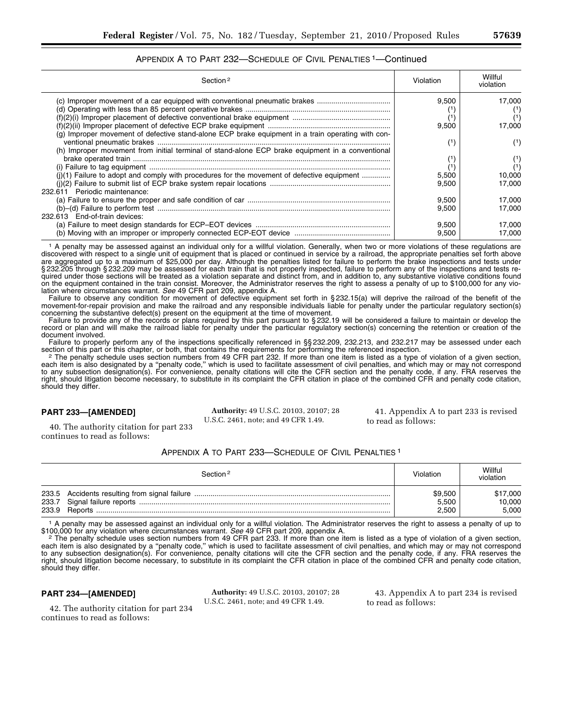| APPENDIX A TO PART 232-SCHEDULE OF CIVIL PENALTIES <sup>1</sup> -Continued                                                                                                      |                |                                  |
|---------------------------------------------------------------------------------------------------------------------------------------------------------------------------------|----------------|----------------------------------|
| Section <sup>2</sup>                                                                                                                                                            | Violation      | Willful<br>violation             |
| (c) Improper movement of a car equipped with conventional pneumatic brakes<br>(g) Improper movement of defective stand-alone ECP brake equipment in a train operating with con- | 9.500<br>9,500 | 17.000<br>$(1)$<br>(1)<br>17,000 |
| (h) Improper movement from initial terminal of stand-alone ECP brake equipment in a conventional                                                                                | (1)<br>(1)     | (1)<br>(1)<br>(1)                |
| (i)(1) Failure to adopt and comply with procedures for the movement of defective equipment<br>611 Periodic maintenance:                                                         | 5,500<br>9.500 | 10,000<br>17.000                 |
| 613 End-of-train devices:                                                                                                                                                       | 9.500<br>9,500 | 17.000<br>17,000                 |

1 A penalty may be assessed against an individual only for a willful violation. Generally, when two or more violations of these regulations are discovered with respect to a single unit of equipment that is placed or continued in service by a railroad, the appropriate penalties set forth above are aggregated up to a maximum of \$25,000 per day. Although the penalties listed for failure to perform the brake inspections and tests under § 232.205 through § 232.209 may be assessed for each train that is not properly inspected, failure to perform any of the inspections and tests required under those sections will be treated as a violation separate and distinct from, and in addition to, any substantive violative conditions found on the equipment contained in the train consist. Moreover, the Administrator reserves the right to assess a penalty of up to \$100,000 for any violation where circumstances warrant. *See* 49 CFR part 209, appendix A.

(b) Moving with an improper or improperly connected ECP-EOT device ............................................... 9,500 17,000

(a) Failure to meet design standards for ECP–EOT devices .................................................................. 9,500 17,000

Failure to observe any condition for movement of defective equipment set forth in § 232.15(a) will deprive the railroad of the benefit of the movement-for-repair provision and make the railroad and any responsible individuals liable for penalty under the particular regulatory section(s) concerning the substantive defect(s) present on the equipment at the time of movement.

Failure to provide any of the records or plans required by this part pursuant to §232.19 will be considered a failure to maintain or develop the record or plan and will make the railroad liable for penalty under the particular regulatory section(s) concerning the retention or creation of the document involved.

Failure to properly perform any of the inspections specifically referenced in §§ 232.209, 232.213, and 232.217 may be assessed under each section of this part or this chapter, or both, that contains the requirements for pe section of this part or this chapter, or both, that contains the requirements for performing the referenced inspection.<br>The penalty schedule uses section numbers from 49 CFR part 232. If more than one item is listed as a t

each item is also designated by a ''penalty code,'' which is used to facilitate assessment of civil penalties, and which may or may not correspond to any subsection designation(s). For convenience, penalty citations will cite the CFR section and the penalty code, if any. FRA reserves the right, should litigation become necessary, to substitute in its complaint the CFR citation in place of the combined CFR and penalty code citation, should they differ.

#### **PART 233—[AMENDED]**

232.6

 $232.6$ 

**Authority:** 49 U.S.C. 20103, 20107; 28 U.S.C. 2461, note; and 49 CFR 1.49.

41. Appendix A to part 233 is revised to read as follows:

40. The authority citation for part 233 continues to read as follows:

## APPENDIX A TO PART 233—SCHEDULE OF CIVIL PENALTIES 1

|       | Section <sup>2</sup> | Violation | Willful<br>violation |
|-------|----------------------|-----------|----------------------|
| 233.9 |                      | \$9,500   | \$17,000             |
|       |                      | 5,500     | 10,000               |
|       |                      | 2.500     | 5.000                |

1 A penalty may be assessed against an individual only for a willful violation. The Administrator reserves the right to assess a penalty of up to \$100,000 for any violation where circumstances warrant. See 49 CFR part 209, appendix A.<br>2 The penalty schedule uses section numbers from 49 CFR part 233. If more than one item is listed as a type of violation of a given s

each item is also designated by a ''penalty code,'' which is used to facilitate assessment of civil penalties, and which may or may not correspond to any subsection designation(s). For convenience, penalty citations will cite the CFR section and the penalty code, if any. FRA reserves the right, should litigation become necessary, to substitute in its complaint the CFR citation in place of the combined CFR and penalty code citation, should they differ.

#### **PART 234—[AMENDED]**

continues to read as follows:

42. The authority citation for part 234

**Authority:** 49 U.S.C. 20103, 20107; 28 U.S.C. 2461, note; and 49 CFR 1.49.

43. Appendix A to part 234 is revised to read as follows: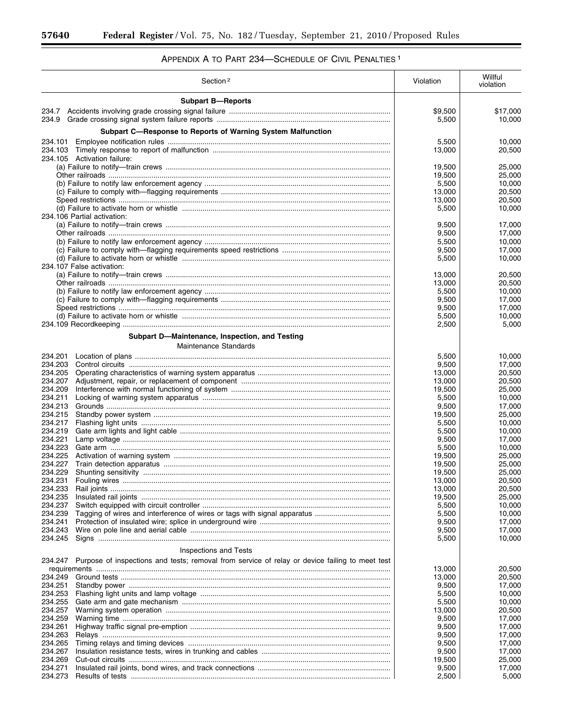Ξ

# APPENDIX A TO PART 234—SCHEDULE OF CIVIL PENALTIES 1

|                    | Section <sup>2</sup>                                                                           | Violation        | Willful<br>violation |
|--------------------|------------------------------------------------------------------------------------------------|------------------|----------------------|
|                    | <b>Subpart B-Reports</b>                                                                       |                  |                      |
|                    |                                                                                                | \$9,500          | \$17,000             |
| 234.9              |                                                                                                | 5,500            | 10,000               |
|                    | Subpart C-Response to Reports of Warning System Malfunction                                    | 5,500            | 10,000               |
| 234.101            |                                                                                                | 13,000           | 20,500               |
|                    | 234.105 Activation failure:                                                                    |                  |                      |
|                    |                                                                                                | 19,500<br>19,500 | 25,000<br>25,000     |
|                    |                                                                                                | 5,500            | 10,000               |
|                    |                                                                                                | 13,000           | 20,500               |
|                    |                                                                                                | 13,000<br>5,500  | 20,500<br>10,000     |
|                    | 234.106 Partial activation:                                                                    |                  |                      |
|                    |                                                                                                | 9,500            | 17,000               |
|                    |                                                                                                | 9,500<br>5,500   | 17,000<br>10,000     |
|                    |                                                                                                | 9,500            | 17,000               |
|                    | 234.107 False activation:                                                                      | 5,500            | 10,000               |
|                    |                                                                                                | 13,000           | 20,500               |
|                    |                                                                                                | 13,000           | 20,500               |
|                    |                                                                                                | 5,500            | 10,000               |
|                    |                                                                                                | 9,500<br>9,500   | 17,000<br>17,000     |
|                    |                                                                                                | 5,500            | 10,000               |
|                    |                                                                                                | 2,500            | 5,000                |
|                    | Subpart D-Maintenance, Inspection, and Testing                                                 |                  |                      |
|                    | Maintenance Standards                                                                          |                  |                      |
| 234.201<br>234.203 |                                                                                                | 5,500<br>9,500   | 10,000<br>17,000     |
| 234.205            |                                                                                                | 13,000           | 20,500               |
| 234.207            |                                                                                                | 13,000           | 20,500               |
| 234.209<br>234.211 |                                                                                                | 19,500<br>5,500  | 25,000<br>10,000     |
| 234.213            |                                                                                                | 9,500            | 17,000               |
| 234.215            |                                                                                                | 19,500           | 25,000               |
| 234.217<br>234.219 |                                                                                                | 5,500<br>5,500   | 10,000<br>10,000     |
| 234.221            |                                                                                                | 9,500            | 17,000               |
| 234.223            |                                                                                                | 5,500            | 10,000               |
| 234.225<br>234.227 |                                                                                                | 19,500<br>19,500 | 25,000<br>25,000     |
| 234.229            |                                                                                                | 19,500           | 25,000               |
| 234.231            |                                                                                                | 13,000           | 20,500               |
| 234.233<br>234.235 |                                                                                                | 13,000           | 20,500               |
| 234.237            |                                                                                                | 19,500<br>5,500  | 25,000<br>10,000     |
| 234.239            |                                                                                                | 5,500            | 10,000               |
| 234.241<br>234.243 |                                                                                                | 9,500<br>9,500   | 17,000<br>17,000     |
| 234.245            |                                                                                                | 5,500            | 10,000               |
|                    | Inspections and Tests                                                                          |                  |                      |
| 234.247            | Purpose of inspections and tests; removal from service of relay or device failing to meet test |                  |                      |
|                    |                                                                                                | 13,000           | 20,500               |
| 234.249<br>234.251 |                                                                                                | 13,000<br>9,500  | 20,500<br>17,000     |
| 234.253            |                                                                                                | 5,500            | 10,000               |
| 234.255            |                                                                                                | 5,500            | 10,000               |
| 234.257<br>234.259 |                                                                                                | 13,000<br>9,500  | 20,500<br>17,000     |
| 234.261            |                                                                                                | 9,500            | 17,000               |
| 234.263            |                                                                                                | 9,500            | 17,000               |
| 234.265<br>234.267 |                                                                                                | 9,500            | 17,000               |
| 234.269            |                                                                                                | 9,500<br>19,500  | 17,000<br>25,000     |
| 234.271            |                                                                                                | 9,500            | 17,000               |
| 234.273            |                                                                                                | 2,500            | 5,000                |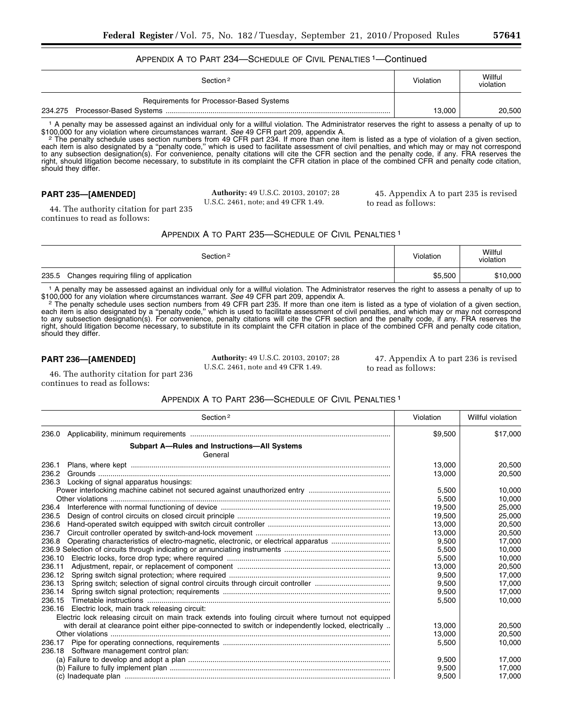# APPENDIX A TO PART 234—SCHEDULE OF CIVIL PENALTIES 1—Continued

| Section <sup>2</sup>                     | Violation | Willful<br>violation |
|------------------------------------------|-----------|----------------------|
| Requirements for Processor-Based Systems |           |                      |
|                                          | 13.000    | 20.500               |

1 A penalty may be assessed against an individual only for a willful violation. The Administrator reserves the right to assess a penalty of up to \$100,000 for any violation where circumstances warrant. See 49 CFR part 209, appendix A.<br>2 The penalty schedule uses section numbers from 49 CFR part 234. If more than one item is listed as a type of violation of a given s

each item is also designated by a ''penalty code,'' which is used to facilitate assessment of civil penalties, and which may or may not correspond to any subsection designation(s). For convenience, penalty citations will cite the CFR section and the penalty code, if any. FRA reserves the right, should litigation become necessary, to substitute in its complaint the CFR citation in place of the combined CFR and penalty code citation, should they differ.

## **PART 235—[AMENDED]**

**Authority:** 49 U.S.C. 20103, 20107; 28 U.S.C. 2461, note; and 49 CFR 1.49.

45. Appendix A to part 235 is revised to read as follows:

44. The authority citation for part 235 continues to read as follows:

| APPENDIX A TO PART 235-SCHEDULE OF CIVIL PENALTIES <sup>1</sup> |  |  |
|-----------------------------------------------------------------|--|--|
|-----------------------------------------------------------------|--|--|

| Section <sup>2</sup>                             | Violation | Willful<br>violation |
|--------------------------------------------------|-----------|----------------------|
| 235.5<br>Changes requiring filing of application | \$5,500   | \$10,000             |

1 A penalty may be assessed against an individual only for a willful violation. The Administrator reserves the right to assess a penalty of up to \$100,000 for any violation where circumstances warrant. See 49 CFR part 209, appendix A.<br>2 The penalty schedule uses section numbers from 49 CFR part 235. If more than one item is listed as a type of violation of a given s

each item is also designated by a ''penalty code,'' which is used to facilitate assessment of civil penalties, and which may or may not correspond to any subsection designation(s). For convenience, penalty citations will cite the CFR section and the penalty code, if any. FRA reserves the right, should litigation become necessary, to substitute in its complaint the CFR citation in place of the combined CFR and penalty code citation, should they differ.

## **PART 236—[AMENDED]**

**Authority:** 49 U.S.C. 20103, 20107; 28 U.S.C. 2461, note and 49 CFR 1.49.

47. Appendix A to part 236 is revised to read as follows:

46. The authority citation for part 236 continues to read as follows:

## APPENDIX A TO PART 236—SCHEDULE OF CIVIL PENALTIES 1

| Section <sup>2</sup>                                                                                  | Violation | Willful violation |
|-------------------------------------------------------------------------------------------------------|-----------|-------------------|
| 236.0                                                                                                 | \$9,500   | \$17,000          |
| <b>Subpart A-Rules and Instructions-All Systems</b><br>General                                        |           |                   |
| 236.1                                                                                                 | 13,000    | 20.500            |
| 236.2                                                                                                 | 13.000    | 20,500            |
| 236.3<br>Locking of signal apparatus housings:                                                        |           |                   |
|                                                                                                       | 5,500     | 10,000            |
|                                                                                                       | 5.500     | 10.000            |
| 236.4                                                                                                 | 19,500    | 25,000            |
| 236.5                                                                                                 | 19,500    | 25,000            |
| 236.6                                                                                                 | 13.000    | 20.500            |
| 236.7                                                                                                 | 13,000    | 20,500            |
| Operating characteristics of electro-magnetic, electronic, or electrical apparatus<br>236.8           | 9,500     | 17,000            |
|                                                                                                       | 5,500     | 10,000            |
| 236.10                                                                                                | 5,500     | 10,000            |
| 236.11                                                                                                | 13,000    | 20,500            |
| 236.12                                                                                                | 9,500     | 17,000            |
| Spring switch; selection of signal control circuits through circuit controller<br>236.13              | 9.500     | 17,000            |
| 236.14                                                                                                | 9.500     | 17.000            |
| 236.15                                                                                                | 5,500     | 10,000            |
| 236.16<br>Electric lock, main track releasing circuit:                                                |           |                   |
| Electric lock releasing circuit on main track extends into fouling circuit where turnout not equipped |           |                   |
| with derail at clearance point either pipe-connected to switch or independently locked, electrically  | 13.000    | 20.500            |
|                                                                                                       | 13,000    | 20,500            |
| 236.17                                                                                                | 5,500     | 10.000            |
| 236.18 Software management control plan:                                                              |           |                   |
|                                                                                                       | 9,500     | 17.000            |
|                                                                                                       | 9,500     | 17,000            |
|                                                                                                       | 9,500     | 17,000            |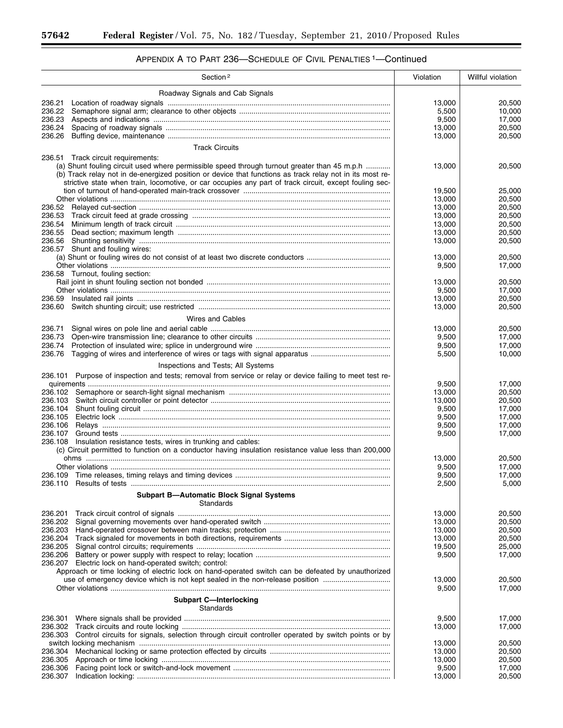۳

| Section <sup>2</sup>                                                                                                                                         | Violation        | Willful violation |
|--------------------------------------------------------------------------------------------------------------------------------------------------------------|------------------|-------------------|
| Roadway Signals and Cab Signals                                                                                                                              |                  |                   |
| 236.21                                                                                                                                                       | 13,000           | 20,500            |
|                                                                                                                                                              | 5,500            | 10,000            |
|                                                                                                                                                              | 9,500            | 17,000            |
| 236.24                                                                                                                                                       | 13,000           | 20,500            |
| 236.26                                                                                                                                                       | 13,000           | 20,500            |
| <b>Track Circuits</b>                                                                                                                                        |                  |                   |
| 236.51 Track circuit requirements:                                                                                                                           |                  |                   |
| (a) Shunt fouling circuit used where permissible speed through turnout greater than 45 m.p.h                                                                 | 13,000           | 20,500            |
| (b) Track relay not in de-energized position or device that functions as track relay not in its most re-                                                     |                  |                   |
| strictive state when train, locomotive, or car occupies any part of track circuit, except fouling sec-                                                       |                  |                   |
|                                                                                                                                                              | 19,500<br>13,000 | 25,000<br>20,500  |
|                                                                                                                                                              | 13,000           | 20,500            |
| 236.53                                                                                                                                                       | 13,000           | 20,500            |
|                                                                                                                                                              | 13,000           | 20,500            |
|                                                                                                                                                              | 13,000           | 20,500            |
|                                                                                                                                                              | 13,000           | 20,500            |
| 236.57 Shunt and fouling wires:                                                                                                                              |                  |                   |
|                                                                                                                                                              | 13,000           | 20,500            |
|                                                                                                                                                              | 9,500            | 17,000            |
| 236.58 Turnout, fouling section:                                                                                                                             |                  |                   |
|                                                                                                                                                              | 13,000           | 20,500<br>17.000  |
| 236.59                                                                                                                                                       | 9,500<br>13,000  | 20.500            |
| 236.60                                                                                                                                                       | 13,000           | 20,500            |
|                                                                                                                                                              |                  |                   |
| <b>Wires and Cables</b>                                                                                                                                      |                  |                   |
| 236.71                                                                                                                                                       | 13,000           | 20,500            |
| 236.73                                                                                                                                                       | 9,500            | 17,000            |
| 236.74<br>236.76                                                                                                                                             | 9,500<br>5,500   | 17,000<br>10,000  |
|                                                                                                                                                              |                  |                   |
| Inspections and Tests; All Systems                                                                                                                           |                  |                   |
| 236.101 Purpose of inspection and tests; removal from service or relay or device failing to meet test re-                                                    |                  |                   |
|                                                                                                                                                              | 9,500            | 17,000            |
| 236.103                                                                                                                                                      | 13,000<br>13,000 | 20,500<br>20,500  |
| 236.104                                                                                                                                                      | 9,500            | 17,000            |
| 236.105                                                                                                                                                      | 9,500            | 17,000            |
| 236.106                                                                                                                                                      | 9,500            | 17.000            |
| 236.107                                                                                                                                                      | 9,500            | 17,000            |
| 236.108<br>Insulation resistance tests, wires in trunking and cables:                                                                                        |                  |                   |
| (c) Circuit permitted to function on a conductor having insulation resistance value less than 200,000                                                        |                  |                   |
|                                                                                                                                                              | 13,000<br>9,500  | 20,500<br>17,000  |
|                                                                                                                                                              | 9,500            | 17,000            |
|                                                                                                                                                              | 2,500            | 5,000             |
| <b>Subpart B-Automatic Block Signal Systems</b><br>Standards                                                                                                 |                  |                   |
| 236.201                                                                                                                                                      | 13,000           | 20,500            |
| 236.202                                                                                                                                                      | 13,000           | 20,500            |
| 236.203                                                                                                                                                      | 13,000           | 20,500            |
| 236.204                                                                                                                                                      | 13,000           | 20,500            |
| 236.205                                                                                                                                                      | 19,500           | 25,000            |
| 236.206                                                                                                                                                      | 9,500            | 17,000            |
| 236.207 Electric lock on hand-operated switch; control:<br>Approach or time locking of electric lock on hand-operated switch can be defeated by unauthorized |                  |                   |
| use of emergency device which is not kept sealed in the non-release position                                                                                 | 13,000           | 20,500            |
|                                                                                                                                                              | 9,500            | 17,000            |
| <b>Subpart C-Interlocking</b><br>Standards                                                                                                                   |                  |                   |
| 236.301                                                                                                                                                      | 9,500            | 17,000            |
| 236.302                                                                                                                                                      | 13,000           | 17,000            |
| Control circuits for signals, selection through circuit controller operated by switch points or by<br>236.303                                                |                  |                   |
|                                                                                                                                                              | 13,000           | 20,500            |
| 236.304                                                                                                                                                      | 13,000           | 20,500            |
| 236.305                                                                                                                                                      | 13,000           | 20,500            |
| 236.306                                                                                                                                                      | 9,500            | 17,000<br>20,500  |
| 236.307                                                                                                                                                      | 13,000           |                   |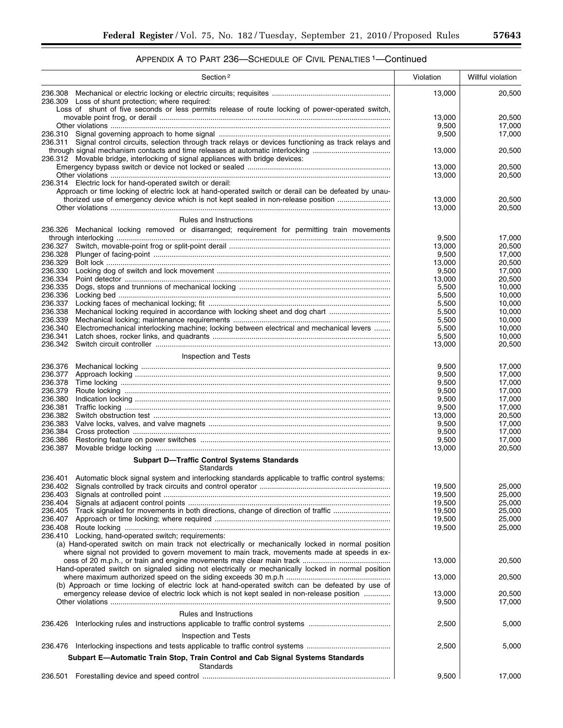|                    | Section <sup>2</sup>                                                                                                                                                                             | Violation        | Willful violation |
|--------------------|--------------------------------------------------------------------------------------------------------------------------------------------------------------------------------------------------|------------------|-------------------|
|                    | 236.309 Loss of shunt protection; where required:<br>Loss of shunt of five seconds or less permits release of route locking of power-operated switch,                                            | 13,000           | 20,500            |
|                    |                                                                                                                                                                                                  | 13,000           | 20,500            |
|                    |                                                                                                                                                                                                  | 9,500            | 17,000            |
|                    |                                                                                                                                                                                                  | 9,500            | 17,000            |
|                    | 236.311 Signal control circuits, selection through track relays or devices functioning as track relays and<br>through signal mechanism contacts and time releases at automatic interlocking      | 13,000           | 20,500            |
|                    | 236.312 Movable bridge, interlocking of signal appliances with bridge devices:                                                                                                                   | 13,000           | 20,500            |
|                    |                                                                                                                                                                                                  | 13,000           | 20,500            |
|                    | 236.314 Electric lock for hand-operated switch or derail:                                                                                                                                        |                  |                   |
|                    | Approach or time locking of electric lock at hand-operated switch or derail can be defeated by unau-                                                                                             |                  |                   |
|                    | thorized use of emergency device which is not kept sealed in non-release position                                                                                                                | 13,000           | 20,500            |
|                    |                                                                                                                                                                                                  | 13,000           | 20,500            |
|                    | Rules and Instructions                                                                                                                                                                           |                  |                   |
|                    | 236.326 Mechanical locking removed or disarranged; requirement for permitting train movements                                                                                                    |                  |                   |
| 236.327            |                                                                                                                                                                                                  | 9,500<br>13,000  | 17,000<br>20,500  |
| 236.328            |                                                                                                                                                                                                  | 9,500            | 17,000            |
| 236.329            |                                                                                                                                                                                                  | 13,000           | 20,500            |
| 236.330            |                                                                                                                                                                                                  | 9,500            | 17.000            |
| 236.334            |                                                                                                                                                                                                  | 13.000           | 20,500            |
| 236.335            |                                                                                                                                                                                                  | 5,500            | 10,000            |
| 236.336            |                                                                                                                                                                                                  | 5,500            | 10,000            |
| 236.337<br>236.338 | Mechanical locking required in accordance with locking sheet and dog chart                                                                                                                       | 5,500<br>5,500   | 10,000<br>10,000  |
| 236.339            |                                                                                                                                                                                                  | 5,500            | 10,000            |
| 236.340            | Electromechanical interlocking machine; locking between electrical and mechanical levers                                                                                                         | 5,500            | 10,000            |
| 236.341            |                                                                                                                                                                                                  | 5,500            | 10,000            |
| 236.342            |                                                                                                                                                                                                  | 13,000           | 20,500            |
|                    | Inspection and Tests                                                                                                                                                                             |                  |                   |
| 236.376            |                                                                                                                                                                                                  | 9,500            | 17,000            |
| 236.377            |                                                                                                                                                                                                  | 9,500            | 17,000            |
| 236.378            |                                                                                                                                                                                                  | 9,500            | 17,000            |
| 236.379            |                                                                                                                                                                                                  | 9,500            | 17,000            |
| 236.380            |                                                                                                                                                                                                  | 9,500            | 17,000            |
| 236.381<br>236.382 |                                                                                                                                                                                                  | 9,500<br>13,000  | 17,000<br>20,500  |
| 236.383            |                                                                                                                                                                                                  | 9,500            | 17,000            |
| 236.384            |                                                                                                                                                                                                  | 9,500            | 17,000            |
| 236.386            |                                                                                                                                                                                                  | 9,500            | 17.000            |
| 236.387            |                                                                                                                                                                                                  | 13,000           | 20,500            |
|                    | <b>Subpart D-Traffic Control Systems Standards</b><br>Standards                                                                                                                                  |                  |                   |
|                    | 236.401 Automatic block signal system and interlocking standards applicable to traffic control systems:                                                                                          |                  |                   |
|                    |                                                                                                                                                                                                  | 19,500           | 25,000            |
| 236.403<br>236.404 |                                                                                                                                                                                                  | 19,500<br>19,500 | 25,000<br>25,000  |
|                    |                                                                                                                                                                                                  | 19,500           | 25,000            |
|                    |                                                                                                                                                                                                  | 19,500           | 25,000            |
| 236.408            |                                                                                                                                                                                                  | 19,500           | 25,000            |
|                    | 236.410 Locking, hand-operated switch; requirements:                                                                                                                                             |                  |                   |
|                    | (a) Hand-operated switch on main track not electrically or mechanically locked in normal position<br>where signal not provided to govern movement to main track, movements made at speeds in ex- |                  |                   |
|                    |                                                                                                                                                                                                  | 13,000           | 20,500            |
|                    | Hand-operated switch on signaled siding not electrically or mechanically locked in normal position                                                                                               | 13,000           | 20,500            |
|                    | (b) Approach or time locking of electric lock at hand-operated switch can be defeated by use of                                                                                                  |                  |                   |
|                    | emergency release device of electric lock which is not kept sealed in non-release position                                                                                                       | 13,000           | 20,500            |
|                    |                                                                                                                                                                                                  | 9,500            | 17,000            |
|                    | Rules and Instructions                                                                                                                                                                           |                  |                   |
| 236.426            |                                                                                                                                                                                                  | 2,500            | 5,000             |
|                    |                                                                                                                                                                                                  |                  |                   |
|                    | Inspection and Tests                                                                                                                                                                             |                  |                   |
|                    |                                                                                                                                                                                                  | 2,500            | 5,000             |
|                    | Subpart E-Automatic Train Stop, Train Control and Cab Signal Systems Standards<br>Standards                                                                                                      |                  |                   |
| 236.501            |                                                                                                                                                                                                  | 9,500            | 17,000            |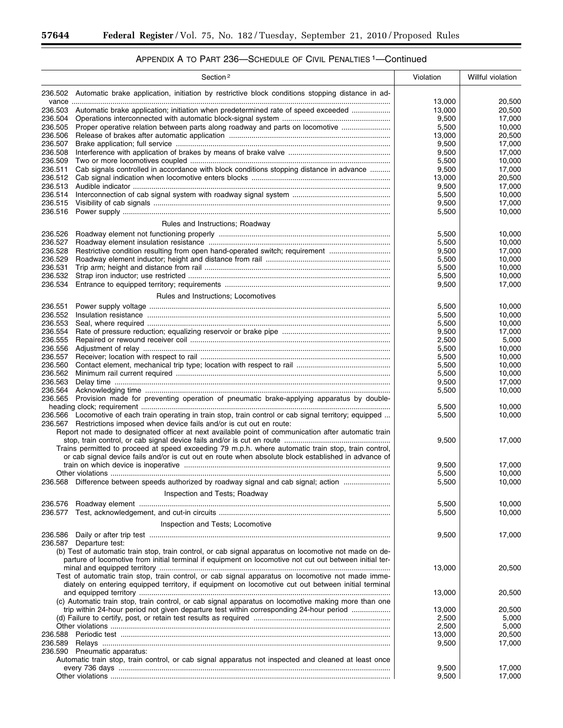t

|                    | Section <sup>2</sup>                                                                                                                                                                           | Violation      | Willful violation |
|--------------------|------------------------------------------------------------------------------------------------------------------------------------------------------------------------------------------------|----------------|-------------------|
|                    | 236.502 Automatic brake application, initiation by restrictive block conditions stopping distance in ad-                                                                                       | 13,000         | 20,500            |
| 236.503            | Automatic brake application; initiation when predetermined rate of speed exceeded                                                                                                              | 13,000         | 20,500            |
| 236.504            |                                                                                                                                                                                                | 9,500          | 17,000            |
| 236.505            | Proper operative relation between parts along roadway and parts on locomotive                                                                                                                  | 5,500          | 10,000            |
| 236.506            |                                                                                                                                                                                                | 13,000         | 20,500            |
| 236.507<br>236.508 |                                                                                                                                                                                                | 9,500<br>9,500 | 17,000<br>17,000  |
| 236.509            |                                                                                                                                                                                                | 5,500          | 10.000            |
| 236.511            | Cab signals controlled in accordance with block conditions stopping distance in advance                                                                                                        | 9,500          | 17,000            |
| 236.512            |                                                                                                                                                                                                | 13,000         | 20.500            |
| 236.513            |                                                                                                                                                                                                | 9,500          | 17,000            |
| 236.514            |                                                                                                                                                                                                | 5,500          | 10,000            |
| 236.515<br>236.516 |                                                                                                                                                                                                | 9,500<br>5,500 | 17,000<br>10,000  |
|                    |                                                                                                                                                                                                |                |                   |
|                    | Rules and Instructions; Roadway                                                                                                                                                                |                |                   |
| 236.526            |                                                                                                                                                                                                | 5,500          | 10,000            |
| 236.527<br>236.528 | Restrictive condition resulting from open hand-operated switch; requirement                                                                                                                    | 5,500<br>9,500 | 10,000<br>17,000  |
| 236.529            |                                                                                                                                                                                                | 5,500          | 10.000            |
| 236.531            |                                                                                                                                                                                                | 5,500          | 10,000            |
| 236.532            |                                                                                                                                                                                                | 5,500          | 10,000            |
| 236.534            |                                                                                                                                                                                                | 9,500          | 17,000            |
|                    | Rules and Instructions; Locomotives                                                                                                                                                            |                |                   |
| 236.551            |                                                                                                                                                                                                | 5,500          | 10,000            |
| 236.552            |                                                                                                                                                                                                | 5,500          | 10,000            |
| 236.553            |                                                                                                                                                                                                | 5,500          | 10,000            |
| 236.554            |                                                                                                                                                                                                | 9,500          | 17,000            |
| 236.555<br>236.556 |                                                                                                                                                                                                | 2,500<br>5,500 | 5,000<br>10,000   |
| 236.557            |                                                                                                                                                                                                | 5,500          | 10,000            |
| 236.560            |                                                                                                                                                                                                | 5,500          | 10,000            |
| 236.562            |                                                                                                                                                                                                | 5,500          | 10,000            |
| 236.563            |                                                                                                                                                                                                | 9,500          | 17,000            |
| 236.564            |                                                                                                                                                                                                | 5,500          | 10,000            |
| 236.565            | Provision made for preventing operation of pneumatic brake-applying apparatus by double-                                                                                                       |                |                   |
|                    | 236.566 Locomotive of each train operating in train stop, train control or cab signal territory; equipped                                                                                      | 5,500<br>5,500 | 10,000<br>10,000  |
|                    | 236.567 Restrictions imposed when device fails and/or is cut out en route:                                                                                                                     |                |                   |
|                    | Report not made to designated officer at next available point of communication after automatic train                                                                                           |                |                   |
|                    |                                                                                                                                                                                                | 9,500          | 17,000            |
|                    | Trains permitted to proceed at speed exceeding 79 m.p.h. where automatic train stop, train control,                                                                                            |                |                   |
|                    | or cab signal device fails and/or is cut out en route when absolute block established in advance of                                                                                            |                |                   |
|                    |                                                                                                                                                                                                | 9,500<br>5,500 | 17.000<br>10,000  |
|                    | 236.568 Difference between speeds authorized by roadway signal and cab signal; action                                                                                                          | 5,500          | 10,000            |
|                    | Inspection and Tests; Roadway                                                                                                                                                                  |                |                   |
|                    |                                                                                                                                                                                                |                |                   |
| 236.576<br>236.577 |                                                                                                                                                                                                | 5,500<br>5,500 | 10,000<br>10,000  |
|                    |                                                                                                                                                                                                |                |                   |
|                    | Inspection and Tests; Locomotive                                                                                                                                                               |                |                   |
| 236.586<br>236.587 |                                                                                                                                                                                                | 9,500          | 17,000            |
|                    | Departure test:<br>(b) Test of automatic train stop, train control, or cab signal apparatus on locomotive not made on de-                                                                      |                |                   |
|                    | parture of locomotive from initial terminal if equipment on locomotive not cut out between initial ter-                                                                                        |                |                   |
|                    |                                                                                                                                                                                                | 13,000         | 20,500            |
|                    | Test of automatic train stop, train control, or cab signal apparatus on locomotive not made imme-                                                                                              |                |                   |
|                    | diately on entering equipped territory, if equipment on locomotive cut out between initial terminal                                                                                            |                |                   |
|                    |                                                                                                                                                                                                | 13,000         | 20,500            |
|                    | (c) Automatic train stop, train control, or cab signal apparatus on locomotive making more than one<br>trip within 24-hour period not given departure test within corresponding 24-hour period | 13,000         | 20,500            |
|                    |                                                                                                                                                                                                | 2,500          | 5,000             |
|                    |                                                                                                                                                                                                | 2,500          | 5,000             |
| 236.588            |                                                                                                                                                                                                | 13,000         | 20,500            |
| 236.589            |                                                                                                                                                                                                | 9,500          | 17,000            |
|                    | 236.590 Pneumatic apparatus:                                                                                                                                                                   |                |                   |
|                    | Automatic train stop, train control, or cab signal apparatus not inspected and cleaned at least once                                                                                           |                |                   |
|                    |                                                                                                                                                                                                | 9,500<br>9,500 | 17,000<br>17,000  |
|                    |                                                                                                                                                                                                |                |                   |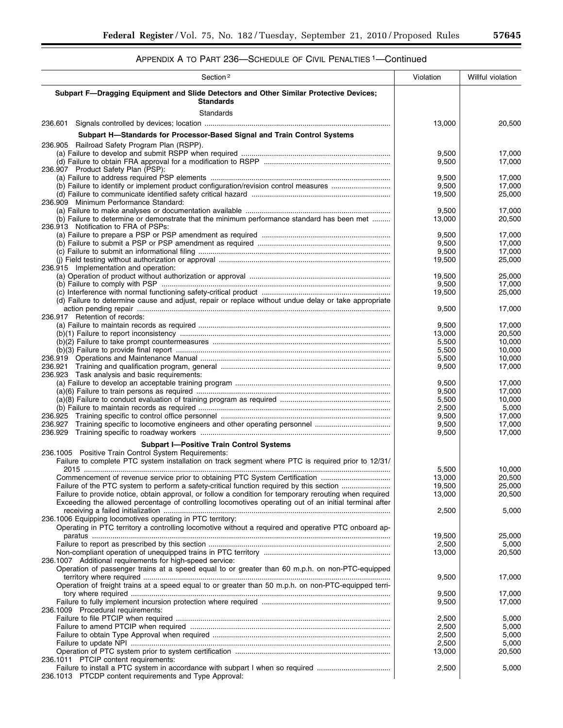| Section <sup>2</sup>                                                                                       | Violation       | Willful violation |
|------------------------------------------------------------------------------------------------------------|-----------------|-------------------|
| Subpart F-Dragging Equipment and Slide Detectors and Other Similar Protective Devices;<br><b>Standards</b> |                 |                   |
| Standards                                                                                                  |                 |                   |
| 236.601                                                                                                    | 13,000          | 20,500            |
| Subpart H-Standards for Processor-Based Signal and Train Control Systems                                   |                 |                   |
| 236.905 Railroad Safety Program Plan (RSPP).                                                               |                 |                   |
|                                                                                                            | 9,500           | 17,000            |
| 236.907 Product Safety Plan (PSP):                                                                         | 9,500           | 17,000            |
|                                                                                                            | 9,500           | 17,000            |
|                                                                                                            | 9,500           | 17,000            |
| 236.909 Minimum Performance Standard:                                                                      | 19,500          | 25,000            |
|                                                                                                            | 9,500           | 17,000            |
| (b) Failure to determine or demonstrate that the minimum performance standard has been met                 | 13,000          | 20,500            |
| 236.913 Notification to FRA of PSPs:                                                                       |                 |                   |
|                                                                                                            | 9,500<br>9,500  | 17,000<br>17,000  |
|                                                                                                            | 9,500           | 17,000            |
|                                                                                                            | 19,500          | 25,000            |
| 236.915 Implementation and operation:                                                                      |                 |                   |
|                                                                                                            | 19,500<br>9,500 | 25.000<br>17,000  |
|                                                                                                            | 19,500          | 25,000            |
| (d) Failure to determine cause and adjust, repair or replace without undue delay or take appropriate       |                 |                   |
|                                                                                                            | 9,500           | 17,000            |
| 236.917 Retention of records:                                                                              | 9,500           | 17,000            |
|                                                                                                            | 13,000          | 20,500            |
|                                                                                                            | 5,500           | 10,000            |
|                                                                                                            | 5,500           | 10,000            |
|                                                                                                            | 5,500<br>9,500  | 10,000<br>17,000  |
| 236.923 Task analysis and basic requirements:                                                              |                 |                   |
|                                                                                                            | 9,500           | 17,000            |
|                                                                                                            | 9,500           | 17,000            |
|                                                                                                            | 5,500<br>2,500  | 10,000<br>5,000   |
|                                                                                                            | 9,500           | 17,000            |
|                                                                                                            | 9,500           | 17,000            |
|                                                                                                            | 9,500           | 17,000            |
| <b>Subpart I-Positive Train Control Systems</b>                                                            |                 |                   |
| 236.1005 Positive Train Control System Requirements:                                                       |                 |                   |
| Failure to complete PTC system installation on track segment where PTC is required prior to 12/31/         | 5,500           | 10,000            |
| Commencement of revenue service prior to obtaining PTC System Certification                                | 13,000          | 20,500            |
| Failure of the PTC system to perform a safety-critical function required by this section                   | 19,500          | 25,000            |
| Failure to provide notice, obtain approval, or follow a condition for temporary rerouting when required    | 13,000          | 20,500            |
| Exceeding the allowed percentage of controlling locomotives operating out of an initial terminal after     | 2,500           | 5,000             |
| 236.1006 Equipping locomotives operating in PTC territory:                                                 |                 |                   |
| Operating in PTC territory a controlling locomotive without a required and operative PTC onboard ap-       |                 |                   |
|                                                                                                            | 19,500          | 25,000            |
|                                                                                                            | 2,500           | 5,000             |
| 236.1007 Additional requirements for high-speed service:                                                   | 13,000          | 20,500            |
| Operation of passenger trains at a speed equal to or greater than 60 m.p.h. on non-PTC-equipped            |                 |                   |
|                                                                                                            | 9,500           | 17,000            |
| Operation of freight trains at a speed equal to or greater than 50 m.p.h. on non-PTC-equipped terri-       |                 |                   |
|                                                                                                            | 9,500<br>9,500  | 17,000<br>17,000  |
| 236.1009 Procedural requirements:                                                                          |                 |                   |
|                                                                                                            | 2,500           | 5,000             |
|                                                                                                            | 2,500           | 5,000             |
|                                                                                                            | 2,500<br>2,500  | 5,000<br>5,000    |
|                                                                                                            | 13,000          | 20,500            |
| 236.1011 PTCIP content requirements:                                                                       |                 |                   |
|                                                                                                            | 2,500           | 5,000             |
| 236.1013 PTCDP content requirements and Type Approval:                                                     |                 |                   |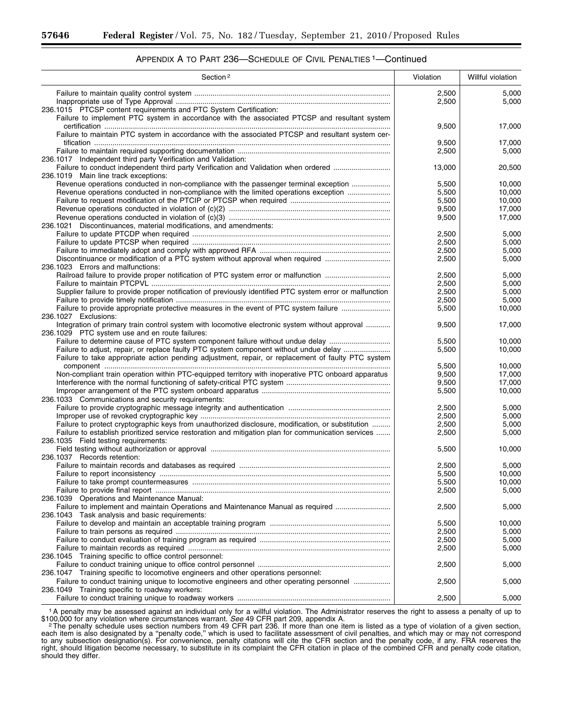| APPENDIX A TO PART 236-SCHEDULE OF CIVIL PENALTIES <sup>1</sup> -Continued |  |
|----------------------------------------------------------------------------|--|
|----------------------------------------------------------------------------|--|

| Section <sup>2</sup>                                                                                                                       | Violation      | Willful violation |
|--------------------------------------------------------------------------------------------------------------------------------------------|----------------|-------------------|
|                                                                                                                                            | 2,500          | 5,000             |
|                                                                                                                                            | 2,500          | 5,000             |
| 236.1015 PTCSP content requirements and PTC System Certification:                                                                          |                |                   |
| Failure to implement PTC system in accordance with the associated PTCSP and resultant system                                               | 9,500          | 17,000            |
| Failure to maintain PTC system in accordance with the associated PTCSP and resultant system cer-                                           |                |                   |
|                                                                                                                                            | 9,500          | 17,000            |
|                                                                                                                                            | 2,500          | 5,000             |
| 236.1017 Independent third party Verification and Validation:                                                                              |                |                   |
| Failure to conduct independent third party Verification and Validation when ordered                                                        | 13,000         | 20,500            |
| 236.1019 Main line track exceptions:                                                                                                       |                |                   |
| Revenue operations conducted in non-compliance with the passenger terminal exception                                                       | 5,500          | 10,000<br>10.000  |
| Revenue operations conducted in non-compliance with the limited operations exception                                                       | 5,500<br>5,500 | 10,000            |
|                                                                                                                                            | 9,500          | 17,000            |
|                                                                                                                                            | 9,500          | 17,000            |
| 236.1021 Discontinuances, material modifications, and amendments:                                                                          |                |                   |
|                                                                                                                                            | 2,500          | 5,000             |
|                                                                                                                                            | 2,500          | 5,000             |
|                                                                                                                                            | 2,500          | 5,000             |
| Discontinuance or modification of a PTC system without approval when required                                                              | 2,500          | 5,000             |
| 236.1023 Errors and malfunctions:                                                                                                          |                |                   |
|                                                                                                                                            | 2,500          | 5,000             |
| Supplier failure to provide proper notification of previously identified PTC system error or malfunction                                   | 2,500<br>2,500 | 5,000             |
|                                                                                                                                            | 2,500          | 5,000<br>5,000    |
| Failure to provide appropriate protective measures in the event of PTC system failure                                                      | 5,500          | 10,000            |
| 236.1027 Exclusions:                                                                                                                       |                |                   |
| Integration of primary train control system with locomotive electronic system without approval                                             | 9,500          | 17,000            |
| 236.1029 PTC system use and en route failures:                                                                                             |                |                   |
| Failure to determine cause of PTC system component failure without undue delay                                                             | 5,500          | 10.000            |
| Failure to adjust, repair, or replace faulty PTC system component without undue delay                                                      | 5,500          | 10,000            |
| Failure to take appropriate action pending adjustment, repair, or replacement of faulty PTC system                                         |                |                   |
|                                                                                                                                            | 5,500          | 10,000            |
| Non-compliant train operation within PTC-equipped territory with inoperative PTC onboard apparatus                                         | 9,500          | 17,000            |
|                                                                                                                                            | 9,500<br>5,500 | 17,000<br>10,000  |
| 236.1033 Communications and security requirements:                                                                                         |                |                   |
|                                                                                                                                            | 2,500          | 5,000             |
|                                                                                                                                            | 2,500          | 5,000             |
| Failure to protect cryptographic keys from unauthorized disclosure, modification, or substitution                                          | 2,500          | 5,000             |
| Failure to establish prioritized service restoration and mitigation plan for communication services                                        | 2,500          | 5,000             |
| 236.1035 Field testing requirements:                                                                                                       |                |                   |
|                                                                                                                                            | 5,500          | 10,000            |
| 236.1037 Records retention:                                                                                                                |                |                   |
|                                                                                                                                            | 2,500          | 5,000             |
|                                                                                                                                            | 5,500          | 10,000            |
|                                                                                                                                            | 5,500<br>2,500 | 10,000<br>5,000   |
| 236.1039 Operations and Maintenance Manual:                                                                                                |                |                   |
| Failure to implement and maintain Operations and Maintenance Manual as required                                                            | 2,500          | 5,000             |
| 236.1043 Task analysis and basic requirements:                                                                                             |                |                   |
|                                                                                                                                            | 5,500          | 10,000            |
|                                                                                                                                            | 2,500          | 5,000             |
|                                                                                                                                            | 2,500          | 5,000             |
|                                                                                                                                            | 2,500          | 5,000             |
| 236.1045 Training specific to office control personnel:                                                                                    |                |                   |
|                                                                                                                                            | 2,500          | 5,000             |
| 236.1047 Training specific to locomotive engineers and other operations personnel:                                                         |                |                   |
| Failure to conduct training unique to locomotive engineers and other operating personnel<br>236.1049 Training specific to roadway workers: | 2,500          | 5,000             |
|                                                                                                                                            | 2,500          | 5,000             |
|                                                                                                                                            |                |                   |

1A penalty may be assessed against an individual only for a willful violation. The Administrator reserves the right to assess a penalty of up to \$100,000 for any violation where circumstances warrant. See 49 CFR part 209, appendix A.<br><sup>2</sup> The penalty schedule uses section numbers from 49 CFR part 236. If more than one item is listed as a type of violation of a given

each item is also designated by a ''penalty code,'' which is used to facilitate assessment of civil penalties, and which may or may not correspond to any subsection designation(s). For convenience, penalty citations will cite the CFR section and the penalty code, if any. FRA reserves the right, should litigation become necessary, to substitute in its complaint the CFR citation in place of the combined CFR and penalty code citation, should they differ.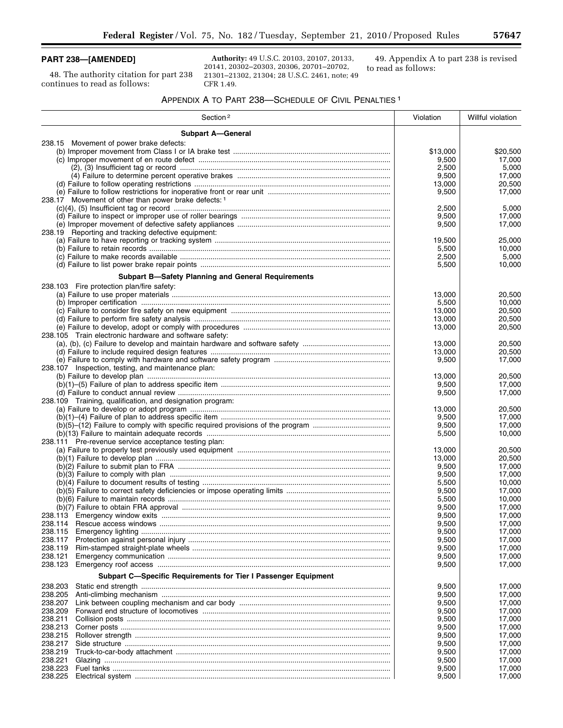# **PART 238—[AMENDED]**

48. The authority citation for part 238 continues to read as follows:

**Authority:** 49 U.S.C. 20103, 20107, 20133, 20141, 20302–20303, 20306, 20701–20702, 21301–21302, 21304; 28 U.S.C. 2461, note; 49 CFR 1.49.

49. Appendix A to part 238 is revised to read as follows:

# APPENDIX A TO PART 238—SCHEDULE OF CIVIL PENALTIES 1

| Section <sup>2</sup>                                           | Violation      | Willful violation |
|----------------------------------------------------------------|----------------|-------------------|
| <b>Subpart A-General</b>                                       |                |                   |
| 238.15 Movement of power brake defects:                        |                |                   |
|                                                                | \$13,000       | \$20,500          |
|                                                                | 9,500          | 17,000            |
|                                                                | 2,500          | 5,000             |
|                                                                | 9,500          | 17,000            |
|                                                                | 13,000         | 20,500            |
|                                                                | 9,500          | 17,000            |
| 238.17 Movement of other than power brake defects: 1           | 2,500          |                   |
|                                                                | 9,500          | 5,000<br>17,000   |
|                                                                | 9,500          | 17,000            |
| 238.19 Reporting and tracking defective equipment:             |                |                   |
|                                                                | 19,500         | 25,000            |
|                                                                | 5,500          | 10,000            |
|                                                                | 2,500          | 5,000             |
|                                                                | 5,500          | 10,000            |
| <b>Subpart B-Safety Planning and General Requirements</b>      |                |                   |
| 238.103 Fire protection plan/fire safety:                      |                |                   |
|                                                                | 13,000         | 20,500            |
|                                                                | 5,500          | 10,000            |
|                                                                | 13,000         | 20,500            |
|                                                                | 13,000         | 20,500            |
|                                                                | 13,000         | 20,500            |
| 238.105 Train electronic hardware and software safety:         |                |                   |
|                                                                | 13,000         | 20,500            |
|                                                                | 13,000         | 20,500            |
|                                                                | 9,500          | 17,000            |
| 238.107 Inspection, testing, and maintenance plan:             |                |                   |
|                                                                | 13,000         | 20,500            |
|                                                                | 9,500<br>9,500 | 17,000<br>17,000  |
| 238.109 Training, qualification, and designation program:      |                |                   |
|                                                                | 13,000         | 20,500            |
|                                                                | 9,500          | 17,000            |
|                                                                | 9,500          | 17,000            |
|                                                                | 5,500          | 10,000            |
| 238.111 Pre-revenue service acceptance testing plan:           |                |                   |
|                                                                | 13,000         | 20,500            |
|                                                                | 13,000         | 20,500            |
|                                                                | 9,500          | 17,000            |
|                                                                | 9,500          | 17,000            |
|                                                                | 5,500          | 10,000            |
|                                                                | 9,500          | 17,000<br>10,000  |
|                                                                | 5,500<br>9,500 | 17,000            |
|                                                                | 9,500          | 17,000            |
|                                                                | 9,500          | 17,000            |
| 238.115                                                        | 9,500          | 17,000            |
| 238.117                                                        | 9,500          | 17,000            |
| 238.119                                                        | 9,500          | 17,000            |
| 238.121                                                        | 9,500          | 17,000            |
| 238.123                                                        | 9,500          | 17,000            |
| Subpart C-Specific Requirements for Tier I Passenger Equipment |                |                   |
| 238.203                                                        | 9,500          | 17,000            |
| 238.205                                                        | 9,500          | 17,000            |
| 238.207                                                        | 9,500          | 17,000            |
| 238.209                                                        | 9,500          | 17,000            |
| 238.211                                                        | 9,500          | 17,000            |
| 238.213                                                        | 9,500          | 17,000            |
| 238.215                                                        | 9,500          | 17,000            |
| 238.217                                                        | 9,500          | 17,000            |
| 238.219<br>238.221                                             | 9,500          | 17,000            |
| 238.223                                                        | 9,500<br>9,500 | 17,000<br>17,000  |
| 238.225                                                        | 9,500          | 17,000            |
|                                                                |                |                   |

 $\equiv$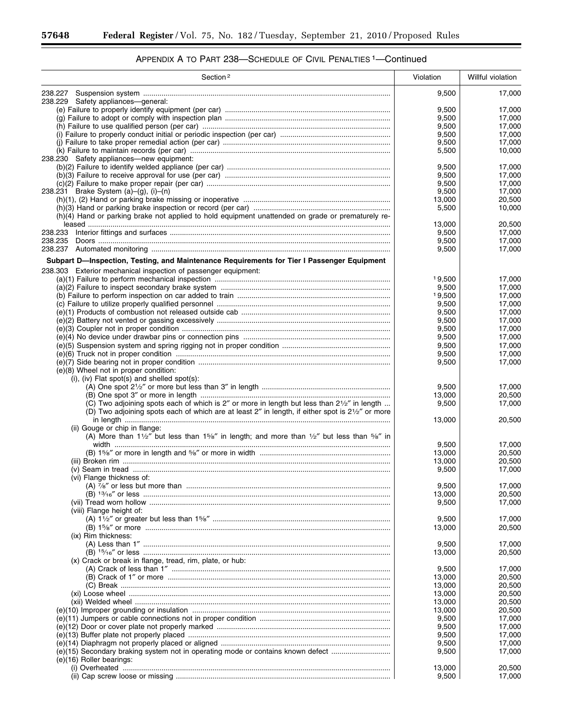÷.

| Section <sup>2</sup>                                                                                                                    | Violation       | Willful violation |
|-----------------------------------------------------------------------------------------------------------------------------------------|-----------------|-------------------|
|                                                                                                                                         | 9,500           | 17,000            |
| 238.229 Safety appliances-general:                                                                                                      |                 |                   |
|                                                                                                                                         | 9,500           | 17,000            |
|                                                                                                                                         | 9,500           | 17,000            |
|                                                                                                                                         | 9,500           | 17,000            |
|                                                                                                                                         | 9,500           | 17,000            |
|                                                                                                                                         | 9,500           | 17,000            |
|                                                                                                                                         | 5,500           | 10,000            |
| 238.230 Safety appliances-new equipment:                                                                                                | 9,500           | 17.000            |
|                                                                                                                                         | 9,500           | 17,000            |
|                                                                                                                                         | 9,500           | 17,000            |
| 238.231 Brake System (a)-(g), (i)-(n)                                                                                                   | 9,500           | 17,000            |
|                                                                                                                                         | 13,000          | 20,500            |
|                                                                                                                                         | 5,500           | 10,000            |
| (h)(4) Hand or parking brake not applied to hold equipment unattended on grade or prematurely re-                                       |                 |                   |
|                                                                                                                                         | 13,000          | 20,500            |
| 238.233                                                                                                                                 | 9,500           | 17,000            |
| 238.235                                                                                                                                 | 9,500           | 17,000            |
|                                                                                                                                         | 9,500           | 17,000            |
| Subpart D—Inspection, Testing, and Maintenance Requirements for Tier I Passenger Equipment                                              |                 |                   |
| 238.303 Exterior mechanical inspection of passenger equipment:                                                                          |                 |                   |
|                                                                                                                                         | 19,500          | 17,000            |
|                                                                                                                                         | 9,500           | 17,000            |
|                                                                                                                                         | 19,500          | 17,000            |
|                                                                                                                                         | 9,500           | 17.000            |
|                                                                                                                                         | 9,500           | 17,000            |
|                                                                                                                                         | 9,500           | 17,000            |
|                                                                                                                                         | 9,500           | 17,000            |
|                                                                                                                                         | 9,500           | 17,000            |
|                                                                                                                                         | 9,500           | 17,000            |
|                                                                                                                                         | 9,500           | 17,000            |
|                                                                                                                                         | 9,500           | 17,000            |
| (e)(8) Wheel not in proper condition:                                                                                                   |                 |                   |
| (i), (iv) Flat spot(s) and shelled spot(s):                                                                                             |                 |                   |
|                                                                                                                                         | 9,500           | 17,000            |
|                                                                                                                                         | 13,000          | 20,500            |
| (C) Two adjoining spots each of which is 2" or more in length but less than $2\frac{1}{2}$ " in length                                  | 9,500           | 17,000            |
| (D) Two adjoining spots each of which are at least 2" in length, if either spot is 21/2" or more                                        |                 |                   |
|                                                                                                                                         | 13,000          | 20,500            |
| (ii) Gouge or chip in flange:                                                                                                           |                 |                   |
| (A) More than $1\frac{1}{2}$ " but less than $1\frac{5}{8}$ " in length; and more than $\frac{1}{2}$ " but less than $\frac{5}{8}$ " in |                 | 17.000            |
|                                                                                                                                         | 9,500<br>13,000 | 20,500            |
|                                                                                                                                         | 13,000          | 20,500            |
|                                                                                                                                         | 9,500           | 17,000            |
| (vi) Flange thickness of:                                                                                                               |                 |                   |
|                                                                                                                                         | 9,500           | 17,000            |
|                                                                                                                                         | 13,000          | 20,500            |
|                                                                                                                                         | 9,500           | 17,000            |
| (viii) Flange height of:                                                                                                                |                 |                   |
|                                                                                                                                         | 9,500           | 17,000            |
|                                                                                                                                         | 13,000          | 20,500            |
| (ix) Rim thickness:                                                                                                                     |                 |                   |
|                                                                                                                                         | 9,500           | 17,000            |
|                                                                                                                                         | 13,000          | 20,500            |
| (x) Crack or break in flange, tread, rim, plate, or hub:                                                                                |                 |                   |
|                                                                                                                                         | 9,500           | 17,000            |
|                                                                                                                                         | 13,000          | 20.500            |
|                                                                                                                                         | 13,000          | 20,500            |
|                                                                                                                                         | 13,000          | 20,500            |
|                                                                                                                                         | 13,000          | 20,500            |
|                                                                                                                                         | 13,000          | 20,500            |
|                                                                                                                                         | 9,500           | 17,000            |
|                                                                                                                                         | 9,500           | 17,000            |
|                                                                                                                                         | 9,500           | 17,000            |
|                                                                                                                                         | 9,500           | 17,000            |
| (e)(15) Secondary braking system not in operating mode or contains known defect<br>(e)(16) Roller bearings:                             | 9,500           | 17,000            |
|                                                                                                                                         | 13,000          | 20,500            |
|                                                                                                                                         | 9,500           | 17,000            |
|                                                                                                                                         |                 |                   |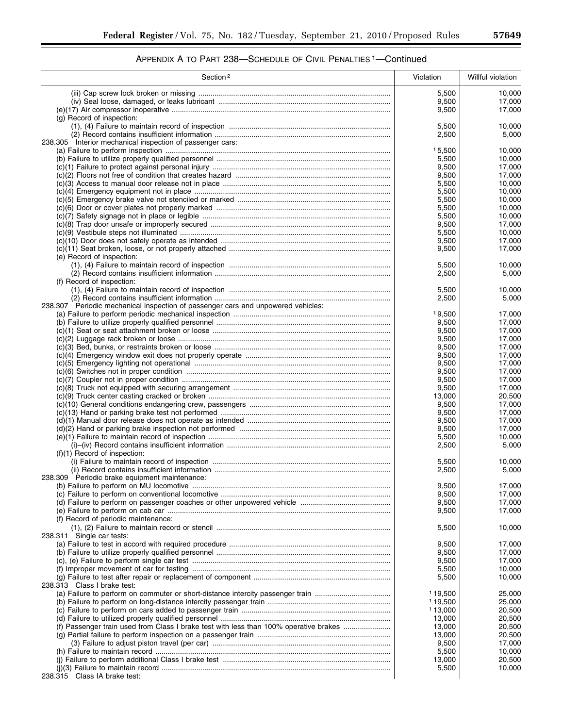| Section <sup>2</sup>                                                                  | Violation       | Willful violation |
|---------------------------------------------------------------------------------------|-----------------|-------------------|
|                                                                                       | 5,500           | 10,000            |
|                                                                                       | 9,500           | 17,000            |
|                                                                                       | 9,500           | 17,000            |
| (g) Record of inspection:                                                             |                 |                   |
|                                                                                       | 5,500           | 10.000            |
| 238.305 Interior mechanical inspection of passenger cars:                             | 2,500           | 5,000             |
|                                                                                       | 15,500          | 10,000            |
|                                                                                       | 5,500           | 10,000            |
|                                                                                       | 9,500           | 17,000            |
|                                                                                       | 9,500           | 17,000            |
|                                                                                       | 5,500           | 10,000            |
|                                                                                       | 5,500           | 10,000            |
|                                                                                       | 5,500           | 10,000            |
|                                                                                       | 5,500           | 10,000            |
|                                                                                       | 5,500<br>9,500  | 10,000<br>17,000  |
|                                                                                       | 5,500           | 10,000            |
|                                                                                       | 9,500           | 17,000            |
|                                                                                       | 9,500           | 17,000            |
| (e) Record of inspection:                                                             |                 |                   |
|                                                                                       | 5,500           | 10,000            |
|                                                                                       | 2,500           | 5,000             |
| (f) Record of inspection:                                                             |                 |                   |
|                                                                                       | 5,500           | 10,000            |
| 238.307 Periodic mechanical inspection of passenger cars and unpowered vehicles:      | 2,500           | 5,000             |
|                                                                                       | 19,500          | 17.000            |
|                                                                                       | 9,500           | 17,000            |
|                                                                                       | 9,500           | 17,000            |
|                                                                                       | 9,500           | 17,000            |
|                                                                                       | 9,500           | 17,000            |
|                                                                                       | 9,500           | 17,000            |
|                                                                                       | 9,500           | 17,000            |
|                                                                                       | 9,500           | 17,000            |
|                                                                                       | 9,500           | 17,000<br>17,000  |
|                                                                                       | 9,500<br>13,000 | 20,500            |
|                                                                                       | 9,500           | 17,000            |
|                                                                                       | 9,500           | 17,000            |
|                                                                                       | 9,500           | 17,000            |
|                                                                                       | 9,500           | 17,000            |
|                                                                                       | 5,500           | 10,000            |
|                                                                                       | 2,500           | 5,000             |
| $(f)(1)$ Record of inspection:                                                        |                 |                   |
|                                                                                       | 5,500<br>2,500  | 10,000<br>5.000   |
| 238.309 Periodic brake equipment maintenance:                                         |                 |                   |
|                                                                                       | 9,500           | 17,000            |
|                                                                                       | 9,500           | 17,000            |
|                                                                                       | 9,500           | 17,000            |
|                                                                                       | 9,500           | 17,000            |
| (f) Record of periodic maintenance:                                                   |                 |                   |
|                                                                                       | 5,500           | 10,000            |
| 238.311 Single car tests:                                                             |                 |                   |
|                                                                                       | 9,500<br>9,500  | 17,000<br>17,000  |
|                                                                                       | 9,500           | 17,000            |
|                                                                                       | 5,500           | 10,000            |
|                                                                                       | 5,500           | 10,000            |
| 238.313 Class I brake test:                                                           |                 |                   |
| (a) Failure to perform on commuter or short-distance intercity passenger train        | 119,500         | 25,000            |
|                                                                                       | 119,500         | 25,000            |
|                                                                                       | 113,000         | 20,500            |
|                                                                                       | 13,000          | 20,500            |
| (f) Passenger train used from Class I brake test with less than 100% operative brakes | 13,000          | 20,500            |
|                                                                                       | 13,000          | 20,500            |
|                                                                                       | 9,500<br>5,500  | 17,000<br>10,000  |
|                                                                                       | 13,000          | 20,500            |
|                                                                                       | 5,500           | 10,000            |
| 238.315 Class IA brake test:                                                          |                 |                   |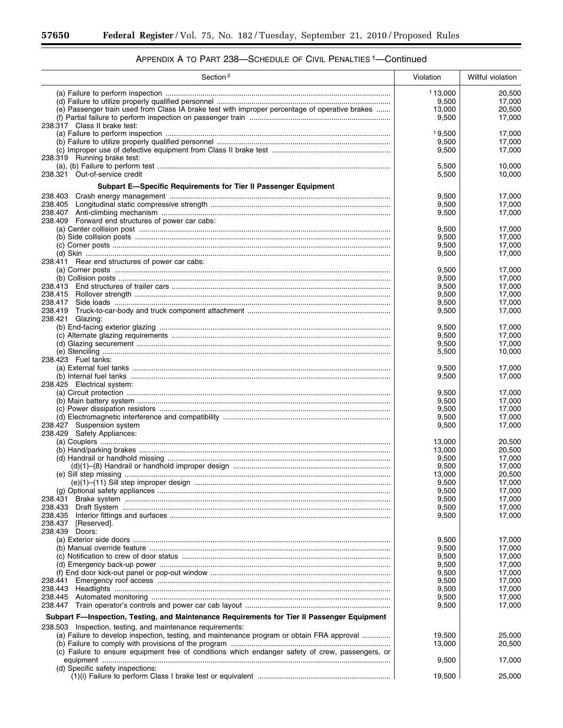٠

| Section <sup>2</sup>                                                                             | Violation      | Willful violation |
|--------------------------------------------------------------------------------------------------|----------------|-------------------|
|                                                                                                  | 113,000        | 20,500            |
|                                                                                                  | 9,500          | 17,000            |
| (e) Passenger train used from Class IA brake test with improper percentage of operative brakes   | 13,000         | 20,500            |
|                                                                                                  | 9,500          | 17,000            |
| 238.317 Class II brake test:                                                                     | 19,500         | 17,000            |
|                                                                                                  | 9,500          | 17.000            |
|                                                                                                  | 9,500          | 17,000            |
| 238.319 Running brake test:                                                                      |                |                   |
|                                                                                                  | 5,500          | 10,000            |
| 238.321 Out-of-service credit                                                                    | 5,500          | 10,000            |
| Subpart E-Specific Requirements for Tier II Passenger Equipment                                  |                |                   |
| 238.405                                                                                          | 9,500<br>9,500 | 17,000<br>17,000  |
|                                                                                                  | 9,500          | 17,000            |
| 238.409 Forward end structures of power car cabs:                                                |                |                   |
|                                                                                                  | 9,500          | 17,000            |
|                                                                                                  | 9,500          | 17,000            |
|                                                                                                  | 9,500          | 17,000            |
| 238.411 Rear end structures of power car cabs:                                                   | 9,500          | 17,000            |
|                                                                                                  | 9,500          | 17,000            |
|                                                                                                  | 9,500          | 17,000            |
|                                                                                                  | 9,500          | 17,000            |
|                                                                                                  | 9,500          | 17,000            |
|                                                                                                  | 9,500          | 17.000            |
|                                                                                                  | 9,500          | 17,000            |
| 238.421 Glazing:                                                                                 | 9,500          | 17,000            |
|                                                                                                  | 9,500          | 17,000            |
|                                                                                                  | 9,500          | 17,000            |
|                                                                                                  | 5,500          | 10,000            |
| 238.423 Fuel tanks:                                                                              |                |                   |
|                                                                                                  | 9,500          | 17,000            |
| 238.425 Electrical system:                                                                       | 9,500          | 17,000            |
|                                                                                                  | 9,500          | 17,000            |
|                                                                                                  | 9,500          | 17,000            |
|                                                                                                  | 9,500          | 17,000            |
|                                                                                                  | 9,500          | 17,000            |
| 238.427 Suspension system                                                                        | 9,500          | 17,000            |
| 238.429 Safety Appliances:                                                                       | 13,000         | 20,500            |
|                                                                                                  | 13,000         | 20,500            |
|                                                                                                  | 9,500          | 17,000            |
|                                                                                                  | 9,500          | 17,000            |
|                                                                                                  | 13,000         | 20,500            |
|                                                                                                  | 9,500          | 17,000            |
|                                                                                                  | 9,500<br>9,500 | 17,000            |
| 238.433                                                                                          | 9,500          | 17,000<br>17,000  |
| 238.435                                                                                          | 9,500          | 17,000            |
| 238.437<br>[Reserved].                                                                           |                |                   |
| 238.439<br>Doors:                                                                                |                |                   |
|                                                                                                  | 9,500          | 17,000            |
|                                                                                                  | 9,500<br>9,500 | 17,000<br>17,000  |
|                                                                                                  | 9,500          | 17,000            |
|                                                                                                  | 9,500          | 17.000            |
| 238.441                                                                                          | 9,500          | 17,000            |
| 238.443                                                                                          | 9,500          | 17,000            |
| 238.445                                                                                          | 9,500          | 17,000            |
| 238.447                                                                                          | 9,500          | 17,000            |
| Subpart F-Inspection, Testing, and Maintenance Requirements for Tier II Passenger Equipment      |                |                   |
| 238.503 Inspection, testing, and maintenance requirements:                                       |                |                   |
| (a) Failure to develop inspection, testing, and maintenance program or obtain FRA approval       | 19,500         | 25,000            |
| (c) Failure to ensure equipment free of conditions which endanger safety of crew, passengers, or | 13,000         | 20,500            |
|                                                                                                  | 9,500          | 17,000            |
| (d) Specific safety inspections:                                                                 |                |                   |
|                                                                                                  | 19,500         | 25,000            |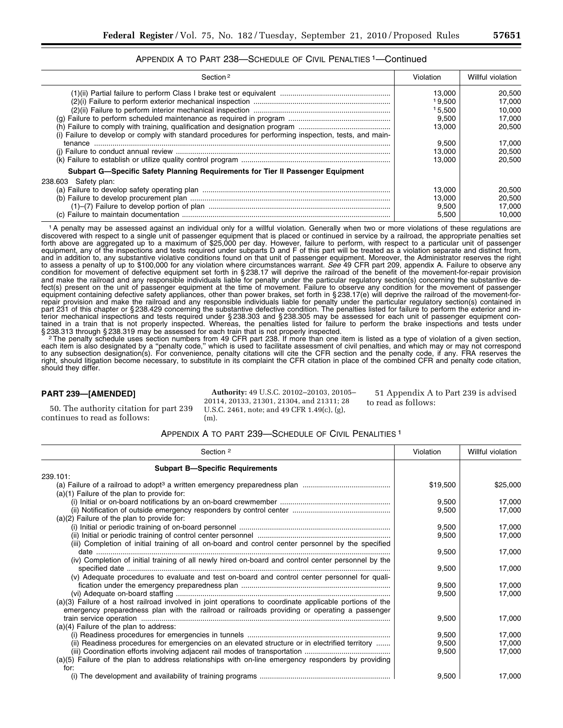## APPENDIX A TO PART 238—SCHEDULE OF CIVIL PENALTIES 1—Continued

| Section <sub>2</sub>                                                                                  | Violation | Willful violation |
|-------------------------------------------------------------------------------------------------------|-----------|-------------------|
|                                                                                                       | 13.000    | 20,500            |
|                                                                                                       | 19.500    | 17.000            |
|                                                                                                       | 15.500    | 10.000            |
|                                                                                                       | 9.500     | 17.000            |
|                                                                                                       | 13.000    | 20.500            |
| (i) Failure to develop or comply with standard procedures for performing inspection, tests, and main- |           |                   |
|                                                                                                       | 9.500     | 17.000            |
|                                                                                                       | 13.000    | 20.500            |
|                                                                                                       | 13.000    | 20.500            |
| Subpart G—Specific Safety Planning Requirements for Tier II Passenger Equipment                       |           |                   |
| 238.603 Safety plan:                                                                                  |           |                   |
|                                                                                                       | 13.000    | 20.500            |
|                                                                                                       | 13.000    | 20.500            |
|                                                                                                       | 9,500     | 17.000            |
|                                                                                                       | 5.500     | 10.000            |

1A penalty may be assessed against an individual only for a willful violation. Generally when two or more violations of these regulations are discovered with respect to a single unit of passenger equipment that is placed or continued in service by a railroad, the appropriate penalties set forth above are aggregated up to a maximum of \$25,000 per day. However, failure to perform, with respect to a particular unit of passenger equipment, any of the inspections and tests required under subparts D and F of this part will be treated as a violation separate and distinct from, and in addition to, any substantive violative conditions found on that unit of passenger equipment. Moreover, the Administrator reserves the right to assess a penalty of up to \$100,000 for any violation where circumstances warrant. *See* 49 CFR part 209, appendix A. Failure to observe any condition for movement of defective equipment set forth in § 238.17 will deprive the railroad of the benefit of the movement-for-repair provision and make the railroad and any responsible individuals liable for penalty under the particular regulatory section(s) concerning the substantive defect(s) present on the unit of passenger equipment at the time of movement. Failure to observe any condition for the movement of passenger equipment containing defective safety appliances, other than power brakes, set forth in § 238.17(e) will deprive the railroad of the movement-forrepair provision and make the railroad and any responsible individuals liable for penalty under the particular regulatory section(s) contained in part 231 of this chapter or § 238.429 concerning the substantive defective condition. The penalties listed for failure to perform the exterior and interior mechanical inspections and tests required under § 238.303 and § 238.305 may be assessed for each unit of passenger equipment contained in a train that is not properly inspected. Whereas, the penalties listed for failure to perform the brake inspections and tests under

§ 238.313 through § 238.319 may be assessed for each train that is not properly inspected.<br><sup>2</sup> The penalty schedule uses section numbers from 49 CFR part 238. If more than one item is listed as a type of violation of a giv each item is also designated by a ''penalty code,'' which is used to facilitate assessment of civil penalties, and which may or may not correspond to any subsection designation(s). For convenience, penalty citations will cite the CFR section and the penalty code, if any. FRA reserves the right, should litigation become necessary, to substitute in its complaint the CFR citation in place of the combined CFR and penalty code citation, should they differ.

## **PART 239—[AMENDED]**

50. The authority citation for part 239 continues to read as follows:

**Authority:** 49 U.S.C. 20102–20103, 20105– 20114, 20133, 21301, 21304, and 21311; 28 U.S.C. 2461, note; and 49 CFR 1.49(c), (g),  $(m)$ .

51 Appendix A to Part 239 is advised to read as follows:

#### APPENDIX A TO PART 239—SCHEDULE OF CIVIL PENALITIES 1

| Section <sup>2</sup>                                                                                                                                                                                     | Violation | Willful violation |
|----------------------------------------------------------------------------------------------------------------------------------------------------------------------------------------------------------|-----------|-------------------|
| <b>Subpart B-Specific Requirements</b>                                                                                                                                                                   |           |                   |
| 239.101:                                                                                                                                                                                                 |           |                   |
| $(a)(1)$ Failure of the plan to provide for:                                                                                                                                                             | \$19,500  | \$25,000          |
|                                                                                                                                                                                                          | 9,500     | 17,000            |
| $(a)(2)$ Failure of the plan to provide for:                                                                                                                                                             | 9,500     | 17,000            |
|                                                                                                                                                                                                          | 9,500     | 17,000            |
| (iii) Completion of initial training of all on-board and control center personnel by the specified                                                                                                       | 9,500     | 17,000            |
|                                                                                                                                                                                                          | 9,500     | 17,000            |
| (iv) Completion of initial training of all newly hired on-board and control center personnel by the                                                                                                      |           |                   |
|                                                                                                                                                                                                          | 9,500     | 17,000            |
| (v) Adequate procedures to evaluate and test on-board and control center personnel for quali-                                                                                                            |           |                   |
|                                                                                                                                                                                                          | 9,500     | 17,000            |
|                                                                                                                                                                                                          | 9,500     | 17,000            |
| (a)(3) Failure of a host railroad involved in joint operations to coordinate applicable portions of the<br>emergency preparedness plan with the railroad or railroads providing or operating a passenger |           |                   |
|                                                                                                                                                                                                          | 9,500     | 17,000            |
| $(a)(4)$ Failure of the plan to address:                                                                                                                                                                 |           |                   |
|                                                                                                                                                                                                          | 9,500     | 17,000            |
| (ii) Readiness procedures for emergencies on an elevated structure or in electrified territory                                                                                                           | 9,500     | 17,000            |
|                                                                                                                                                                                                          | 9,500     | 17.000            |
| (a)(5) Failure of the plan to address relationships with on-line emergency responders by providing<br>for:                                                                                               |           |                   |
|                                                                                                                                                                                                          | 9,500     | 17,000            |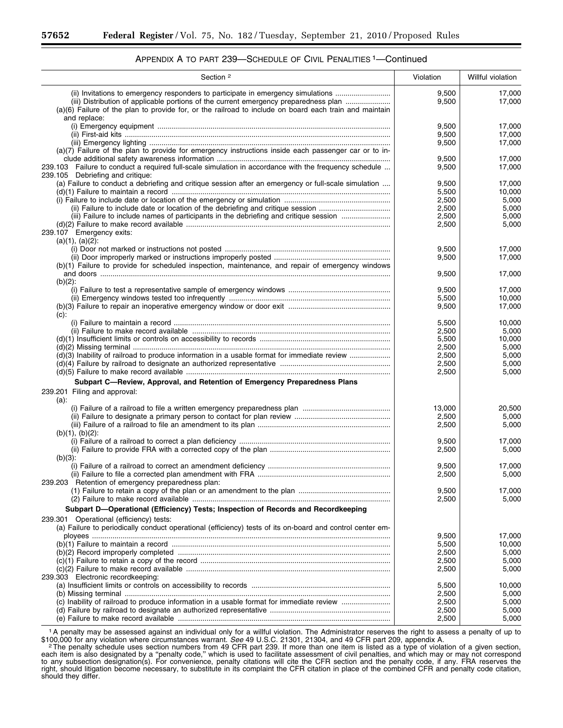# APPENDIX A TO PART 239—SCHEDULE OF CIVIL PENALITIES 1—Continued

| Section <sup>2</sup>                                                                                                                                                                                                                                                                               | Violation      | Willful violation |
|----------------------------------------------------------------------------------------------------------------------------------------------------------------------------------------------------------------------------------------------------------------------------------------------------|----------------|-------------------|
| (ii) Invitations to emergency responders to participate in emergency simulations<br>(iii) Distribution of applicable portions of the current emergency preparedness plan<br>(a)(6) Failure of the plan to provide for, or the railroad to include on board each train and maintain<br>and replace: | 9,500<br>9,500 | 17,000<br>17,000  |
|                                                                                                                                                                                                                                                                                                    | 9,500          | 17,000            |
|                                                                                                                                                                                                                                                                                                    | 9,500          | 17,000            |
|                                                                                                                                                                                                                                                                                                    | 9,500          | 17,000            |
| (a)(7) Failure of the plan to provide for emergency instructions inside each passenger car or to in-                                                                                                                                                                                               | 9,500          | 17,000            |
| 239.103 Failure to conduct a required full-scale simulation in accordance with the frequency schedule                                                                                                                                                                                              | 9,500          | 17,000            |
| 239.105 Debriefing and critique:<br>(a) Failure to conduct a debriefing and critique session after an emergency or full-scale simulation                                                                                                                                                           |                |                   |
|                                                                                                                                                                                                                                                                                                    | 9,500          | 17,000<br>10,000  |
|                                                                                                                                                                                                                                                                                                    | 5,500<br>2,500 | 5,000             |
|                                                                                                                                                                                                                                                                                                    |                |                   |
| (ii) Failure to include date or location of the debriefing and critique session                                                                                                                                                                                                                    | 2,500          | 5,000             |
| (iii) Failure to include names of participants in the debriefing and critique session                                                                                                                                                                                                              | 2,500          | 5,000             |
|                                                                                                                                                                                                                                                                                                    | 2,500          | 5,000             |
| 239.107 Emergency exits:<br>$(a)(1), (a)(2)$ :                                                                                                                                                                                                                                                     |                |                   |
|                                                                                                                                                                                                                                                                                                    | 9,500          | 17,000            |
|                                                                                                                                                                                                                                                                                                    | 9,500          | 17,000            |
| (b)(1) Failure to provide for scheduled inspection, maintenance, and repair of emergency windows                                                                                                                                                                                                   |                |                   |
| $(b)(2)$ :                                                                                                                                                                                                                                                                                         | 9,500          | 17,000            |
|                                                                                                                                                                                                                                                                                                    | 9,500          | 17,000            |
|                                                                                                                                                                                                                                                                                                    | 5,500          | 10,000            |
| $(c)$ :                                                                                                                                                                                                                                                                                            | 9,500          | 17,000            |
|                                                                                                                                                                                                                                                                                                    | 5,500          | 10,000            |
|                                                                                                                                                                                                                                                                                                    | 2,500          | 5,000             |
|                                                                                                                                                                                                                                                                                                    | 5,500          | 10,000            |
|                                                                                                                                                                                                                                                                                                    | 2,500          | 5,000             |
| (d)(3) Inability of railroad to produce information in a usable format for immediate review                                                                                                                                                                                                        | 2,500          | 5,000             |
|                                                                                                                                                                                                                                                                                                    | 2,500          | 5,000             |
|                                                                                                                                                                                                                                                                                                    |                | 5,000             |
|                                                                                                                                                                                                                                                                                                    | 2,500          |                   |
| Subpart C-Review, Approval, and Retention of Emergency Preparedness Plans                                                                                                                                                                                                                          |                |                   |
| 239.201 Filing and approval:<br>(a):                                                                                                                                                                                                                                                               |                |                   |
|                                                                                                                                                                                                                                                                                                    | 13,000         | 20,500            |
|                                                                                                                                                                                                                                                                                                    | 2,500          | 5,000             |
|                                                                                                                                                                                                                                                                                                    | 2,500          | 5,000             |
| $(b)(1), (b)(2)$ :                                                                                                                                                                                                                                                                                 |                |                   |
|                                                                                                                                                                                                                                                                                                    | 9,500          | 17,000            |
|                                                                                                                                                                                                                                                                                                    | 2,500          | 5,000             |
| $(b)(3)$ :                                                                                                                                                                                                                                                                                         |                |                   |
|                                                                                                                                                                                                                                                                                                    | 9,500          | 17,000            |
|                                                                                                                                                                                                                                                                                                    | 2,500          | 5,000             |
| 239.203 Retention of emergency preparedness plan:                                                                                                                                                                                                                                                  |                |                   |
|                                                                                                                                                                                                                                                                                                    | 9,500          | 17,000            |
|                                                                                                                                                                                                                                                                                                    |                | 5,000             |
|                                                                                                                                                                                                                                                                                                    | 2,500          |                   |
| Subpart D-Operational (Efficiency) Tests; Inspection of Records and Recordkeeping                                                                                                                                                                                                                  |                |                   |
| 239.301 Operational (efficiency) tests:                                                                                                                                                                                                                                                            |                |                   |
| (a) Failure to periodically conduct operational (efficiency) tests of its on-board and control center em-                                                                                                                                                                                          |                |                   |
|                                                                                                                                                                                                                                                                                                    | 9,500          | 17,000            |
|                                                                                                                                                                                                                                                                                                    | 5,500          | 10,000            |
|                                                                                                                                                                                                                                                                                                    | 2,500          | 5,000             |
|                                                                                                                                                                                                                                                                                                    | 2,500          | 5,000             |
|                                                                                                                                                                                                                                                                                                    | 2,500          | 5,000             |
| 239.303 Electronic recordkeeping:                                                                                                                                                                                                                                                                  |                |                   |
|                                                                                                                                                                                                                                                                                                    | 5,500          | 10,000            |
|                                                                                                                                                                                                                                                                                                    | 2,500          | 5,000             |
| (c) Inability of railroad to produce information in a usable format for immediate review                                                                                                                                                                                                           | 2,500          | 5,000             |
|                                                                                                                                                                                                                                                                                                    | 2,500          |                   |
|                                                                                                                                                                                                                                                                                                    |                | 5,000             |
|                                                                                                                                                                                                                                                                                                    | 2,500          | 5,000             |

1A penalty may be assessed against an individual only for a willful violation. The Administrator reserves the right to assess a penalty of up to \$100,000 for any violation where circumstances warrant. *See* 49 U.S.C. 21301, 21304, and 49 CFR part 209, appendix A.<br>The penalty schedule uses section numbers from 49 CFR part 239. If more than one item is listed as a ty

each item is also designated by a ''penalty code,'' which is used to facilitate assessment of civil penalties, and which may or may not correspond to any subsection designation(s). For convenience, penalty citations will cite the CFR section and the penalty code, if any. FRA reserves the right, should litigation become necessary, to substitute in its complaint the CFR citation in place of the combined CFR and penalty code citation, should they differ.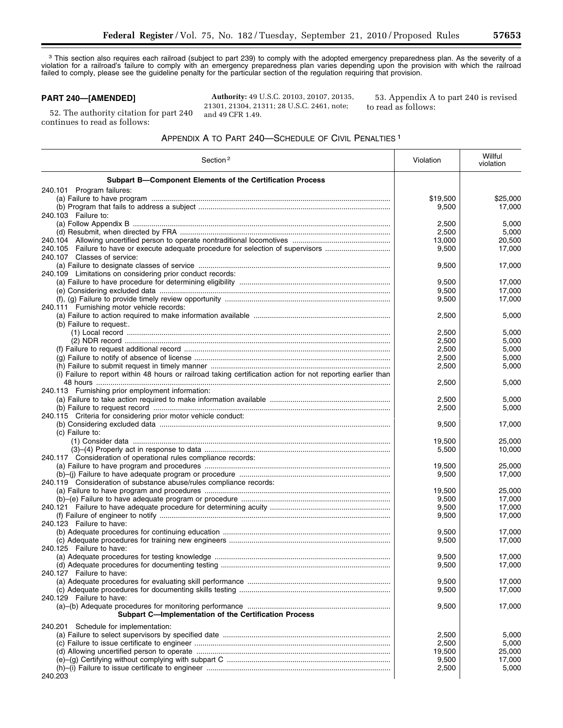<sup>3</sup> This section also requires each railroad (subject to part 239) to comply with the adopted emergency preparedness plan. As the severity of a violation for a railroad's failure to comply with an emergency preparedness plan varies depending upon the provision with which the railroad failed to comply, please see the guideline penalty for the particular section of the regulation requiring that provision.

## **PART 240—[AMENDED]**

52. The authority citation for part 240 continues to read as follows:

**Authority:** 49 U.S.C. 20103, 20107, 20135, 21301, 21304, 21311; 28 U.S.C. 2461, note; and 49 CFR 1.49.

53. Appendix A to part 240 is revised to read as follows:

## APPENDIX A TO PART 240—SCHEDULE OF CIVIL PENALTIES 1

| Section <sup>2</sup>                                                                                         | Violation | Willful<br>violation |
|--------------------------------------------------------------------------------------------------------------|-----------|----------------------|
| Subpart B-Component Elements of the Certification Process                                                    |           |                      |
| 240.101 Program failures:                                                                                    |           |                      |
|                                                                                                              | \$19,500  | \$25,000             |
|                                                                                                              | 9,500     | 17,000               |
| 240.103 Failure to:                                                                                          |           |                      |
|                                                                                                              | 2,500     | 5,000                |
|                                                                                                              | 2,500     | 5,000                |
|                                                                                                              | 13,000    | 20,500               |
|                                                                                                              | 9,500     | 17,000               |
| 240.107 Classes of service:                                                                                  |           |                      |
|                                                                                                              | 9,500     | 17,000               |
| 240.109 Limitations on considering prior conduct records:                                                    |           |                      |
|                                                                                                              | 9,500     | 17,000               |
|                                                                                                              | 9,500     | 17,000               |
|                                                                                                              | 9,500     | 17,000               |
| 240.111 Furnishing motor vehicle records:                                                                    |           |                      |
|                                                                                                              | 2,500     | 5,000                |
| (b) Failure to request:.                                                                                     |           |                      |
|                                                                                                              | 2,500     | 5,000                |
|                                                                                                              | 2,500     | 5,000                |
|                                                                                                              |           |                      |
|                                                                                                              | 2,500     | 5,000                |
|                                                                                                              | 2,500     | 5,000                |
|                                                                                                              | 2,500     | 5,000                |
| (i) Failure to report within 48 hours or railroad taking certification action for not reporting earlier than |           |                      |
|                                                                                                              | 2,500     | 5,000                |
| 240.113 Furnishing prior employment information:                                                             |           |                      |
|                                                                                                              | 2,500     | 5,000                |
|                                                                                                              | 2,500     | 5,000                |
| 240.115 Criteria for considering prior motor vehicle conduct:                                                |           |                      |
|                                                                                                              | 9,500     | 17,000               |
| (c) Failure to:                                                                                              |           |                      |
|                                                                                                              | 19,500    | 25,000               |
|                                                                                                              | 5,500     | 10,000               |
| 240.117 Consideration of operational rules compliance records:                                               |           |                      |
|                                                                                                              | 19,500    | 25,000               |
|                                                                                                              | 9,500     | 17,000               |
| 240.119 Consideration of substance abuse/rules compliance records:                                           |           |                      |
|                                                                                                              | 19,500    | 25,000               |
|                                                                                                              | 9,500     | 17,000               |
|                                                                                                              | 9,500     | 17,000               |
|                                                                                                              | 9,500     | 17,000               |
| 240.123 Failure to have:                                                                                     |           |                      |
|                                                                                                              | 9,500     | 17,000               |
|                                                                                                              | 9,500     | 17,000               |
| 240.125 Failure to have:                                                                                     |           |                      |
|                                                                                                              | 9,500     | 17,000               |
|                                                                                                              | 9,500     | 17,000               |
| 240.127 Failure to have:                                                                                     |           |                      |
|                                                                                                              | 9,500     | 17,000               |
|                                                                                                              | 9,500     | 17,000               |
| 240.129 Failure to have:                                                                                     |           |                      |
|                                                                                                              | 9,500     | 17,000               |
| <b>Subpart C-Implementation of the Certification Process</b>                                                 |           |                      |
| 240.201 Schedule for implementation:                                                                         |           |                      |
|                                                                                                              | 2,500     | 5,000                |
|                                                                                                              | 2,500     | 5,000                |
|                                                                                                              | 19,500    | 25,000               |
|                                                                                                              | 9,500     | 17,000               |
|                                                                                                              | 2,500     | 5,000                |
| 240.203                                                                                                      |           |                      |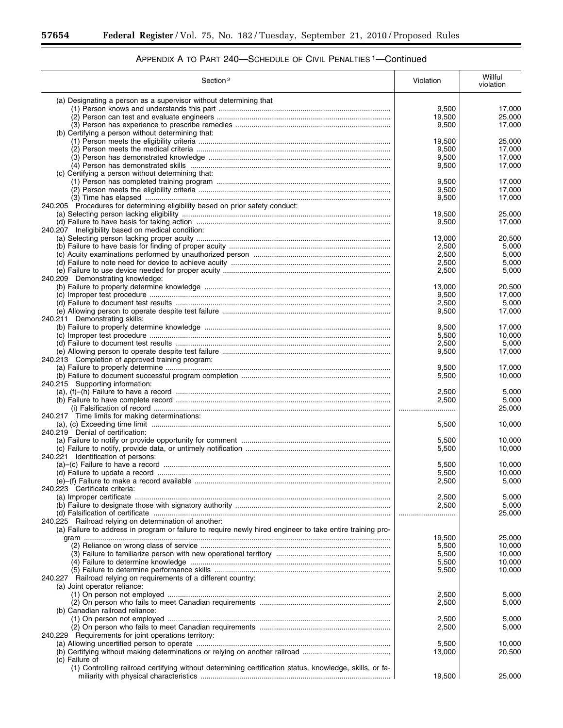| Section <sup>2</sup>                                                                                      | Violation       | Willful<br>violation |
|-----------------------------------------------------------------------------------------------------------|-----------------|----------------------|
| (a) Designating a person as a supervisor without determining that                                         |                 |                      |
|                                                                                                           | 9,500           | 17,000               |
|                                                                                                           | 19,500          | 25.000               |
| (b) Certifying a person without determining that:                                                         | 9,500           | 17,000               |
|                                                                                                           | 19,500          | 25,000               |
|                                                                                                           | 9,500           | 17,000               |
|                                                                                                           | 9,500           | 17,000               |
|                                                                                                           | 9,500           | 17,000               |
| (c) Certifying a person without determining that:                                                         | 9,500           | 17,000               |
|                                                                                                           | 9,500           | 17.000               |
|                                                                                                           | 9,500           | 17,000               |
| 240.205 Procedures for determining eligibility based on prior safety conduct:                             |                 |                      |
|                                                                                                           | 19,500<br>9,500 | 25,000<br>17,000     |
| 240.207 Ineligibility based on medical condition:                                                         |                 |                      |
|                                                                                                           | 13,000          | 20,500               |
|                                                                                                           | 2,500           | 5,000                |
|                                                                                                           | 2,500           | 5,000                |
|                                                                                                           | 2,500<br>2,500  | 5,000<br>5,000       |
| 240.209 Demonstrating knowledge:                                                                          |                 |                      |
|                                                                                                           | 13.000          | 20,500               |
|                                                                                                           | 9,500           | 17,000               |
|                                                                                                           | 2.500           | 5,000                |
|                                                                                                           | 9,500           | 17,000               |
| 240.211 Demonstrating skills:                                                                             | 9,500           | 17.000               |
|                                                                                                           | 5,500           | 10,000               |
|                                                                                                           | 2,500           | 5,000                |
|                                                                                                           | 9,500           | 17,000               |
| 240.213 Completion of approved training program:                                                          |                 |                      |
|                                                                                                           | 9,500<br>5,500  | 17,000<br>10,000     |
| 240.215 Supporting information:                                                                           |                 |                      |
|                                                                                                           | 2,500           | 5,000                |
|                                                                                                           | 2,500           | 5,000                |
|                                                                                                           |                 | 25,000               |
| 240.217 Time limits for making determinations:                                                            | 5,500           | 10,000               |
| 240.219 Denial of certification:                                                                          |                 |                      |
|                                                                                                           | 5,500           | 10,000               |
|                                                                                                           | 5,500           | 10,000               |
| 240.221 Identification of persons:                                                                        |                 |                      |
|                                                                                                           | 5,500<br>5,500  | 10,000<br>10,000     |
|                                                                                                           | 2,500           | 5,000                |
| 240.223 Certificate criteria:                                                                             |                 |                      |
|                                                                                                           | 2,500           | 5,000                |
|                                                                                                           | 2,500           | 5,000                |
| 240.225 Railroad relying on determination of another:                                                     |                 | 25,000               |
| (a) Failure to address in program or failure to require newly hired engineer to take entire training pro- |                 |                      |
|                                                                                                           | 19,500          | 25,000               |
|                                                                                                           | 5,500           | 10,000               |
|                                                                                                           | 5,500           | 10,000               |
|                                                                                                           | 5,500           | 10,000               |
| 240.227 Railroad relying on requirements of a different country:                                          | 5,500           | 10,000               |
| (a) Joint operator reliance:                                                                              |                 |                      |
|                                                                                                           | 2,500           | 5,000                |
|                                                                                                           | 2,500           | 5,000                |
| (b) Canadian railroad reliance:                                                                           |                 |                      |
|                                                                                                           | 2,500           | 5,000                |
| 240.229 Requirements for joint operations territory:                                                      | 2,500           | 5,000                |
|                                                                                                           | 5,500           | 10,000               |
|                                                                                                           | 13,000          | 20,500               |
| (c) Failure of                                                                                            |                 |                      |
| (1) Controlling railroad certifying without determining certification status, knowledge, skills, or fa-   |                 |                      |
|                                                                                                           | 19,500          | 25,000               |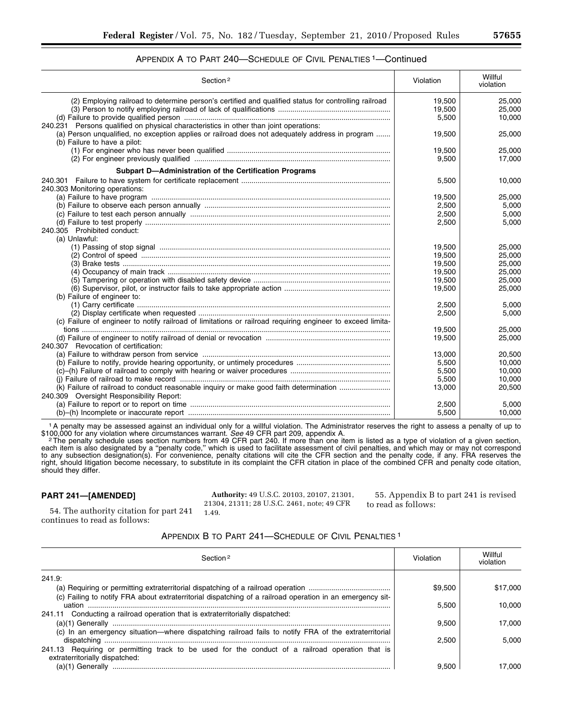## APPENDIX A TO PART 240—SCHEDULE OF CIVIL PENALTIES 1—Continued

| Section <sup>2</sup>                                                                                                                                                                                                     | Violation | Willful<br>violation |
|--------------------------------------------------------------------------------------------------------------------------------------------------------------------------------------------------------------------------|-----------|----------------------|
| (2) Employing railroad to determine person's certified and qualified status for controlling railroad                                                                                                                     | 19,500    | 25.000               |
|                                                                                                                                                                                                                          | 19,500    | 25.000               |
|                                                                                                                                                                                                                          | 5,500     | 10,000               |
| 240.231 Persons qualified on physical characteristics in other than joint operations:<br>(a) Person unqualified, no exception applies or railroad does not adequately address in program<br>(b) Failure to have a pilot: | 19,500    | 25,000               |
|                                                                                                                                                                                                                          | 19.500    | 25.000               |
|                                                                                                                                                                                                                          | 9,500     | 17,000               |
| Subpart D-Administration of the Certification Programs                                                                                                                                                                   |           |                      |
|                                                                                                                                                                                                                          | 5,500     | 10,000               |
| 240.303 Monitoring operations:                                                                                                                                                                                           |           |                      |
|                                                                                                                                                                                                                          | 19,500    | 25.000               |
|                                                                                                                                                                                                                          | 2,500     | 5,000                |
|                                                                                                                                                                                                                          | 2,500     | 5,000                |
|                                                                                                                                                                                                                          | 2,500     | 5.000                |
| 240.305 Prohibited conduct:                                                                                                                                                                                              |           |                      |
| (a) Unlawful:                                                                                                                                                                                                            |           |                      |
|                                                                                                                                                                                                                          | 19,500    | 25,000               |
|                                                                                                                                                                                                                          | 19,500    | 25,000               |
|                                                                                                                                                                                                                          | 19,500    | 25,000               |
|                                                                                                                                                                                                                          | 19,500    | 25,000               |
|                                                                                                                                                                                                                          | 19,500    | 25,000               |
|                                                                                                                                                                                                                          | 19,500    | 25,000               |
| (b) Failure of engineer to:                                                                                                                                                                                              |           |                      |
|                                                                                                                                                                                                                          | 2,500     | 5.000                |
|                                                                                                                                                                                                                          | 2,500     | 5,000                |
| (c) Failure of engineer to notify railroad of limitations or railroad requiring engineer to exceed limita-                                                                                                               |           |                      |
|                                                                                                                                                                                                                          | 19.500    | 25.000               |
|                                                                                                                                                                                                                          | 19,500    | 25,000               |
| 240.307 Revocation of certification:                                                                                                                                                                                     |           |                      |
|                                                                                                                                                                                                                          | 13,000    | 20.500               |
|                                                                                                                                                                                                                          | 5,500     | 10,000               |
|                                                                                                                                                                                                                          | 5,500     | 10,000               |
|                                                                                                                                                                                                                          | 5,500     | 10,000               |
| (k) Failure of railroad to conduct reasonable inquiry or make good faith determination                                                                                                                                   | 13.000    | 20,500               |
| 240.309 Oversight Responsibility Report:                                                                                                                                                                                 |           |                      |
|                                                                                                                                                                                                                          | 2,500     | 5.000                |
|                                                                                                                                                                                                                          | 5,500     | 10,000               |

1A penalty may be assessed against an individual only for a willful violation. The Administrator reserves the right to assess a penalty of up to \$100,000 for any violation where circumstances warrant. See 49 CFR part 209, appendix A.<br><sup>2</sup> The penalty schedule uses section numbers from 49 CFR part 240. If more than one item is listed as a type of violation of a given

each item is also designated by a ''penalty code,'' which is used to facilitate assessment of civil penalties, and which may or may not correspond to any subsection designation(s). For convenience, penalty citations will cite the CFR section and the penalty code, if any. FRA reserves the right, should litigation become necessary, to substitute in its complaint the CFR citation in place of the combined CFR and penalty code citation, should they differ.

## **PART 241—[AMENDED]**

continues to read as follows:

54. The authority citation for part 241

**Authority:** 49 U.S.C. 20103, 20107, 21301, 21304, 21311; 28 U.S.C. 2461, note; 49 CFR 1.49.

55. Appendix B to part 241 is revised to read as follows:

# APPENDIX B TO PART 241—SCHEDULE OF CIVIL PENALTIES 1

| Section <sub>2</sub>                                                                                      | Violation | Willful<br>violation |
|-----------------------------------------------------------------------------------------------------------|-----------|----------------------|
| 241.9:                                                                                                    |           |                      |
|                                                                                                           | \$9.500   | \$17,000             |
| (c) Failing to notify FRA about extraterritorial dispatching of a railroad operation in an emergency sit- |           |                      |
| uation                                                                                                    | 5.500     | 10.000               |
| 241.11 Conducting a railroad operation that is extraterritorially dispatched:                             |           |                      |
|                                                                                                           | 9.500     | 17.000               |
| (c) In an emergency situation-where dispatching railroad fails to notify FRA of the extraterritorial      |           |                      |
|                                                                                                           | 2.500     | 5.000                |
| 241.13 Requiring or permitting track to be used for the conduct of a railroad operation that is           |           |                      |
| extraterritorially dispatched:                                                                            |           |                      |
|                                                                                                           | 9.500     | 17.000               |